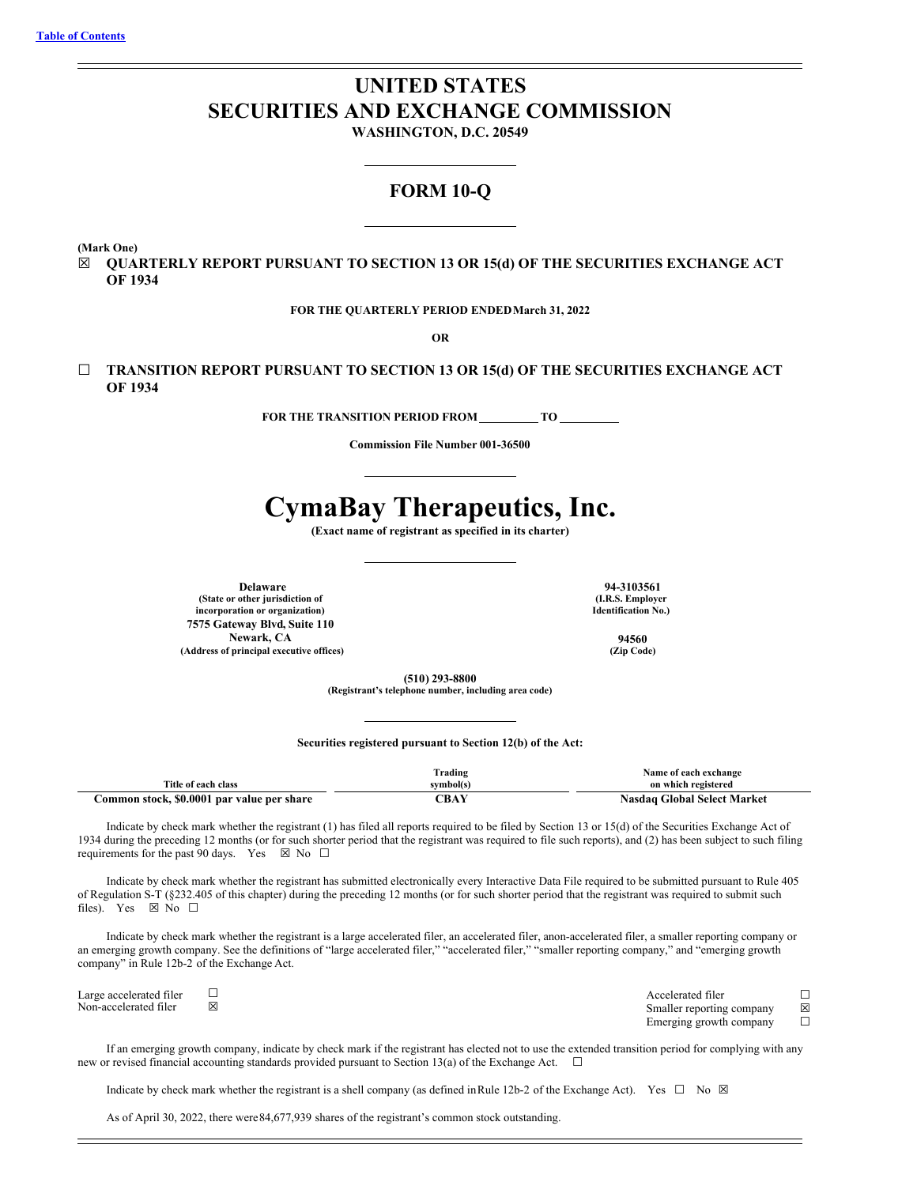# **UNITED STATES SECURITIES AND EXCHANGE COMMISSION**

**WASHINGTON, D.C. 20549**

# **FORM 10-Q**

**(Mark One)**

☒ **QUARTERLY REPORT PURSUANT TO SECTION 13 OR 15(d) OF THE SECURITIES EXCHANGE ACT OF 1934**

**FOR THE QUARTERLY PERIOD ENDEDMarch 31, 2022**

**OR**

☐ **TRANSITION REPORT PURSUANT TO SECTION 13 OR 15(d) OF THE SECURITIES EXCHANGE ACT OF 1934**

**FOR THE TRANSITION PERIOD FROM \_\_\_\_\_\_\_\_\_ TO \_\_** 

**Commission File Number 001-36500**

# **CymaBay Therapeutics, Inc.**

**(Exact name of registrant as specified in its charter)**

**(State or other jurisdiction of incorporation or organization) 7575 Gateway Blvd, Suite 110 Newark, CA 94560 (Address of principal executive offices) (Zip Code)**

**Delaware 94-3103561 (I.R.S. Employer Identification No.)**

**(510) 293-8800**

**(Registrant's telephone number, including area code)**

## **Securities registered pursuant to Section 12(b) of the Act:**

|                                            | Frading   | Name of each exchange       |
|--------------------------------------------|-----------|-----------------------------|
| Title of each class                        | symbol(s) | on which registered         |
| Common stock, \$0.0001 par value per share | CBAY      | Nasdaq Global Select Market |

Indicate by check mark whether the registrant (1) has filed all reports required to be filed by Section 13 or 15(d) of the Securities Exchange Act of 1934 during the preceding 12 months (or for such shorter period that the registrant was required to file such reports), and (2) has been subject to such filing requirements for the past 90 days. Yes  $\boxtimes$  No  $\Box$ 

Indicate by check mark whether the registrant has submitted electronically every Interactive Data File required to be submitted pursuant to Rule 405 of Regulation S-T (§232.405 of this chapter) during the preceding 12 months (or for such shorter period that the registrant was required to submit such files). Yes  $\boxtimes$  No  $\square$ 

Indicate by check mark whether the registrant is a large accelerated filer, an accelerated filer, anon-accelerated filer, a smaller reporting company or an emerging growth company. See the definitions of "large accelerated filer," "accelerated filer," "smaller reporting company," and "emerging growth company" in Rule 12b-2 of the Exchange Act.

Large accelerated filer □<br>
Non-accelerated filer □<br>
Smaller reporting company ⊠ Smaller reporting company  $\boxtimes$ <br>Emerging growth company  $\Box$ Emerging growth company

If an emerging growth company, indicate by check mark if the registrant has elected not to use the extended transition period for complying with any new or revised financial accounting standards provided pursuant to Section 13(a) of the Exchange Act.  $\Box$ 

Indicate by check mark whether the registrant is a shell company (as defined in Rule 12b-2 of the Exchange Act). Yes  $\Box$  No  $\boxtimes$ 

As of April 30, 2022, there were84,677,939 shares of the registrant's common stock outstanding.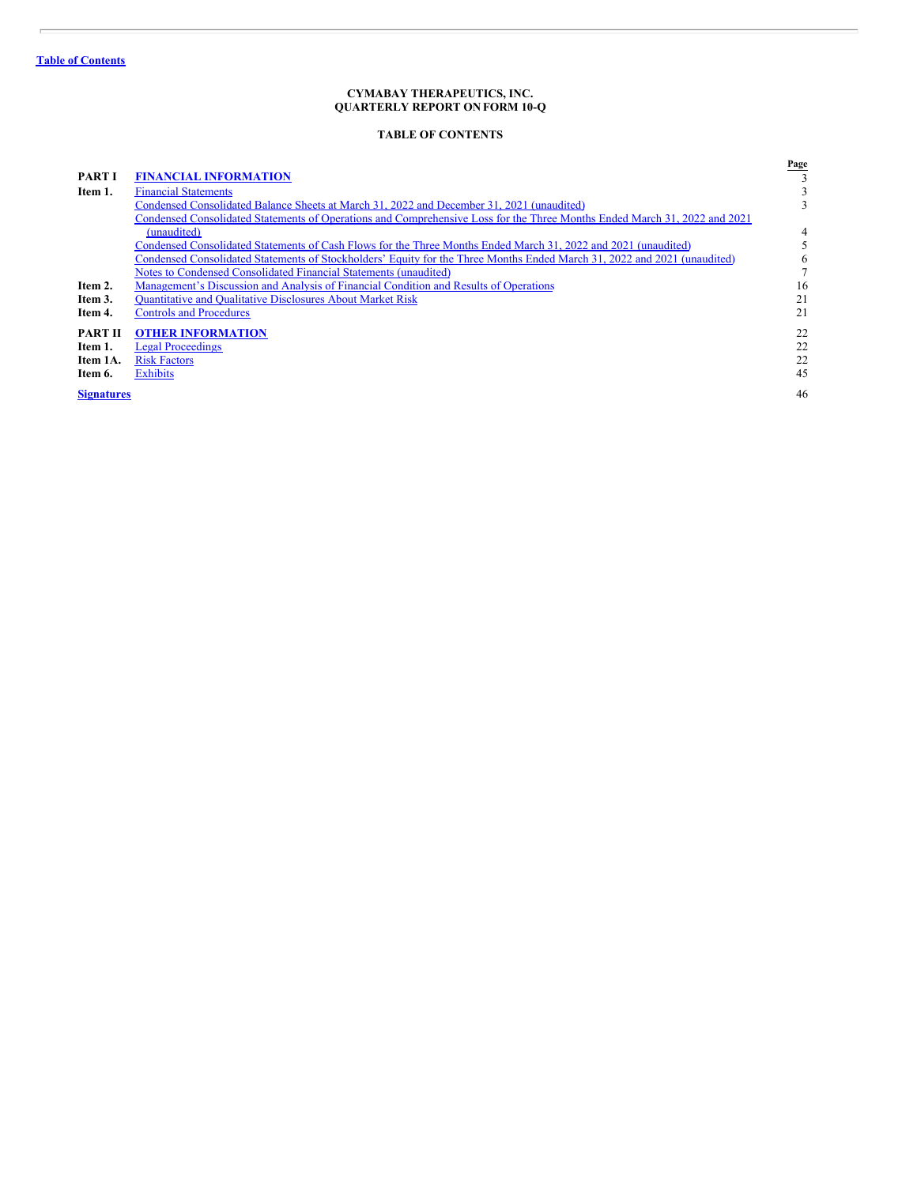ł.

# **CYMABAY THERAPEUTICS, INC. QUARTERLY REPORT ON FORM 10-Q**

# **TABLE OF CONTENTS**

<span id="page-1-0"></span>

|                   |                                                                                                                           | Page |
|-------------------|---------------------------------------------------------------------------------------------------------------------------|------|
| <b>PART I</b>     | <b>FINANCIAL INFORMATION</b>                                                                                              |      |
| Item 1.           | <b>Financial Statements</b>                                                                                               | 3    |
|                   | Condensed Consolidated Balance Sheets at March 31, 2022 and December 31, 2021 (unaudited)                                 | 3    |
|                   | Condensed Consolidated Statements of Operations and Comprehensive Loss for the Three Months Ended March 31, 2022 and 2021 |      |
|                   | (unaudited)                                                                                                               | 4    |
|                   | Condensed Consolidated Statements of Cash Flows for the Three Months Ended March 31, 2022 and 2021 (unaudited)            |      |
|                   | Condensed Consolidated Statements of Stockholders' Equity for the Three Months Ended March 31, 2022 and 2021 (unaudited)  | 6    |
|                   | Notes to Condensed Consolidated Financial Statements (unaudited)                                                          |      |
| Item 2.           | Management's Discussion and Analysis of Financial Condition and Results of Operations                                     | 16   |
| Item 3.           | <b>Quantitative and Qualitative Disclosures About Market Risk</b>                                                         | 21   |
| Item 4.           | <b>Controls and Procedures</b>                                                                                            | 21   |
| <b>PART II</b>    | <b>OTHER INFORMATION</b>                                                                                                  | 22   |
| Item 1.           | <b>Legal Proceedings</b>                                                                                                  | 22   |
| Item 1A.          | <b>Risk Factors</b>                                                                                                       | 22   |
| Item 6.           | <b>Exhibits</b>                                                                                                           | 45   |
| <b>Signatures</b> |                                                                                                                           | 46   |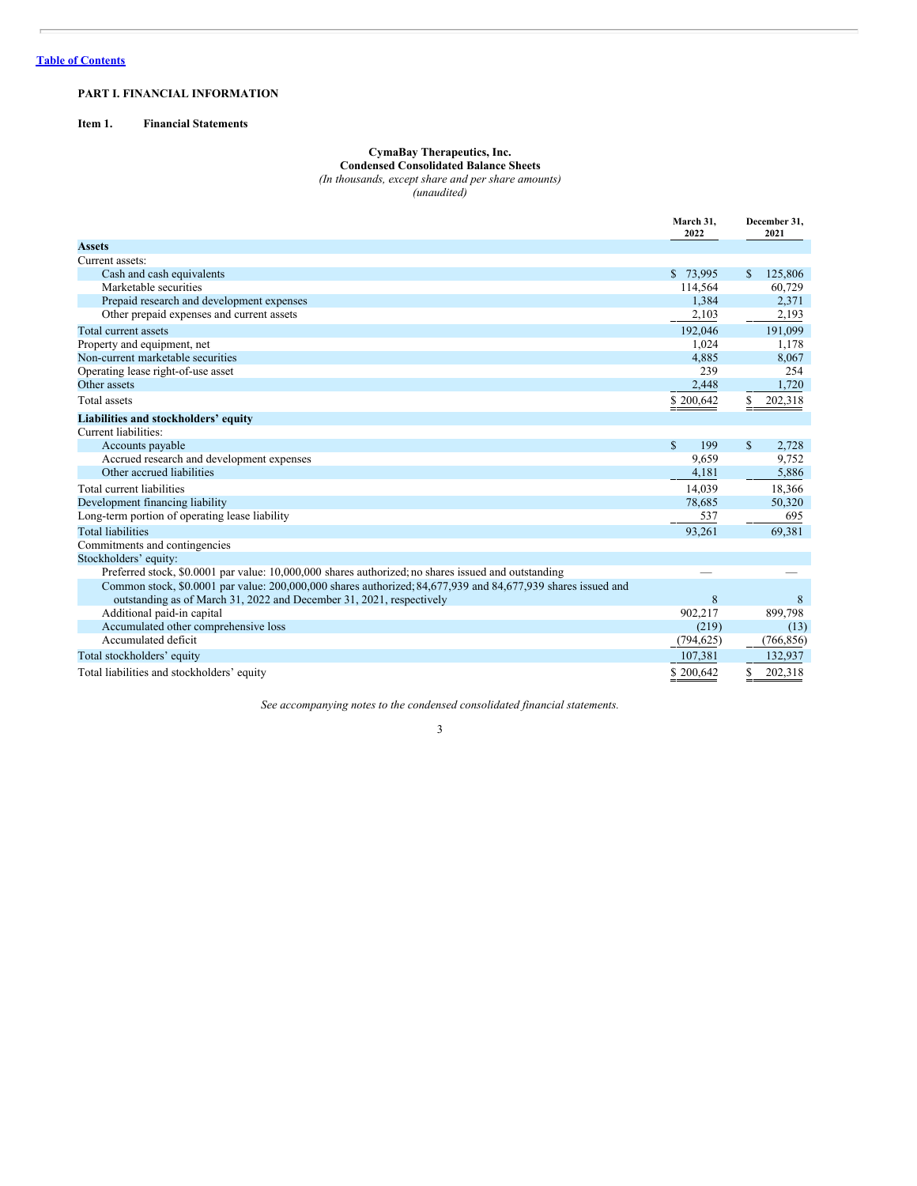# <span id="page-2-0"></span>**PART I. FINANCIAL INFORMATION**

# <span id="page-2-2"></span><span id="page-2-1"></span>**Item 1. Financial Statements**

#### **CymaBay Therapeutics, Inc. Condensed Consolidated Balance Sheets**

*(In thousands, except share and per share amounts)*

*(unaudited)*

|                                                                                                              | March 31,<br>2022   | December 31,<br>2021  |
|--------------------------------------------------------------------------------------------------------------|---------------------|-----------------------|
| <b>Assets</b>                                                                                                |                     |                       |
| Current assets:                                                                                              |                     |                       |
| Cash and cash equivalents                                                                                    | \$73,995            | 125,806<br>\$         |
| Marketable securities                                                                                        | 114,564             | 60,729                |
| Prepaid research and development expenses                                                                    | 1,384               | 2,371                 |
| Other prepaid expenses and current assets                                                                    | 2,103               | 2,193                 |
| Total current assets                                                                                         | 192,046             | 191,099               |
| Property and equipment, net                                                                                  | 1,024               | 1,178                 |
| Non-current marketable securities                                                                            | 4,885               | 8,067                 |
| Operating lease right-of-use asset                                                                           | 239                 | 254                   |
| Other assets                                                                                                 | 2,448               | 1,720                 |
| Total assets                                                                                                 | \$200,642           | 202,318               |
| Liabilities and stockholders' equity                                                                         |                     |                       |
| Current liabilities:                                                                                         |                     |                       |
| Accounts payable                                                                                             | $\mathbf{s}$<br>199 | $\mathbf{s}$<br>2,728 |
| Accrued research and development expenses                                                                    | 9,659               | 9,752                 |
| Other accrued liabilities                                                                                    | 4,181               | 5,886                 |
| Total current liabilities                                                                                    | 14.039              | 18,366                |
| Development financing liability                                                                              | 78,685              | 50,320                |
| Long-term portion of operating lease liability                                                               | 537                 | 695                   |
| <b>Total liabilities</b>                                                                                     | 93,261              | 69,381                |
| Commitments and contingencies                                                                                |                     |                       |
| Stockholders' equity:                                                                                        |                     |                       |
| Preferred stock, \$0,0001 par value: 10,000,000 shares authorized; no shares issued and outstanding          |                     |                       |
| Common stock, \$0.0001 par value: 200,000,000 shares authorized; 84,677,939 and 84,677,939 shares issued and |                     |                       |
| outstanding as of March 31, 2022 and December 31, 2021, respectively                                         | 8                   | 8                     |
| Additional paid-in capital                                                                                   | 902,217             | 899,798               |
| Accumulated other comprehensive loss                                                                         | (219)               | (13)                  |
| Accumulated deficit                                                                                          | (794, 625)          | (766, 856)            |
| Total stockholders' equity                                                                                   | 107,381             | 132,937               |
| Total liabilities and stockholders' equity                                                                   | \$200,642           | 202,318<br>\$         |

*See accompanying notes to the condensed consolidated financial statements.*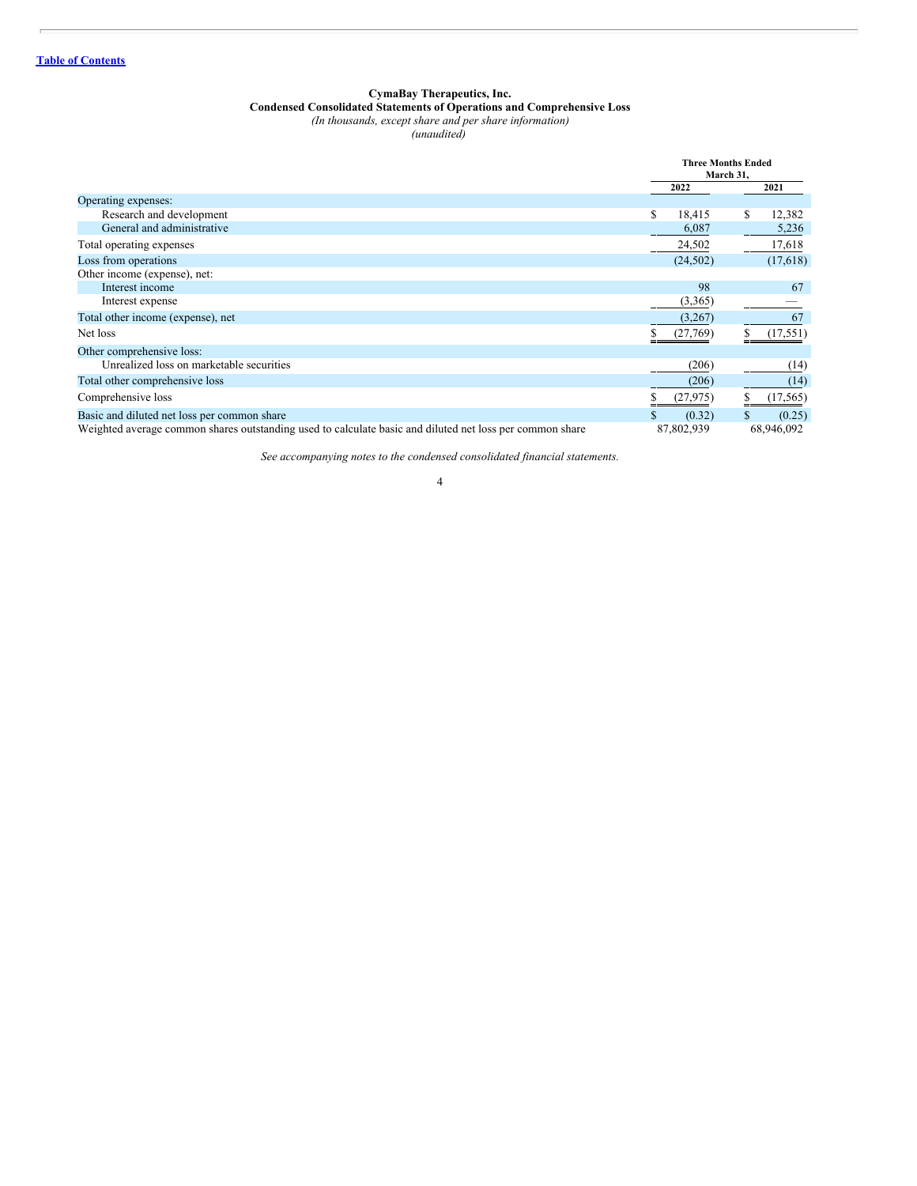#### **CymaBay Therapeutics, Inc.**

# **Condensed Consolidated Statements of Operations and Comprehensive Loss**

*(In thousands, except share and per share information)*

*(unaudited)*

<span id="page-3-0"></span>

|                                                                                                          | <b>Three Months Ended</b><br>March 31, |            |    |            |
|----------------------------------------------------------------------------------------------------------|----------------------------------------|------------|----|------------|
|                                                                                                          |                                        | 2022       |    | 2021       |
| Operating expenses:                                                                                      |                                        |            |    |            |
| Research and development                                                                                 | \$                                     | 18,415     | \$ | 12,382     |
| General and administrative                                                                               |                                        | 6,087      |    | 5,236      |
| Total operating expenses                                                                                 |                                        | 24,502     |    | 17,618     |
| Loss from operations                                                                                     |                                        | (24, 502)  |    | (17,618)   |
| Other income (expense), net:                                                                             |                                        |            |    |            |
| Interest income                                                                                          |                                        | 98         |    | 67         |
| Interest expense                                                                                         |                                        | (3,365)    |    |            |
| Total other income (expense), net                                                                        |                                        | (3,267)    |    | 67         |
| Net loss                                                                                                 |                                        | (27,769)   |    | (17, 551)  |
| Other comprehensive loss:                                                                                |                                        |            |    |            |
| Unrealized loss on marketable securities                                                                 |                                        | (206)      |    | (14)       |
| Total other comprehensive loss                                                                           |                                        | (206)      |    | (14)       |
| Comprehensive loss                                                                                       |                                        | (27, 975)  |    | (17, 565)  |
| Basic and diluted net loss per common share                                                              |                                        | (0.32)     |    | (0.25)     |
| Weighted average common shares outstanding used to calculate basic and diluted net loss per common share |                                        | 87,802,939 |    | 68,946,092 |

*See accompanying notes to the condensed consolidated financial statements.* 4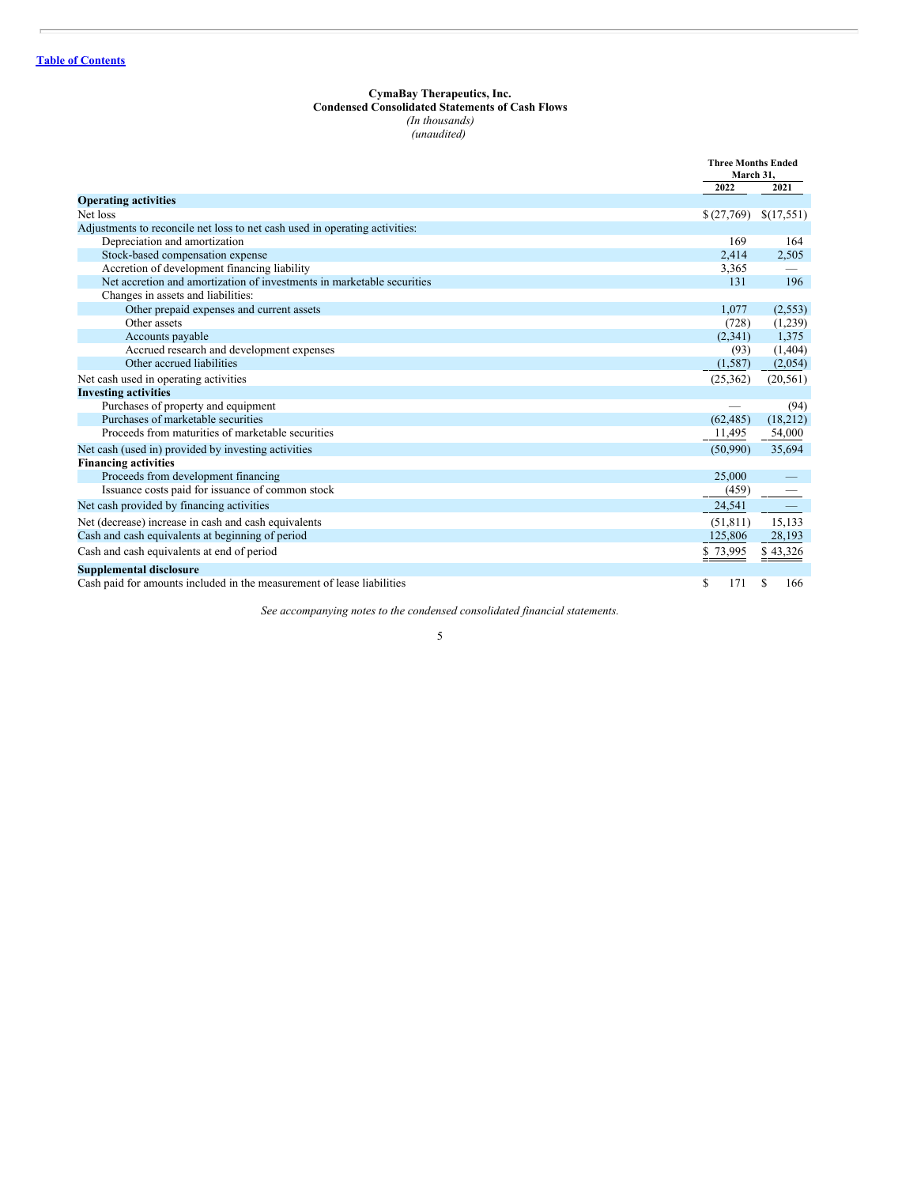#### **CymaBay Therapeutics, Inc.**

# **Condensed Consolidated Statements of Cash Flows**

*(In thousands) (unaudited)*

<span id="page-4-0"></span>

|                                                                             | <b>Three Months Ended</b><br>March 31, |            |
|-----------------------------------------------------------------------------|----------------------------------------|------------|
|                                                                             | 2022                                   | 2021       |
| <b>Operating activities</b>                                                 |                                        |            |
| Net loss                                                                    | \$(27,769)                             | \$(17,551) |
| Adjustments to reconcile net loss to net cash used in operating activities: |                                        |            |
| Depreciation and amortization                                               | 169                                    | 164        |
| Stock-based compensation expense                                            | 2,414                                  | 2,505      |
| Accretion of development financing liability                                | 3,365                                  |            |
| Net accretion and amortization of investments in marketable securities      | 131                                    | 196        |
| Changes in assets and liabilities:                                          |                                        |            |
| Other prepaid expenses and current assets                                   | 1,077                                  | (2,553)    |
| Other assets                                                                | (728)                                  | (1,239)    |
| Accounts payable                                                            | (2,341)                                | 1,375      |
| Accrued research and development expenses                                   | (93)                                   | (1,404)    |
| Other accrued liabilities                                                   | (1,587)                                | (2,054)    |
| Net cash used in operating activities                                       | (25, 362)                              | (20, 561)  |
| <b>Investing activities</b>                                                 |                                        |            |
| Purchases of property and equipment                                         |                                        | (94)       |
| Purchases of marketable securities                                          | (62, 485)                              | (18,212)   |
| Proceeds from maturities of marketable securities                           | 11,495                                 | 54,000     |
| Net cash (used in) provided by investing activities                         | (50,990)                               | 35,694     |
| <b>Financing activities</b>                                                 |                                        |            |
| Proceeds from development financing                                         | 25,000                                 |            |
| Issuance costs paid for issuance of common stock                            | (459)                                  |            |
| Net cash provided by financing activities                                   | 24,541                                 |            |
| Net (decrease) increase in cash and cash equivalents                        | (51, 811)                              | 15,133     |
| Cash and cash equivalents at beginning of period                            | 125,806                                | 28,193     |
| Cash and cash equivalents at end of period                                  | \$73,995                               | \$43,326   |
| <b>Supplemental disclosure</b>                                              |                                        |            |
| Cash paid for amounts included in the measurement of lease liabilities      | \$<br>171                              | S<br>166   |

*See accompanying notes to the condensed consolidated financial statements.*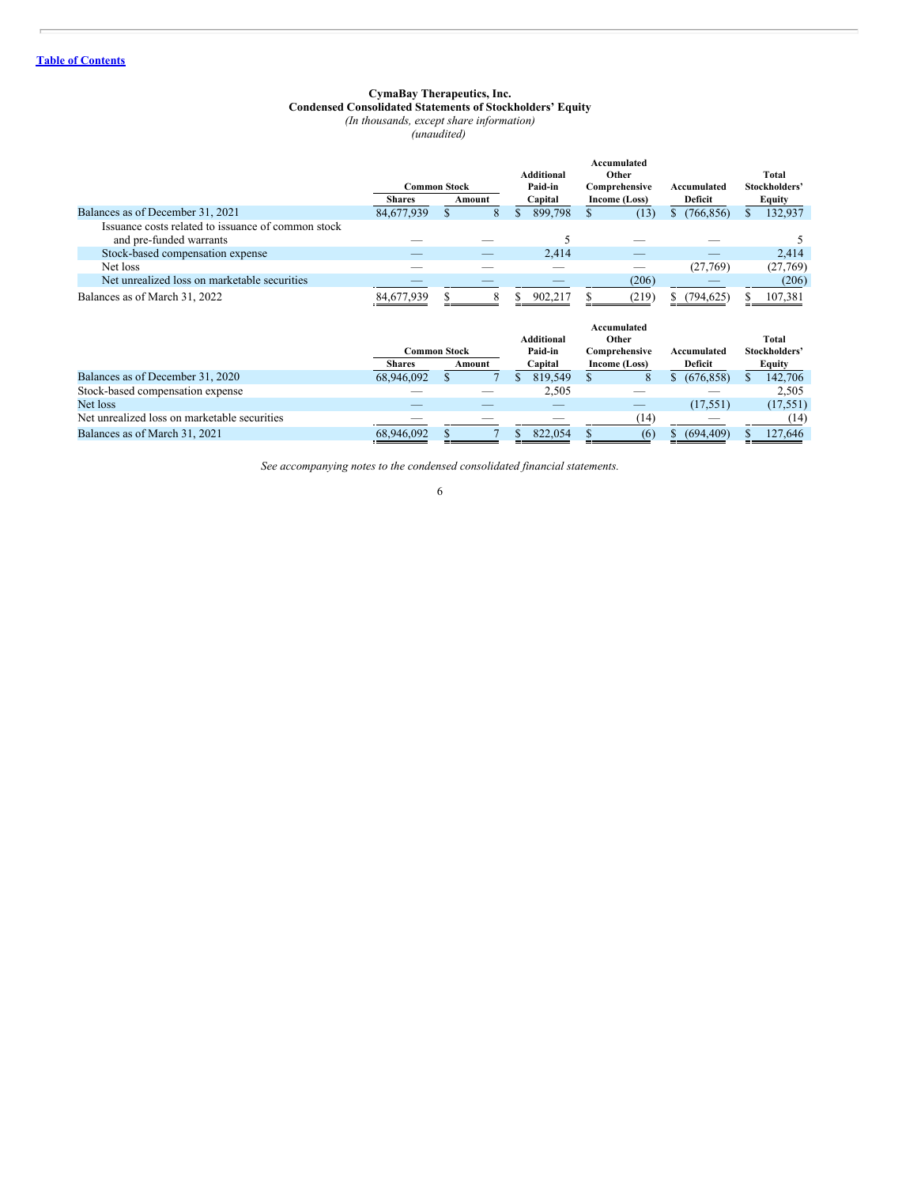#### **CymaBay Therapeutics, Inc. Condensed Consolidated Statements of Stockholders' Equity**

*(In thousands, except share information)*

*(unaudited)*

<span id="page-5-0"></span>

|                                                                               |               | <b>Common Stock</b> |        |    | <b>Additional</b><br>Paid-in |    | <b>Accumulated</b><br>Other<br>Comprehensive |     | Accumulated    |     | Total<br>Stockholders' |
|-------------------------------------------------------------------------------|---------------|---------------------|--------|----|------------------------------|----|----------------------------------------------|-----|----------------|-----|------------------------|
|                                                                               | <b>Shares</b> |                     | Amount |    | Capital                      |    | Income (Loss)                                |     | <b>Deficit</b> |     | Equity                 |
| Balances as of December 31, 2021                                              | 84,677,939    | $\mathbf{s}$        | 8      | \$ | 899,798                      | S. | (13)                                         | \$  | (766, 856)     | S   | 132,937                |
| Issuance costs related to issuance of common stock<br>and pre-funded warrants |               |                     |        |    |                              |    |                                              |     |                |     |                        |
| Stock-based compensation expense                                              |               |                     |        |    | 2,414                        |    |                                              |     |                |     | 2,414                  |
| Net loss                                                                      |               |                     |        |    |                              |    |                                              |     | (27,769)       |     | (27,769)               |
| Net unrealized loss on marketable securities                                  |               |                     |        |    |                              |    | (206)                                        |     |                |     | (206)                  |
| Balances as of March 31, 2022                                                 | 84,677,939    |                     | 8      | S  | 902,217                      |    | (219)                                        |     | (794,625)      | \$  | 107,381                |
|                                                                               |               | <b>Common Stock</b> |        |    | <b>Additional</b><br>Paid-in |    | <b>Accumulated</b><br>Other<br>Comprehensive |     | Accumulated    |     | Total<br>Stockholders' |
|                                                                               | <b>Shares</b> |                     | Amount |    | Capital                      |    | Income (Loss)                                |     | Deficit        |     | Equity                 |
| Balances as of December 31, 2020                                              | 68,946,092    |                     |        | \$ | 819,549                      | S  | 8                                            | \$. | (676, 858)     | \$  | 142,706                |
| Stock-based compensation expense                                              |               |                     |        |    | 2,505                        |    |                                              |     |                |     | 2,505                  |
| Net loss                                                                      |               |                     |        |    |                              |    |                                              |     | (17, 551)      |     | (17, 551)              |
| Net unrealized loss on marketable securities                                  |               |                     |        |    |                              |    | (14)                                         |     |                |     | (14)                   |
| Balances as of March 31, 2021                                                 | 68,946,092    | S                   |        | \$ | 822,054                      | S  | (6)                                          |     | (694, 409)     | \$. | 127,646                |

*See accompanying notes to the condensed consolidated financial statements.*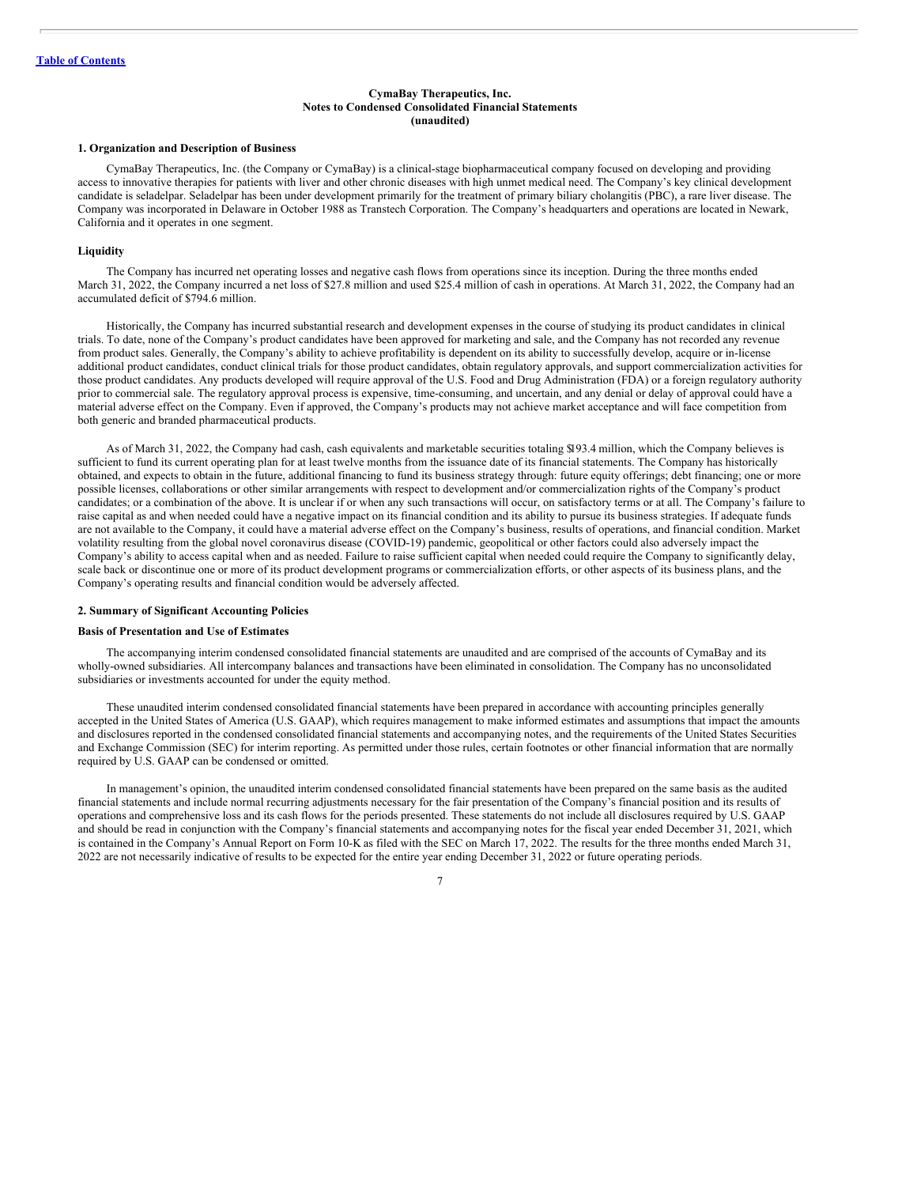#### **CymaBay Therapeutics, Inc. Notes to Condensed Consolidated Financial Statements (unaudited)**

#### <span id="page-6-0"></span>**1. Organization and Description of Business**

CymaBay Therapeutics, Inc. (the Company or CymaBay) is a clinical-stage biopharmaceutical company focused on developing and providing access to innovative therapies for patients with liver and other chronic diseases with high unmet medical need. The Company's key clinical development candidate is seladelpar. Seladelpar has been under development primarily for the treatment of primary biliary cholangitis (PBC), a rare liver disease. The Company was incorporated in Delaware in October 1988 as Transtech Corporation. The Company's headquarters and operations are located in Newark, California and it operates in one segment.

#### **Liquidity**

The Company has incurred net operating losses and negative cash flows from operations since its inception. During the three months ended March 31, 2022, the Company incurred a net loss of \$27.8 million and used \$25.4 million of cash in operations. At March 31, 2022, the Company had an accumulated deficit of \$794.6 million.

Historically, the Company has incurred substantial research and development expenses in the course of studying its product candidates in clinical trials. To date, none of the Company's product candidates have been approved for marketing and sale, and the Company has not recorded any revenue from product sales. Generally, the Company's ability to achieve profitability is dependent on its ability to successfully develop, acquire or in-license additional product candidates, conduct clinical trials for those product candidates, obtain regulatory approvals, and support commercialization activities for those product candidates. Any products developed will require approval of the U.S. Food and Drug Administration (FDA) or a foreign regulatory authority prior to commercial sale. The regulatory approval process is expensive, time-consuming, and uncertain, and any denial or delay of approval could have a material adverse effect on the Company. Even if approved, the Company's products may not achieve market acceptance and will face competition from both generic and branded pharmaceutical products.

As of March 31, 2022, the Company had cash, cash equivalents and marketable securities totaling \$193.4 million, which the Company believes is sufficient to fund its current operating plan for at least twelve months from the issuance date of its financial statements. The Company has historically obtained, and expects to obtain in the future, additional financing to fund its business strategy through: future equity offerings; debt financing; one or more possible licenses, collaborations or other similar arrangements with respect to development and/or commercialization rights of the Company's product candidates; or a combination of the above. It is unclear if or when any such transactions will occur, on satisfactory terms or at all. The Company's failure to raise capital as and when needed could have a negative impact on its financial condition and its ability to pursue its business strategies. If adequate funds are not available to the Company, it could have a material adverse effect on the Company's business, results of operations, and financial condition. Market volatility resulting from the global novel coronavirus disease (COVID-19) pandemic, geopolitical or other factors could also adversely impact the Company's ability to access capital when and as needed. Failure to raise sufficient capital when needed could require the Company to significantly delay, scale back or discontinue one or more of its product development programs or commercialization efforts, or other aspects of its business plans, and the Company's operating results and financial condition would be adversely affected.

#### **2. Summary of Significant Accounting Policies**

#### **Basis of Presentation and Use of Estimates**

The accompanying interim condensed consolidated financial statements are unaudited and are comprised of the accounts of CymaBay and its wholly-owned subsidiaries. All intercompany balances and transactions have been eliminated in consolidation. The Company has no unconsolidated subsidiaries or investments accounted for under the equity method.

These unaudited interim condensed consolidated financial statements have been prepared in accordance with accounting principles generally accepted in the United States of America (U.S. GAAP), which requires management to make informed estimates and assumptions that impact the amounts and disclosures reported in the condensed consolidated financial statements and accompanying notes, and the requirements of the United States Securities and Exchange Commission (SEC) for interim reporting. As permitted under those rules, certain footnotes or other financial information that are normally required by U.S. GAAP can be condensed or omitted.

In management's opinion, the unaudited interim condensed consolidated financial statements have been prepared on the same basis as the audited financial statements and include normal recurring adjustments necessary for the fair presentation of the Company's financial position and its results of operations and comprehensive loss and its cash flows for the periods presented. These statements do not include all disclosures required by U.S. GAAP and should be read in conjunction with the Company's financial statements and accompanying notes for the fiscal year ended December 31, 2021, which is contained in the Company's Annual Report on Form 10-K as filed with the SEC on March 17, 2022. The results for the three months ended March 31, 2022 are not necessarily indicative of results to be expected for the entire year ending December 31, 2022 or future operating periods.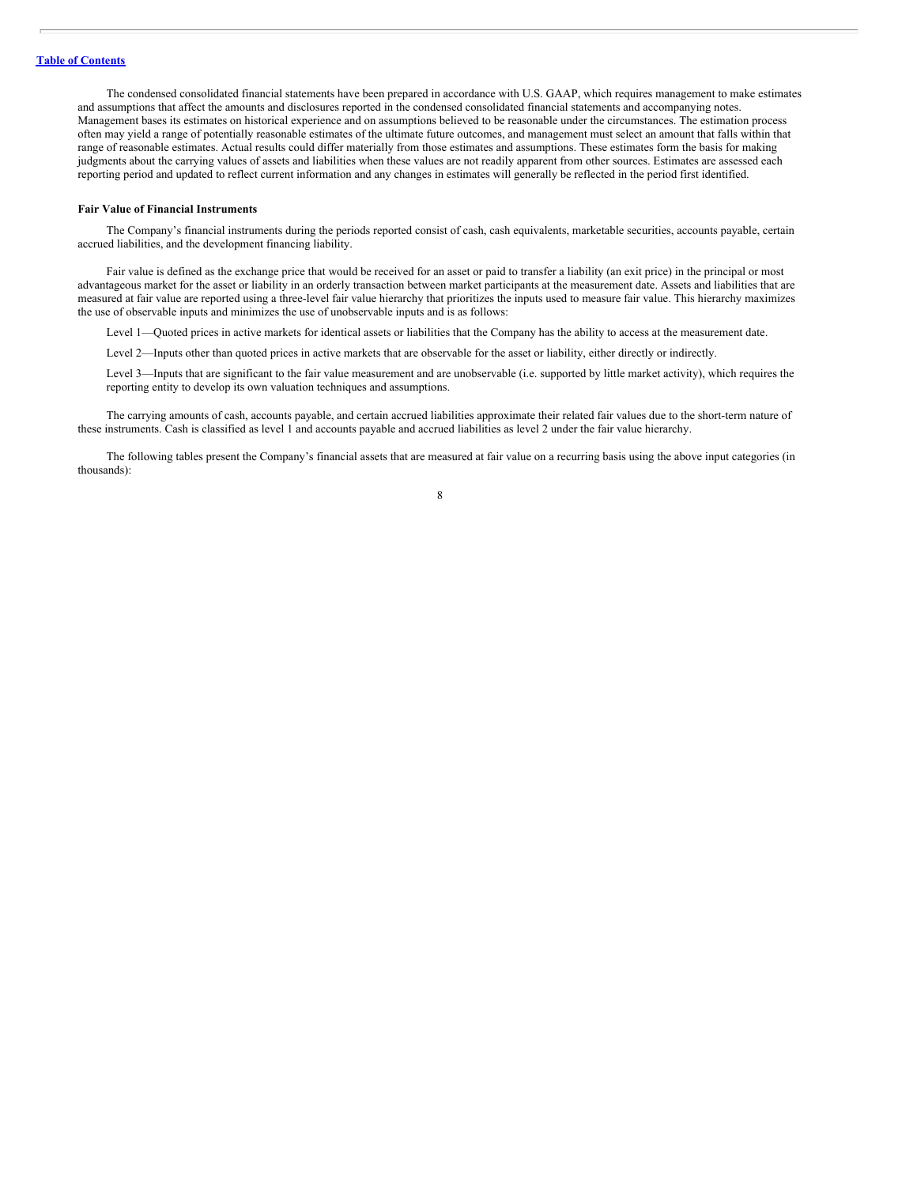The condensed consolidated financial statements have been prepared in accordance with U.S. GAAP, which requires management to make estimates and assumptions that affect the amounts and disclosures reported in the condensed consolidated financial statements and accompanying notes. Management bases its estimates on historical experience and on assumptions believed to be reasonable under the circumstances. The estimation process often may yield a range of potentially reasonable estimates of the ultimate future outcomes, and management must select an amount that falls within that range of reasonable estimates. Actual results could differ materially from those estimates and assumptions. These estimates form the basis for making judgments about the carrying values of assets and liabilities when these values are not readily apparent from other sources. Estimates are assessed each reporting period and updated to reflect current information and any changes in estimates will generally be reflected in the period first identified.

#### **Fair Value of Financial Instruments**

The Company's financial instruments during the periods reported consist of cash, cash equivalents, marketable securities, accounts payable, certain accrued liabilities, and the development financing liability.

Fair value is defined as the exchange price that would be received for an asset or paid to transfer a liability (an exit price) in the principal or most advantageous market for the asset or liability in an orderly transaction between market participants at the measurement date. Assets and liabilities that are measured at fair value are reported using a three-level fair value hierarchy that prioritizes the inputs used to measure fair value. This hierarchy maximizes the use of observable inputs and minimizes the use of unobservable inputs and is as follows:

Level 1—Quoted prices in active markets for identical assets or liabilities that the Company has the ability to access at the measurement date.

Level 2—Inputs other than quoted prices in active markets that are observable for the asset or liability, either directly or indirectly.

Level 3—Inputs that are significant to the fair value measurement and are unobservable (i.e. supported by little market activity), which requires the reporting entity to develop its own valuation techniques and assumptions.

The carrying amounts of cash, accounts payable, and certain accrued liabilities approximate their related fair values due to the short-term nature of these instruments. Cash is classified as level 1 and accounts payable and accrued liabilities as level 2 under the fair value hierarchy.

The following tables present the Company's financial assets that are measured at fair value on a recurring basis using the above input categories (in thousands):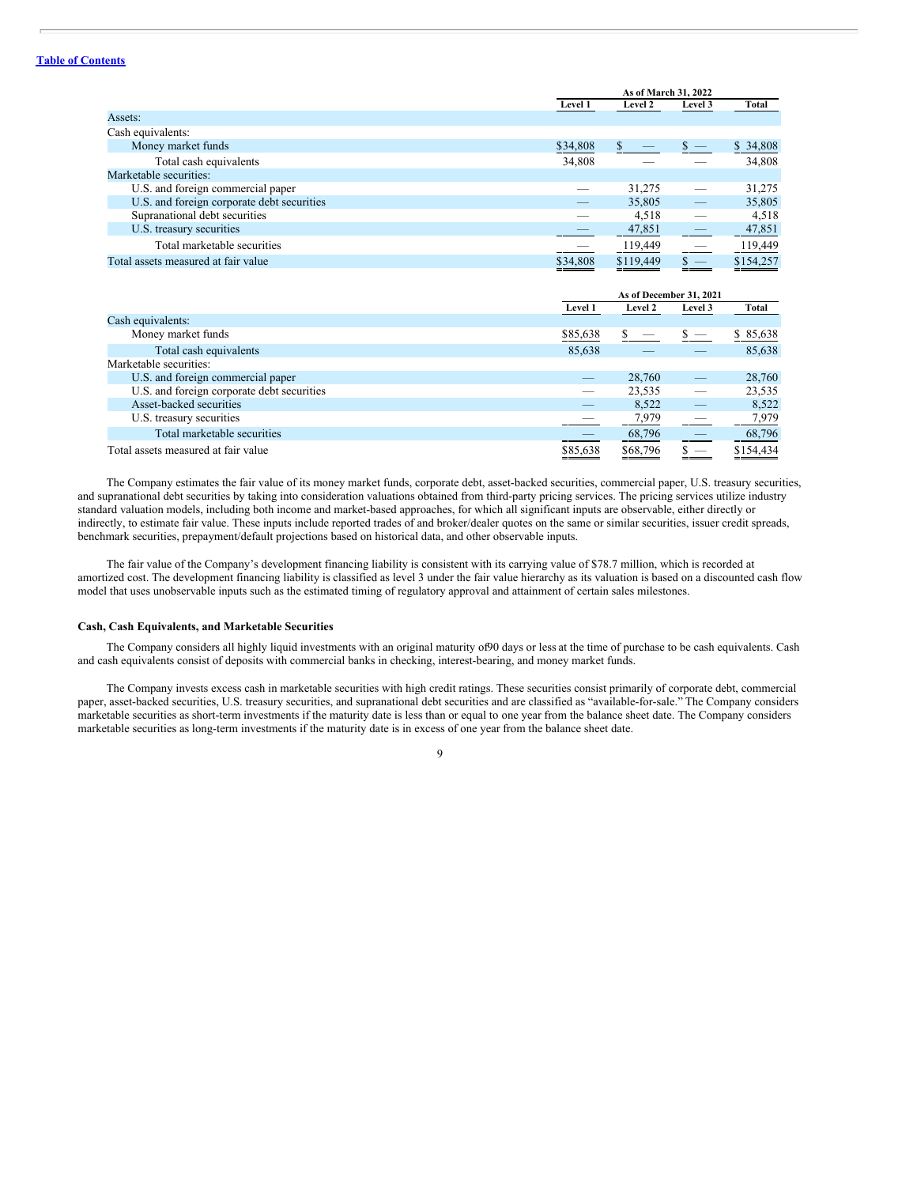# **Table of [Contents](#page-1-0)**

| <b>Level 2</b><br>Level 1<br>Level 3                         | Total     |
|--------------------------------------------------------------|-----------|
|                                                              |           |
| Assets:                                                      |           |
| Cash equivalents:                                            |           |
| Money market funds<br>$s -$<br>\$34,808                      | \$34,808  |
| Total cash equivalents<br>34,808                             | 34,808    |
| Marketable securities:                                       |           |
| U.S. and foreign commercial paper<br>31,275                  | 31,275    |
| U.S. and foreign corporate debt securities<br>35,805         | 35,805    |
| Supranational debt securities<br>4,518                       | 4,518     |
| U.S. treasury securities<br>47,851                           | 47,851    |
| Total marketable securities<br>119,449                       | 119,449   |
| \$119,449<br>Total assets measured at fair value<br>\$34,808 | \$154,257 |

|                                            |          | As of December 31, 2021 |                                 |           |  |  |
|--------------------------------------------|----------|-------------------------|---------------------------------|-----------|--|--|
|                                            | Level 1  | Level 2                 | Level 3                         | Total     |  |  |
| Cash equivalents:                          |          |                         |                                 |           |  |  |
| Money market funds                         | \$85,638 |                         | $\hspace{0.1mm}-\hspace{0.1mm}$ | \$85,638  |  |  |
| Total cash equivalents                     | 85,638   |                         |                                 | 85,638    |  |  |
| Marketable securities:                     |          |                         |                                 |           |  |  |
| U.S. and foreign commercial paper          | –        | 28,760                  |                                 | 28,760    |  |  |
| U.S. and foreign corporate debt securities | --       | 23,535                  |                                 | 23,535    |  |  |
| Asset-backed securities                    | _        | 8,522                   |                                 | 8,522     |  |  |
| U.S. treasury securities                   |          | 7,979                   |                                 | 7,979     |  |  |
| Total marketable securities                |          | 68,796                  |                                 | 68,796    |  |  |
| Total assets measured at fair value        | \$85,638 | \$68,796                |                                 | \$154,434 |  |  |

The Company estimates the fair value of its money market funds, corporate debt, asset-backed securities, commercial paper, U.S. treasury securities, and supranational debt securities by taking into consideration valuations obtained from third-party pricing services. The pricing services utilize industry standard valuation models, including both income and market-based approaches, for which all significant inputs are observable, either directly or indirectly, to estimate fair value. These inputs include reported trades of and broker/dealer quotes on the same or similar securities, issuer credit spreads, benchmark securities, prepayment/default projections based on historical data, and other observable inputs.

The fair value of the Company's development financing liability is consistent with its carrying value of \$78.7 million, which is recorded at amortized cost. The development financing liability is classified as level 3 under the fair value hierarchy as its valuation is based on a discounted cash flow model that uses unobservable inputs such as the estimated timing of regulatory approval and attainment of certain sales milestones.

## **Cash, Cash Equivalents, and Marketable Securities**

The Company considers all highly liquid investments with an original maturity of90 days or less at the time of purchase to be cash equivalents. Cash and cash equivalents consist of deposits with commercial banks in checking, interest-bearing, and money market funds.

The Company invests excess cash in marketable securities with high credit ratings. These securities consist primarily of corporate debt, commercial paper, asset-backed securities, U.S. treasury securities, and supranational debt securities and are classified as "available-for-sale." The Company considers marketable securities as short-term investments if the maturity date is less than or equal to one year from the balance sheet date. The Company considers marketable securities as long-term investments if the maturity date is in excess of one year from the balance sheet date.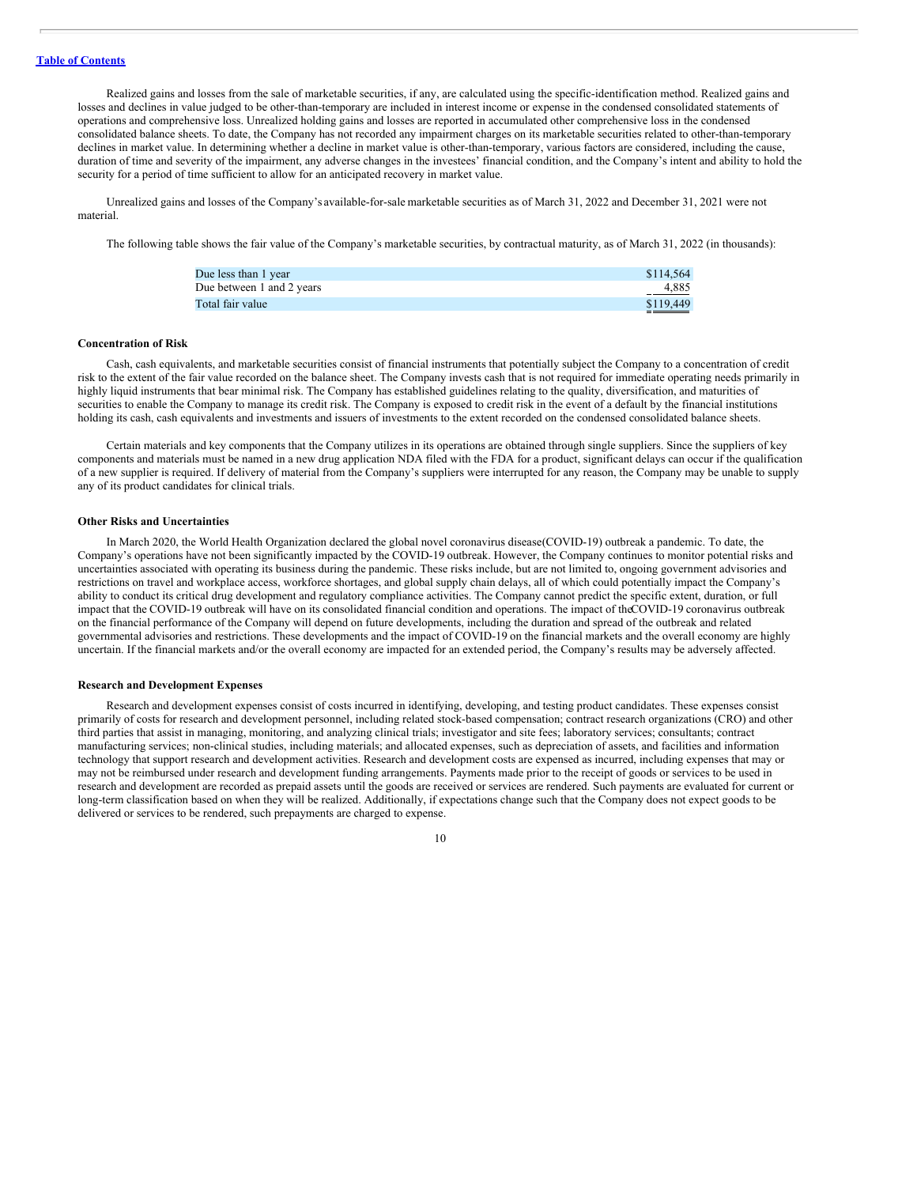Realized gains and losses from the sale of marketable securities, if any, are calculated using the specific-identification method. Realized gains and losses and declines in value judged to be other-than-temporary are included in interest income or expense in the condensed consolidated statements of operations and comprehensive loss. Unrealized holding gains and losses are reported in accumulated other comprehensive loss in the condensed consolidated balance sheets. To date, the Company has not recorded any impairment charges on its marketable securities related to other-than-temporary declines in market value. In determining whether a decline in market value is other-than-temporary, various factors are considered, including the cause, duration of time and severity of the impairment, any adverse changes in the investees' financial condition, and the Company's intent and ability to hold the security for a period of time sufficient to allow for an anticipated recovery in market value.

Unrealized gains and losses of the Company's available-for-sale marketable securities as of March 31, 2022 and December 31, 2021 were not material.

The following table shows the fair value of the Company's marketable securities, by contractual maturity, as of March 31, 2022 (in thousands):

| Due less than 1 year      | \$114,564 |
|---------------------------|-----------|
| Due between 1 and 2 years | 4.885     |
| Total fair value          | \$119,449 |

# **Concentration of Risk**

Cash, cash equivalents, and marketable securities consist of financial instruments that potentially subject the Company to a concentration of credit risk to the extent of the fair value recorded on the balance sheet. The Company invests cash that is not required for immediate operating needs primarily in highly liquid instruments that bear minimal risk. The Company has established guidelines relating to the quality, diversification, and maturities of securities to enable the Company to manage its credit risk. The Company is exposed to credit risk in the event of a default by the financial institutions holding its cash, cash equivalents and investments and issuers of investments to the extent recorded on the condensed consolidated balance sheets.

Certain materials and key components that the Company utilizes in its operations are obtained through single suppliers. Since the suppliers of key components and materials must be named in a new drug application NDA filed with the FDA for a product, significant delays can occur if the qualification of a new supplier is required. If delivery of material from the Company's suppliers were interrupted for any reason, the Company may be unable to supply any of its product candidates for clinical trials.

# **Other Risks and Uncertainties**

In March 2020, the World Health Organization declared the global novel coronavirus disease(COVID-19) outbreak a pandemic. To date, the Company's operations have not been significantly impacted by the COVID-19 outbreak. However, the Company continues to monitor potential risks and uncertainties associated with operating its business during the pandemic. These risks include, but are not limited to, ongoing government advisories and restrictions on travel and workplace access, workforce shortages, and global supply chain delays, all of which could potentially impact the Company's ability to conduct its critical drug development and regulatory compliance activities. The Company cannot predict the specific extent, duration, or full impact that the COVID-19 outbreak will have on its consolidated financial condition and operations. The impact of theCOVID-19 coronavirus outbreak on the financial performance of the Company will depend on future developments, including the duration and spread of the outbreak and related governmental advisories and restrictions. These developments and the impact of COVID-19 on the financial markets and the overall economy are highly uncertain. If the financial markets and/or the overall economy are impacted for an extended period, the Company's results may be adversely affected.

# **Research and Development Expenses**

Research and development expenses consist of costs incurred in identifying, developing, and testing product candidates. These expenses consist primarily of costs for research and development personnel, including related stock-based compensation; contract research organizations (CRO) and other third parties that assist in managing, monitoring, and analyzing clinical trials; investigator and site fees; laboratory services; consultants; contract manufacturing services; non-clinical studies, including materials; and allocated expenses, such as depreciation of assets, and facilities and information technology that support research and development activities. Research and development costs are expensed as incurred, including expenses that may or may not be reimbursed under research and development funding arrangements. Payments made prior to the receipt of goods or services to be used in research and development are recorded as prepaid assets until the goods are received or services are rendered. Such payments are evaluated for current or long-term classification based on when they will be realized. Additionally, if expectations change such that the Company does not expect goods to be delivered or services to be rendered, such prepayments are charged to expense.

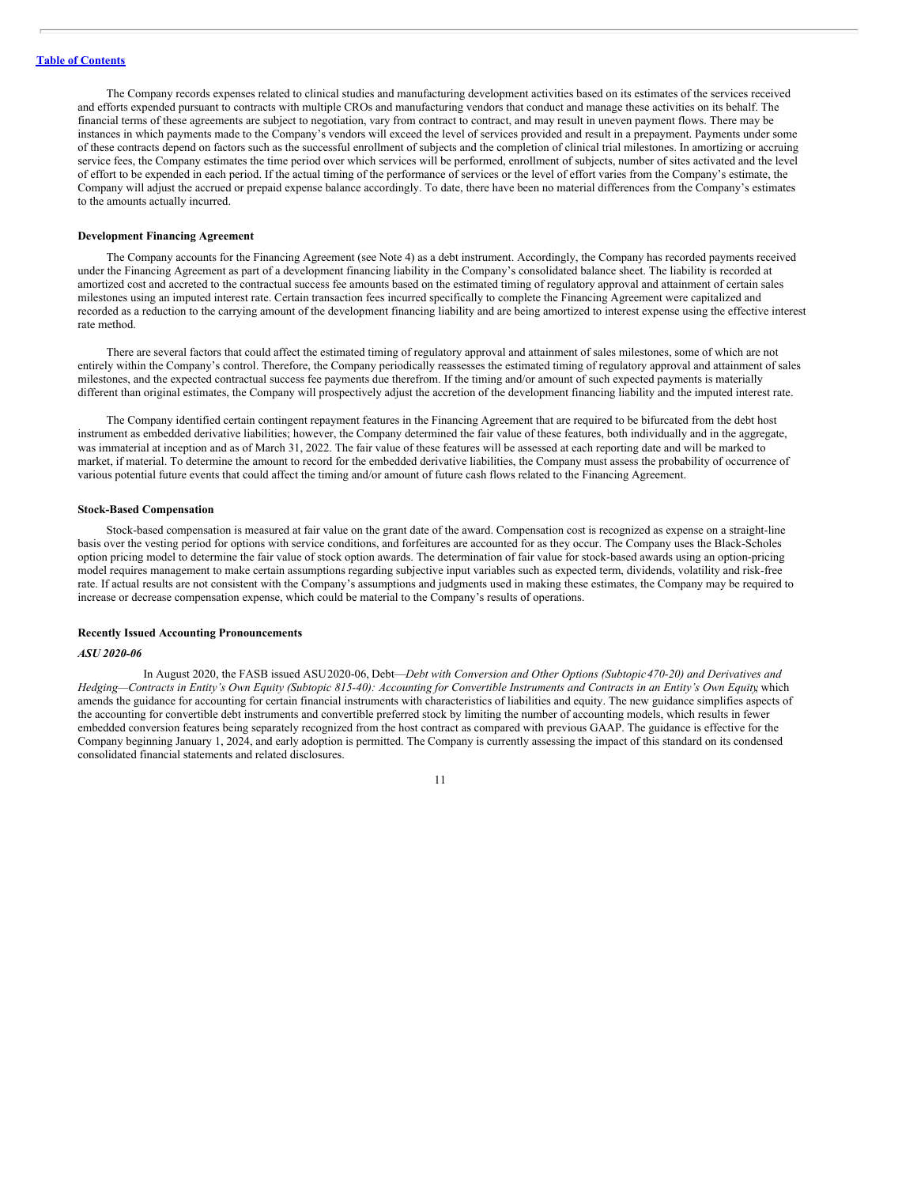The Company records expenses related to clinical studies and manufacturing development activities based on its estimates of the services received and efforts expended pursuant to contracts with multiple CROs and manufacturing vendors that conduct and manage these activities on its behalf. The financial terms of these agreements are subject to negotiation, vary from contract to contract, and may result in uneven payment flows. There may be instances in which payments made to the Company's vendors will exceed the level of services provided and result in a prepayment. Payments under some of these contracts depend on factors such as the successful enrollment of subjects and the completion of clinical trial milestones. In amortizing or accruing service fees, the Company estimates the time period over which services will be performed, enrollment of subjects, number of sites activated and the level of effort to be expended in each period. If the actual timing of the performance of services or the level of effort varies from the Company's estimate, the Company will adjust the accrued or prepaid expense balance accordingly. To date, there have been no material differences from the Company's estimates to the amounts actually incurred.

# **Development Financing Agreement**

The Company accounts for the Financing Agreement (see Note 4) as a debt instrument. Accordingly, the Company has recorded payments received under the Financing Agreement as part of a development financing liability in the Company's consolidated balance sheet. The liability is recorded at amortized cost and accreted to the contractual success fee amounts based on the estimated timing of regulatory approval and attainment of certain sales milestones using an imputed interest rate. Certain transaction fees incurred specifically to complete the Financing Agreement were capitalized and recorded as a reduction to the carrying amount of the development financing liability and are being amortized to interest expense using the effective interest rate method.

There are several factors that could affect the estimated timing of regulatory approval and attainment of sales milestones, some of which are not entirely within the Company's control. Therefore, the Company periodically reassesses the estimated timing of regulatory approval and attainment of sales milestones, and the expected contractual success fee payments due therefrom. If the timing and/or amount of such expected payments is materially different than original estimates, the Company will prospectively adjust the accretion of the development financing liability and the imputed interest rate.

The Company identified certain contingent repayment features in the Financing Agreement that are required to be bifurcated from the debt host instrument as embedded derivative liabilities; however, the Company determined the fair value of these features, both individually and in the aggregate, was immaterial at inception and as of March 31, 2022. The fair value of these features will be assessed at each reporting date and will be marked to market, if material. To determine the amount to record for the embedded derivative liabilities, the Company must assess the probability of occurrence of various potential future events that could affect the timing and/or amount of future cash flows related to the Financing Agreement.

## **Stock-Based Compensation**

Stock-based compensation is measured at fair value on the grant date of the award. Compensation cost is recognized as expense on a straight-line basis over the vesting period for options with service conditions, and forfeitures are accounted for as they occur. The Company uses the Black-Scholes option pricing model to determine the fair value of stock option awards. The determination of fair value for stock-based awards using an option-pricing model requires management to make certain assumptions regarding subjective input variables such as expected term, dividends, volatility and risk-free rate. If actual results are not consistent with the Company's assumptions and judgments used in making these estimates, the Company may be required to increase or decrease compensation expense, which could be material to the Company's results of operations.

#### **Recently Issued Accounting Pronouncements**

#### *ASU 2020-06*

In August 2020, the FASB issued ASU2020-06, Debt—*Debt with Conversion and Other Options (Subtopic470-20) and Derivatives and* Hedging-Contracts in Entity's Own Equity (Subtopic 815-40): Accounting for Convertible Instruments and Contracts in an Entity's Own Equity which amends the guidance for accounting for certain financial instruments with characteristics of liabilities and equity. The new guidance simplifies aspects of the accounting for convertible debt instruments and convertible preferred stock by limiting the number of accounting models, which results in fewer embedded conversion features being separately recognized from the host contract as compared with previous GAAP. The guidance is effective for the Company beginning January 1, 2024, and early adoption is permitted. The Company is currently assessing the impact of this standard on its condensed consolidated financial statements and related disclosures.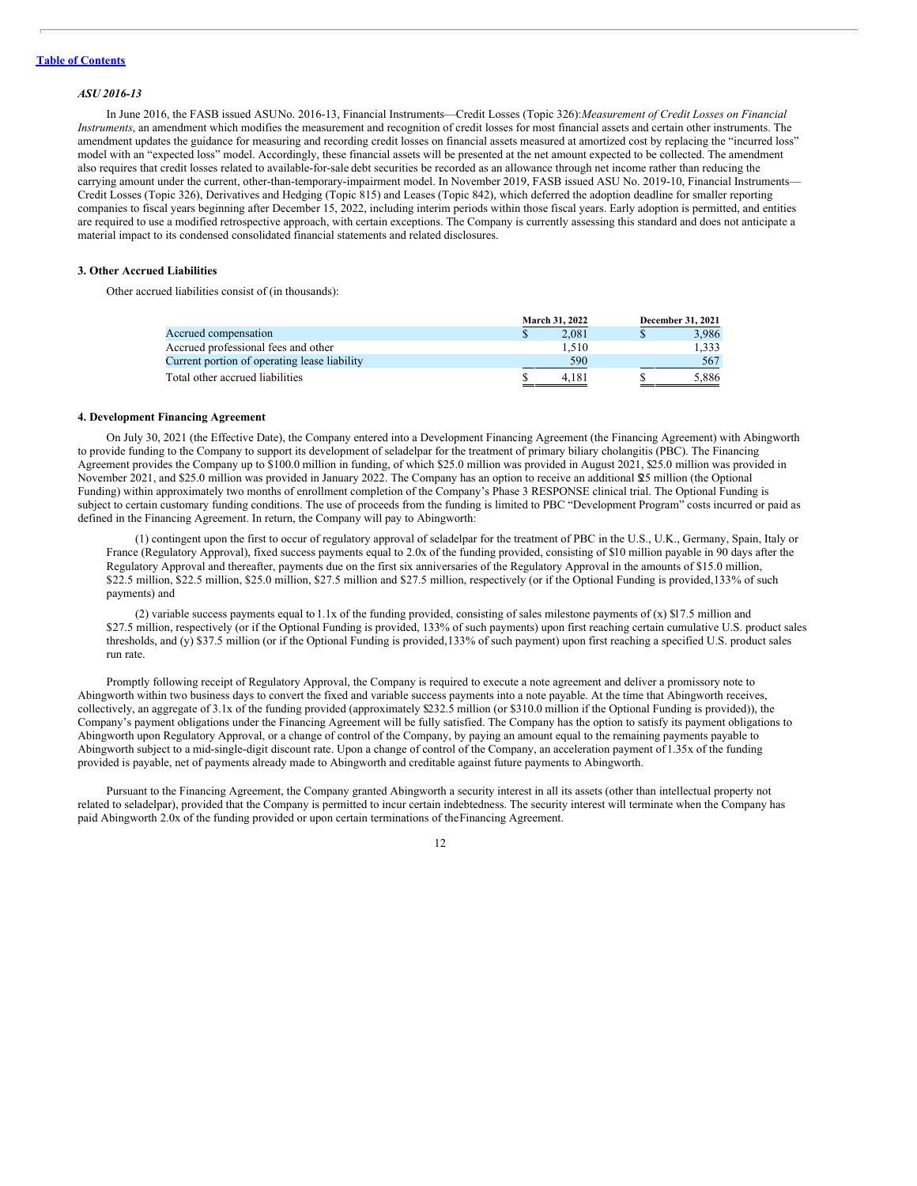#### *ASU 2016-13*

In June 2016, the FASB issued ASUNo. 2016-13, Financial Instruments—Credit Losses (Topic 326):*Measurement of Credit Losses on Financial Instruments*, an amendment which modifies the measurement and recognition of credit losses for most financial assets and certain other instruments. The amendment updates the guidance for measuring and recording credit losses on financial assets measured at amortized cost by replacing the "incurred loss" model with an "expected loss" model. Accordingly, these financial assets will be presented at the net amount expected to be collected. The amendment also requires that credit losses related to available-for-sale debt securities be recorded as an allowance through net income rather than reducing the carrying amount under the current, other-than-temporary-impairment model. In November 2019, FASB issued ASU No. 2019-10, Financial Instruments-Credit Losses (Topic 326), Derivatives and Hedging (Topic 815) and Leases (Topic 842), which deferred the adoption deadline for smaller reporting companies to fiscal years beginning after December 15, 2022, including interim periods within those fiscal years. Early adoption is permitted, and entities are required to use a modified retrospective approach, with certain exceptions. The Company is currently assessing this standard and does not anticipate a material impact to its condensed consolidated financial statements and related disclosures.

# **3. Other Accrued Liabilities**

Other accrued liabilities consist of (in thousands):

|                                              | <b>March 31, 2022</b> | December 31, 2021 |
|----------------------------------------------|-----------------------|-------------------|
| Accrued compensation                         | 2.081                 | 3.986             |
| Accrued professional fees and other          | 1.510                 | 1.333             |
| Current portion of operating lease liability | 590                   | 567               |
| Total other accrued liabilities              | 4.181                 | 5.886             |

#### **4. Development Financing Agreement**

On July 30, 2021 (the Effective Date), the Company entered into a Development Financing Agreement (the Financing Agreement) with Abingworth to provide funding to the Company to support its development of seladelpar for the treatment of primary biliary cholangitis (PBC). The Financing Agreement provides the Company up to \$100.0 million in funding, of which \$25.0 million was provided in August 2021, \$25.0 million was provided in November 2021, and \$25.0 million was provided in January 2022. The Company has an option to receive an additional \$25 million (the Optional Funding) within approximately two months of enrollment completion of the Company's Phase 3 RESPONSE clinical trial. The Optional Funding is subject to certain customary funding conditions. The use of proceeds from the funding is limited to PBC "Development Program" costs incurred or paid as defined in the Financing Agreement. In return, the Company will pay to Abingworth:

(1) contingent upon the first to occur of regulatory approval of seladelpar for the treatment of PBC in the U.S., U.K., Germany, Spain, Italy or France (Regulatory Approval), fixed success payments equal to 2.0x of the funding provided, consisting of \$10 million payable in 90 days after the Regulatory Approval and thereafter, payments due on the first six anniversaries of the Regulatory Approval in the amounts of \$15.0 million, \$22.5 million, \$22.5 million, \$25.0 million, \$27.5 million and \$27.5 million, respectively (or if the Optional Funding is provided,133% of such payments) and

(2) variable success payments equal to 1.1x of the funding provided, consisting of sales milestone payments of (x) \$17.5 million and \$27.5 million, respectively (or if the Optional Funding is provided, 133% of such payments) upon first reaching certain cumulative U.S. product sales thresholds, and (y) \$37.5 million (or if the Optional Funding is provided,133% of such payment) upon first reaching a specified U.S. product sales run rate.

Promptly following receipt of Regulatory Approval, the Company is required to execute a note agreement and deliver a promissory note to Abingworth within two business days to convert the fixed and variable success payments into a note payable. At the time that Abingworth receives, collectively, an aggregate of 3.1x of the funding provided (approximately \$232.5 million (or \$310.0 million if the Optional Funding is provided)), the Company's payment obligations under the Financing Agreement will be fully satisfied. The Company has the option to satisfy its payment obligations to Abingworth upon Regulatory Approval, or a change of control of the Company, by paying an amount equal to the remaining payments payable to Abingworth subject to a mid-single-digit discount rate. Upon a change of control of the Company, an acceleration payment of 1.35x of the funding provided is payable, net of payments already made to Abingworth and creditable against future payments to Abingworth.

Pursuant to the Financing Agreement, the Company granted Abingworth a security interest in all its assets (other than intellectual property not related to seladelpar), provided that the Company is permitted to incur certain indebtedness. The security interest will terminate when the Company has paid Abingworth 2.0x of the funding provided or upon certain terminations of theFinancing Agreement.

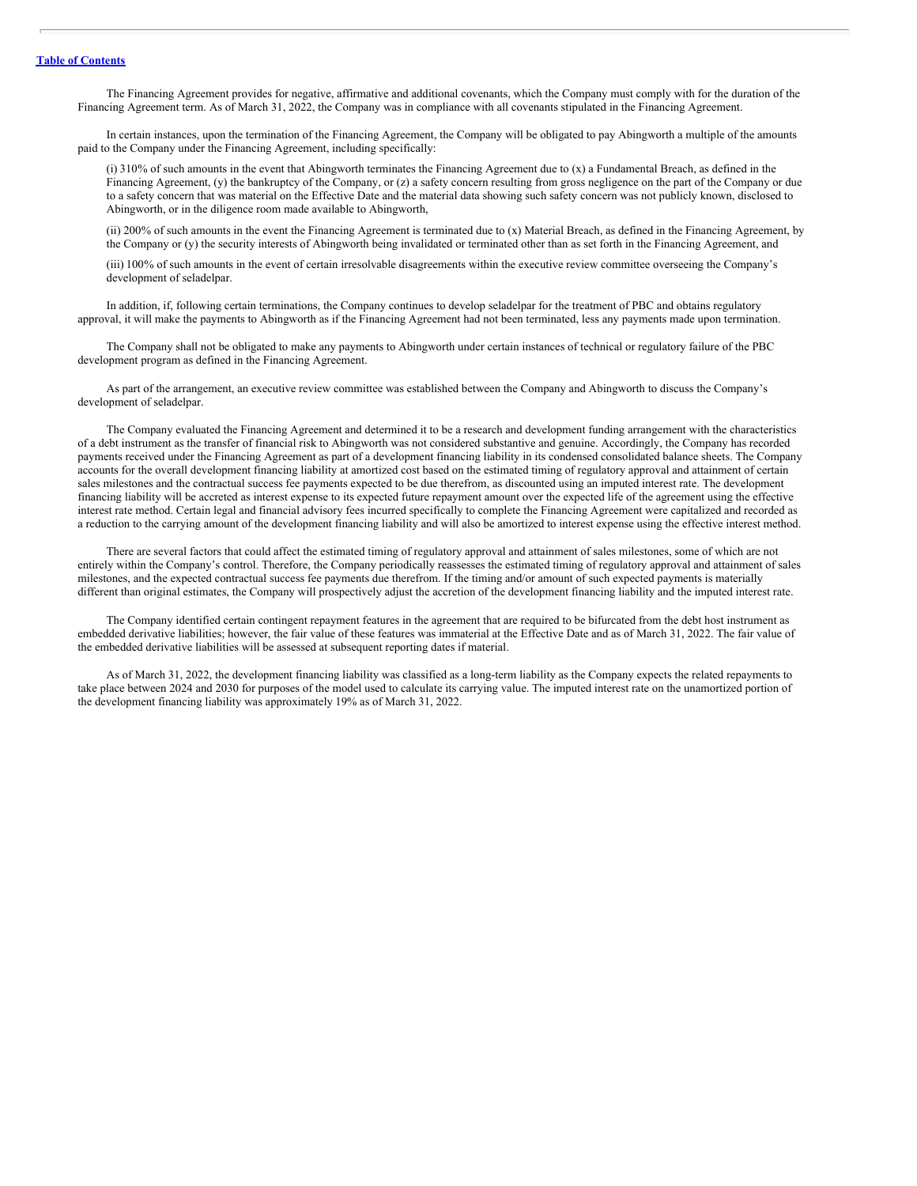The Financing Agreement provides for negative, affirmative and additional covenants, which the Company must comply with for the duration of the Financing Agreement term. As of March 31, 2022, the Company was in compliance with all covenants stipulated in the Financing Agreement.

In certain instances, upon the termination of the Financing Agreement, the Company will be obligated to pay Abingworth a multiple of the amounts paid to the Company under the Financing Agreement, including specifically:

(i) 310% of such amounts in the event that Abingworth terminates the Financing Agreement due to (x) a Fundamental Breach, as defined in the Financing Agreement, (y) the bankruptcy of the Company, or (z) a safety concern resulting from gross negligence on the part of the Company or due to a safety concern that was material on the Effective Date and the material data showing such safety concern was not publicly known, disclosed to Abingworth, or in the diligence room made available to Abingworth,

(ii) 200% of such amounts in the event the Financing Agreement is terminated due to (x) Material Breach, as defined in the Financing Agreement, by the Company or (y) the security interests of Abingworth being invalidated or terminated other than as set forth in the Financing Agreement, and

(iii) 100% of such amounts in the event of certain irresolvable disagreements within the executive review committee overseeing the Company's development of seladelpar.

In addition, if, following certain terminations, the Company continues to develop seladelpar for the treatment of PBC and obtains regulatory approval, it will make the payments to Abingworth as if the Financing Agreement had not been terminated, less any payments made upon termination.

The Company shall not be obligated to make any payments to Abingworth under certain instances of technical or regulatory failure of the PBC development program as defined in the Financing Agreement.

As part of the arrangement, an executive review committee was established between the Company and Abingworth to discuss the Company's development of seladelpar.

The Company evaluated the Financing Agreement and determined it to be a research and development funding arrangement with the characteristics of a debt instrument as the transfer of financial risk to Abingworth was not considered substantive and genuine. Accordingly, the Company has recorded payments received under the Financing Agreement as part of a development financing liability in its condensed consolidated balance sheets. The Company accounts for the overall development financing liability at amortized cost based on the estimated timing of regulatory approval and attainment of certain sales milestones and the contractual success fee payments expected to be due therefrom, as discounted using an imputed interest rate. The development financing liability will be accreted as interest expense to its expected future repayment amount over the expected life of the agreement using the effective interest rate method. Certain legal and financial advisory fees incurred specifically to complete the Financing Agreement were capitalized and recorded as a reduction to the carrying amount of the development financing liability and will also be amortized to interest expense using the effective interest method.

There are several factors that could affect the estimated timing of regulatory approval and attainment of sales milestones, some of which are not entirely within the Company's control. Therefore, the Company periodically reassesses the estimated timing of regulatory approval and attainment of sales milestones, and the expected contractual success fee payments due therefrom. If the timing and/or amount of such expected payments is materially different than original estimates, the Company will prospectively adjust the accretion of the development financing liability and the imputed interest rate.

The Company identified certain contingent repayment features in the agreement that are required to be bifurcated from the debt host instrument as embedded derivative liabilities; however, the fair value of these features was immaterial at the Effective Date and as of March 31, 2022. The fair value of the embedded derivative liabilities will be assessed at subsequent reporting dates if material.

As of March 31, 2022, the development financing liability was classified as a long-term liability as the Company expects the related repayments to take place between 2024 and 2030 for purposes of the model used to calculate its carrying value. The imputed interest rate on the unamortized portion of the development financing liability was approximately 19% as of March 31, 2022.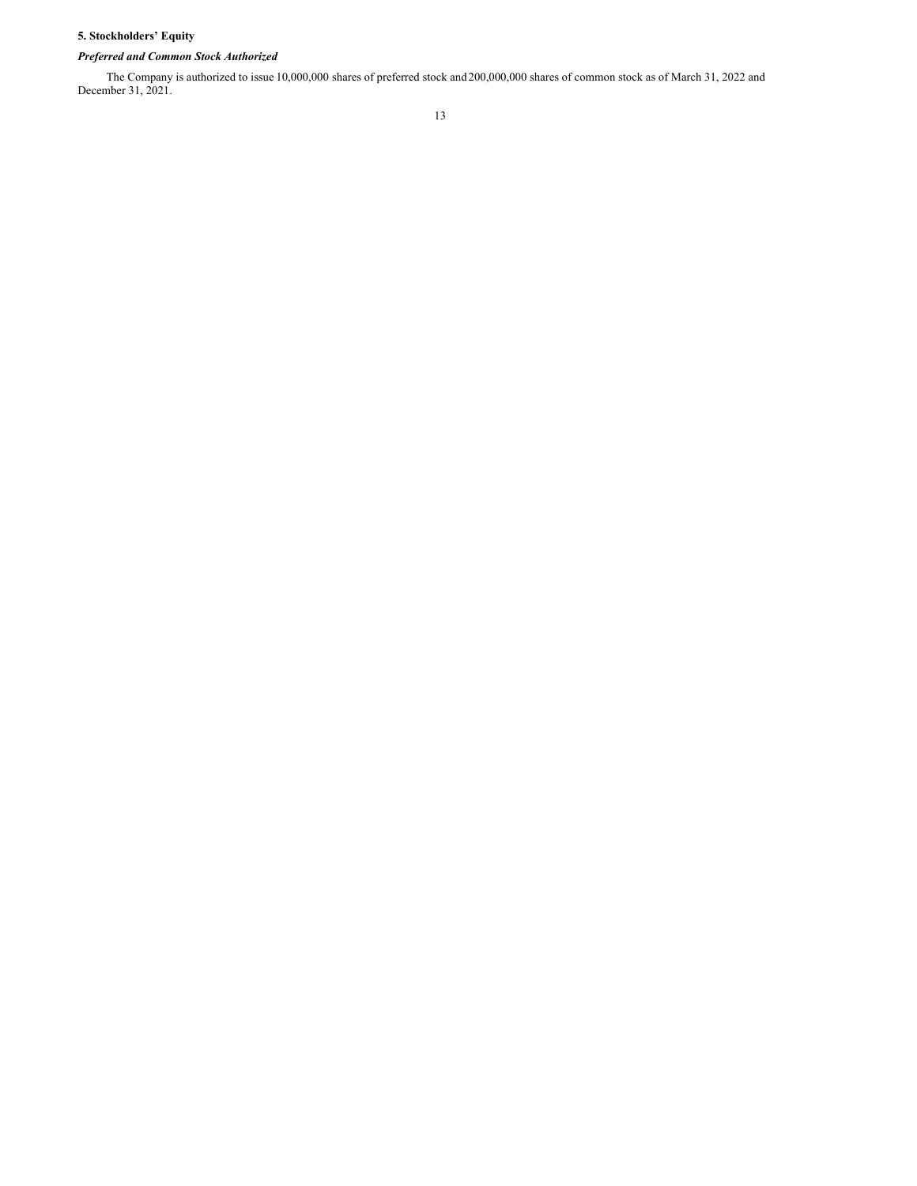# **5. Stockholders' Equity**

# *Preferred and Common Stock Authorized*

The Company is authorized to issue 10,000,000 shares of preferred stock and 200,000,000 shares of common stock as of March 31, 2022 and December 31, 2021.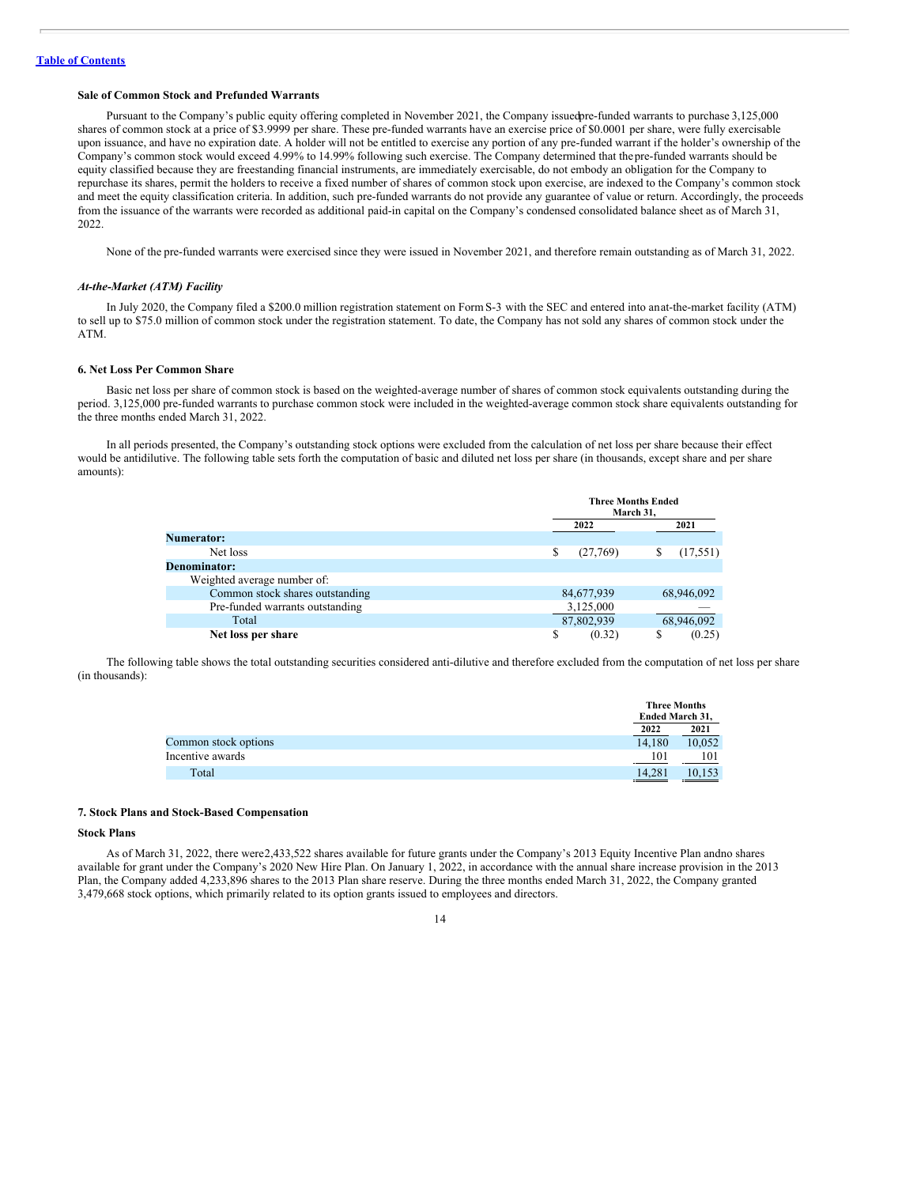#### **Sale of Common Stock and Prefunded Warrants**

Pursuant to the Company's public equity offering completed in November 2021, the Company issuedpre-funded warrants to purchase 3,125,000 shares of common stock at a price of \$3.9999 per share. These pre-funded warrants have an exercise price of \$0.0001 per share, were fully exercisable upon issuance, and have no expiration date. A holder will not be entitled to exercise any portion of any pre-funded warrant if the holder's ownership of the Company's common stock would exceed 4.99% to 14.99% following such exercise. The Company determined that thepre-funded warrants should be equity classified because they are freestanding financial instruments, are immediately exercisable, do not embody an obligation for the Company to repurchase its shares, permit the holders to receive a fixed number of shares of common stock upon exercise, are indexed to the Company's common stock and meet the equity classification criteria. In addition, such pre-funded warrants do not provide any guarantee of value or return. Accordingly, the proceeds from the issuance of the warrants were recorded as additional paid-in capital on the Company's condensed consolidated balance sheet as of March 31, 2022.

None of the pre-funded warrants were exercised since they were issued in November 2021, and therefore remain outstanding as of March 31, 2022.

#### *At-the-Market (ATM) Facility*

In July 2020, the Company filed a \$200.0 million registration statement on Form S-3 with the SEC and entered into anat-the-market facility (ATM) to sell up to \$75.0 million of common stock under the registration statement. To date, the Company has not sold any shares of common stock under the ATM.

# **6. Net Loss Per Common Share**

Basic net loss per share of common stock is based on the weighted-average number of shares of common stock equivalents outstanding during the period. 3,125,000 pre-funded warrants to purchase common stock were included in the weighted-average common stock share equivalents outstanding for the three months ended March 31, 2022.

In all periods presented, the Company's outstanding stock options were excluded from the calculation of net loss per share because their effect would be antidilutive. The following table sets forth the computation of basic and diluted net loss per share (in thousands, except share and per share amounts):

|                                 |                | <b>Three Months Ended</b><br>March 31, |
|---------------------------------|----------------|----------------------------------------|
|                                 | 2022           | 2021                                   |
| <b>Numerator:</b>               |                |                                        |
| Net loss                        | \$<br>(27,769) | \$<br>(17, 551)                        |
| <b>Denominator:</b>             |                |                                        |
| Weighted average number of:     |                |                                        |
| Common stock shares outstanding | 84,677,939     | 68,946,092                             |
| Pre-funded warrants outstanding | 3,125,000      |                                        |
| Total                           | 87,802,939     | 68,946,092                             |
| Net loss per share              | \$<br>(0.32)   | \$<br>(0.25)                           |

The following table shows the total outstanding securities considered anti-dilutive and therefore excluded from the computation of net loss per share (in thousands):

|                      | Ended March 31, | <b>Three Months</b> |
|----------------------|-----------------|---------------------|
|                      | 2022            | 2021                |
| Common stock options | 14.180          | 10.052              |
| Incentive awards     | 101             | 101                 |
| Total                | 14.281          | 10.153              |

# **7. Stock Plans and Stock-Based Compensation**

# **Stock Plans**

As of March 31, 2022, there were2,433,522 shares available for future grants under the Company's 2013 Equity Incentive Plan andno shares available for grant under the Company's 2020 New Hire Plan. On January 1, 2022, in accordance with the annual share increase provision in the 2013 Plan, the Company added 4,233,896 shares to the 2013 Plan share reserve. During the three months ended March 31, 2022, the Company granted 3,479,668 stock options, which primarily related to its option grants issued to employees and directors.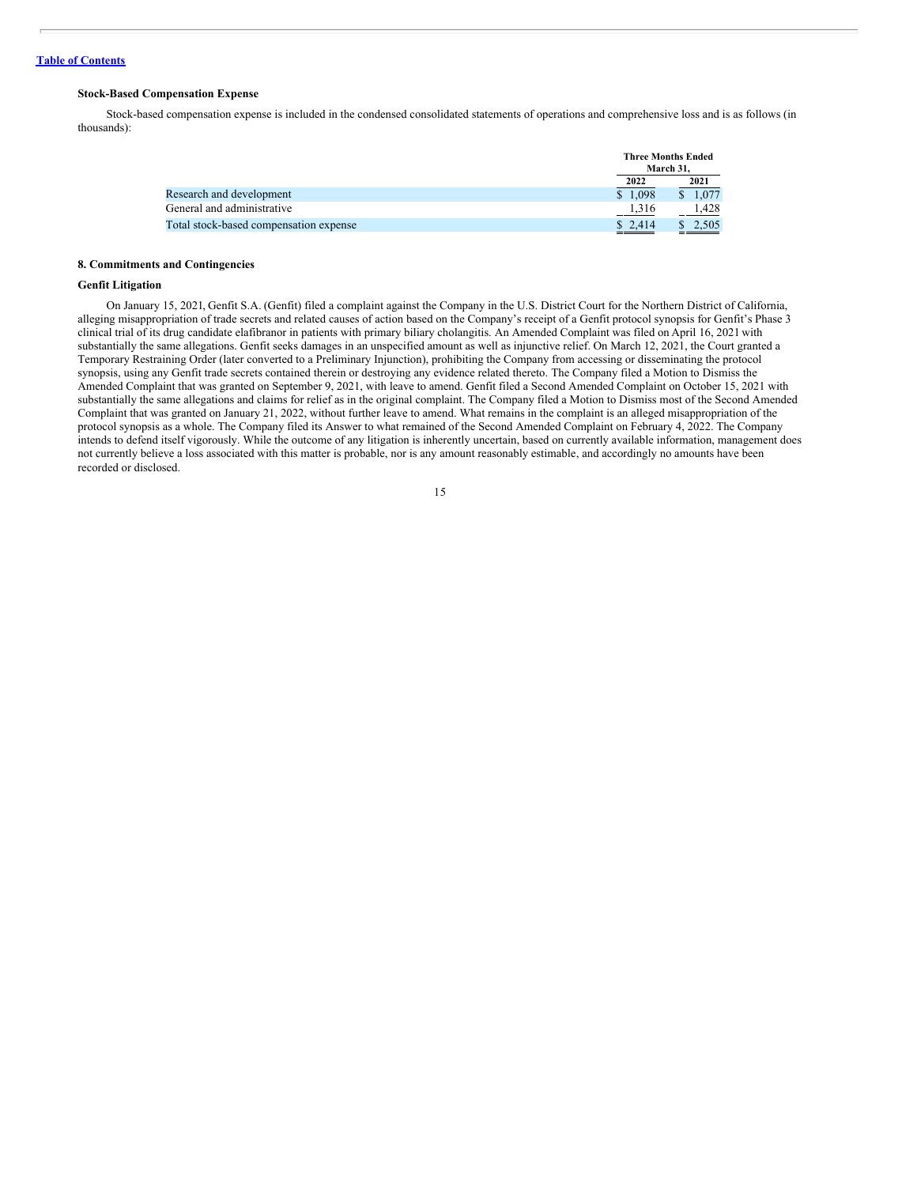#### **Stock-Based Compensation Expense**

Stock-based compensation expense is included in the condensed consolidated statements of operations and comprehensive loss and is as follows (in thousands):

|                                        |         | <b>Three Months Ended</b><br>March 31. |  |
|----------------------------------------|---------|----------------------------------------|--|
|                                        | 2022    | 2021                                   |  |
| Research and development               | \$1.098 | \$1.077                                |  |
| General and administrative             | 1,316   | 1.428                                  |  |
| Total stock-based compensation expense | \$2,414 | 2,505<br>______                        |  |

# **8. Commitments and Contingencies**

#### **Genfit Litigation**

On January 15, 2021, Genfit S.A. (Genfit) filed a complaint against the Company in the U.S. District Court for the Northern District of California, alleging misappropriation of trade secrets and related causes of action based on the Company's receipt of a Genfit protocol synopsis for Genfit's Phase 3 clinical trial of its drug candidate elafibranor in patients with primary biliary cholangitis. An Amended Complaint was filed on April 16, 2021 with substantially the same allegations. Genfit seeks damages in an unspecified amount as well as injunctive relief. On March 12, 2021, the Court granted a Temporary Restraining Order (later converted to a Preliminary Injunction), prohibiting the Company from accessing or disseminating the protocol synopsis, using any Genfit trade secrets contained therein or destroying any evidence related thereto. The Company filed a Motion to Dismiss the Amended Complaint that was granted on September 9, 2021, with leave to amend. Genfit filed a Second Amended Complaint on October 15, 2021 with substantially the same allegations and claims for relief as in the original complaint. The Company filed a Motion to Dismiss most of the Second Amended Complaint that was granted on January 21, 2022, without further leave to amend. What remains in the complaint is an alleged misappropriation of the protocol synopsis as a whole. The Company filed its Answer to what remained of the Second Amended Complaint on February 4, 2022. The Company intends to defend itself vigorously. While the outcome of any litigation is inherently uncertain, based on currently available information, management does not currently believe a loss associated with this matter is probable, nor is any amount reasonably estimable, and accordingly no amounts have been recorded or disclosed.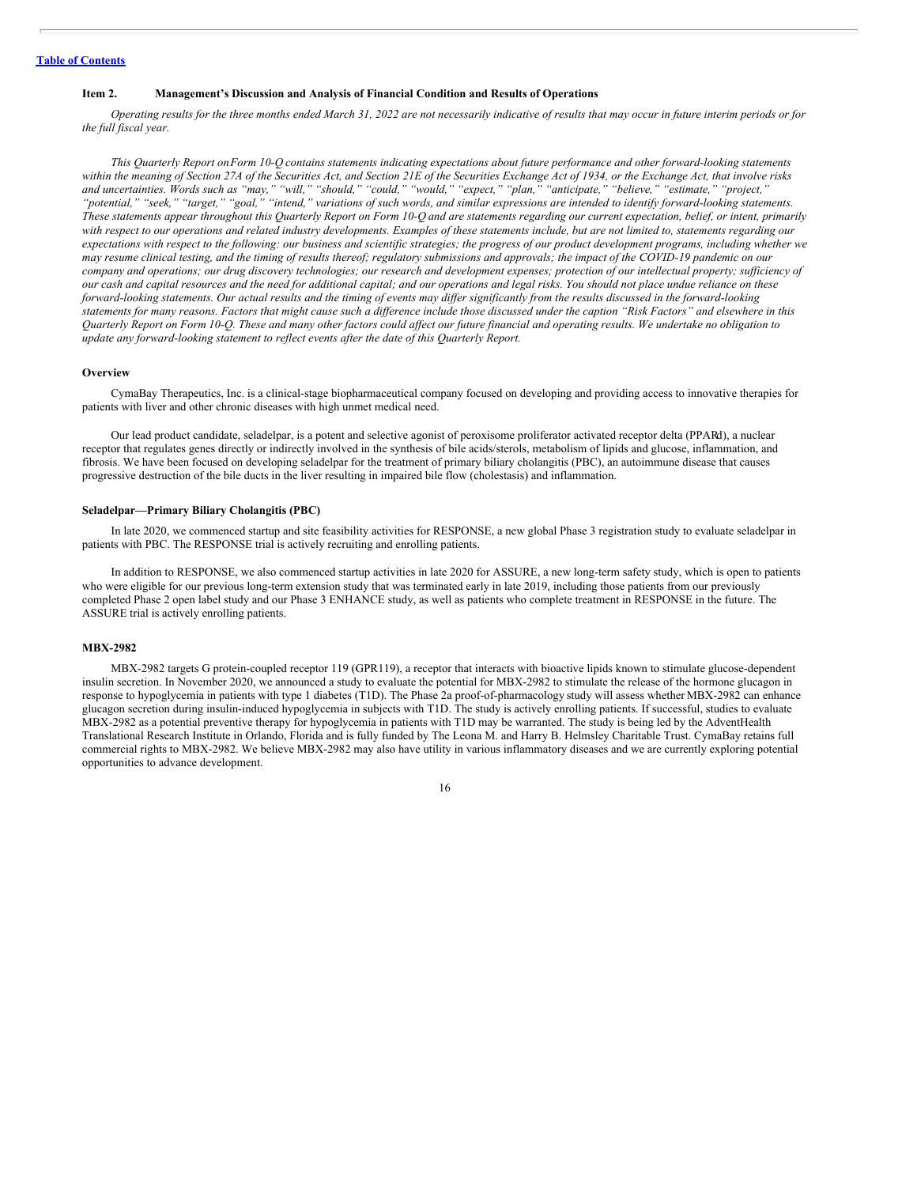#### <span id="page-16-0"></span>**Item 2. Management's Discussion and Analysis of Financial Condition and Results of Operations**

Operating results for the three months ended March 31, 2022 are not necessarily indicative of results that may occur in future interim periods or for *the full fiscal year.*

This Ouarterly Report on Form 10-O contains statements indicating expectations about future performance and other forward-looking statements within the meaning of Section 27A of the Securities Act, and Section 21E of the Securities Exchange Act of 1934, or the Exchange Act, that involve risks and uncertainties. Words such as "may," "will," "should," "could," "would," "expect," "plan," "anticipate," "believe," "estimate," "project," "potential," "seek," "target," "goal," "intend," variations of such words, and similar expressions are intended to identify forward-looking statements. These statements appear throughout this Quarterly Report on Form 10-Q and are statements regarding our current expectation, belief, or intent, primarily with respect to our operations and related industry developments. Examples of these statements include, but are not limited to, statements regarding our expectations with respect to the following: our business and scientific strategies; the progress of our product development programs, including whether we may resume clinical testing, and the timing of results thereof; regulatory submissions and approvals; the impact of the COVID-19 pandemic on our company and operations; our drug discovery technologies; our research and development expenses; protection of our intellectual property; sufficiency of our cash and capital resources and the need for additional capital; and our operations and legal risks. You should not place undue reliance on these forward-looking statements. Our actual results and the timing of events may differ significantly from the results discussed in the forward-looking statements for many reasons. Factors that might cause such a difference include those discussed under the caption "Risk Factors" and elsewhere in this Ouarterly Report on Form 10-O. These and many other factors could affect our future financial and operating results. We undertake no obligation to *update any forward-looking statement to reflect events after the date of this Quarterly Report.*

#### **Overview**

CymaBay Therapeutics, Inc. is a clinical-stage biopharmaceutical company focused on developing and providing access to innovative therapies for patients with liver and other chronic diseases with high unmet medical need.

Our lead product candidate, seladelpar, is a potent and selective agonist of peroxisome proliferator activated receptor delta (PPARd), a nuclear receptor that regulates genes directly or indirectly involved in the synthesis of bile acids/sterols, metabolism of lipids and glucose, inflammation, and fibrosis. We have been focused on developing seladelpar for the treatment of primary biliary cholangitis (PBC), an autoimmune disease that causes progressive destruction of the bile ducts in the liver resulting in impaired bile flow (cholestasis) and inflammation.

# **Seladelpar—Primary Biliary Cholangitis (PBC)**

In late 2020, we commenced startup and site feasibility activities for RESPONSE, a new global Phase 3 registration study to evaluate seladelpar in patients with PBC. The RESPONSE trial is actively recruiting and enrolling patients.

In addition to RESPONSE, we also commenced startup activities in late 2020 for ASSURE, a new long-term safety study, which is open to patients who were eligible for our previous long-term extension study that was terminated early in late 2019, including those patients from our previously completed Phase 2 open label study and our Phase 3 ENHANCE study, as well as patients who complete treatment in RESPONSE in the future. The ASSURE trial is actively enrolling patients.

#### **MBX-2982**

MBX-2982 targets G protein-coupled receptor 119 (GPR119), a receptor that interacts with bioactive lipids known to stimulate glucose-dependent insulin secretion. In November 2020, we announced a study to evaluate the potential for MBX-2982 to stimulate the release of the hormone glucagon in response to hypoglycemia in patients with type 1 diabetes (T1D). The Phase 2a proof-of-pharmacology study will assess whether MBX-2982 can enhance glucagon secretion during insulin-induced hypoglycemia in subjects with T1D. The study is actively enrolling patients. If successful, studies to evaluate MBX-2982 as a potential preventive therapy for hypoglycemia in patients with T1D may be warranted. The study is being led by the AdventHealth Translational Research Institute in Orlando, Florida and is fully funded by The Leona M. and Harry B. Helmsley Charitable Trust. CymaBay retains full commercial rights to MBX-2982. We believe MBX-2982 may also have utility in various inflammatory diseases and we are currently exploring potential opportunities to advance development.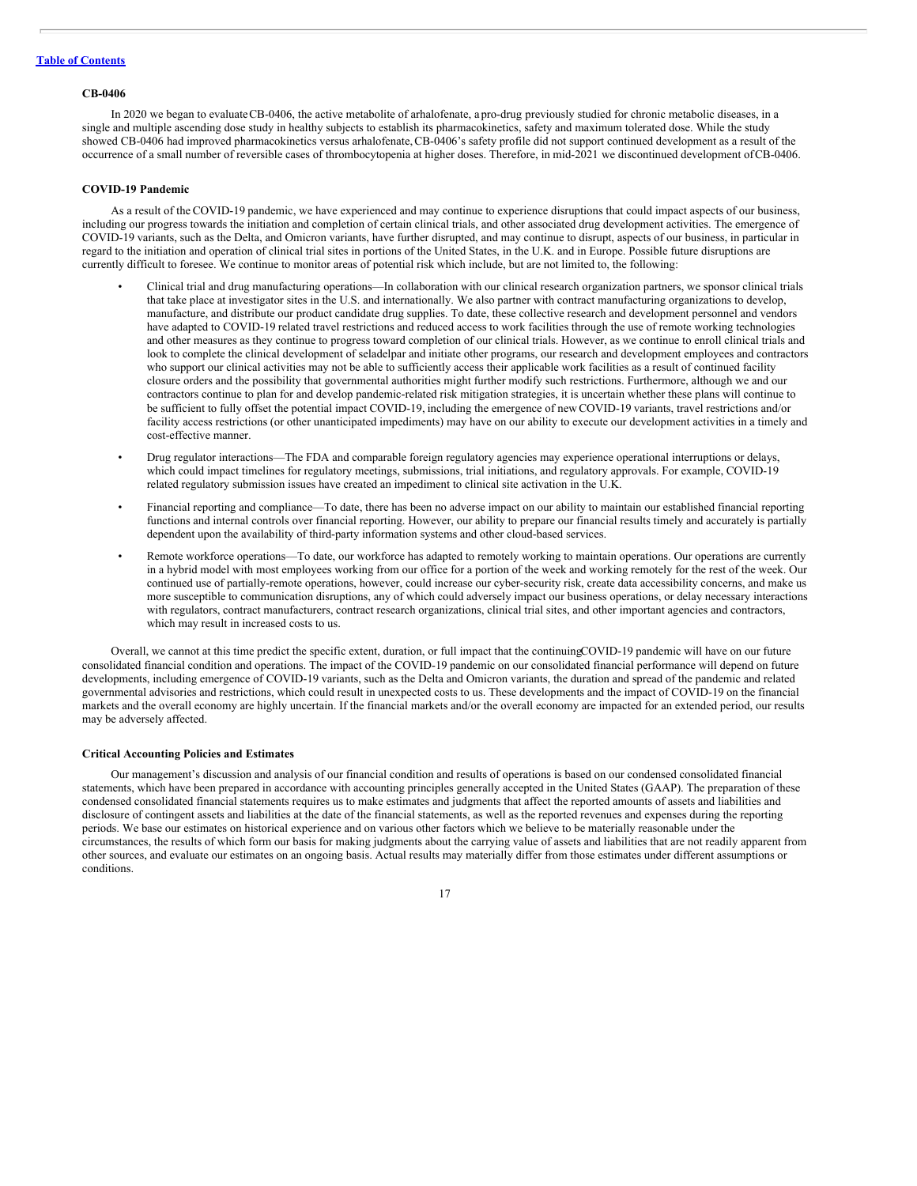#### **CB-0406**

In 2020 we began to evaluate CB-0406, the active metabolite of arhalofenate, a pro-drug previously studied for chronic metabolic diseases, in a single and multiple ascending dose study in healthy subjects to establish its pharmacokinetics, safety and maximum tolerated dose. While the study showed CB-0406 had improved pharmacokinetics versus arhalofenate,CB-0406's safety profile did not support continued development as a result of the occurrence of a small number of reversible cases of thrombocytopenia at higher doses. Therefore, in mid-2021 we discontinued development ofCB-0406.

#### **COVID-19 Pandemic**

As a result of the COVID-19 pandemic, we have experienced and may continue to experience disruptions that could impact aspects of our business, including our progress towards the initiation and completion of certain clinical trials, and other associated drug development activities. The emergence of COVID-19 variants, such as the Delta, and Omicron variants, have further disrupted, and may continue to disrupt, aspects of our business, in particular in regard to the initiation and operation of clinical trial sites in portions of the United States, in the U.K. and in Europe. Possible future disruptions are currently difficult to foresee. We continue to monitor areas of potential risk which include, but are not limited to, the following:

- Clinical trial and drug manufacturing operations—In collaboration with our clinical research organization partners, we sponsor clinical trials that take place at investigator sites in the U.S. and internationally. We also partner with contract manufacturing organizations to develop, manufacture, and distribute our product candidate drug supplies. To date, these collective research and development personnel and vendors have adapted to COVID-19 related travel restrictions and reduced access to work facilities through the use of remote working technologies and other measures as they continue to progress toward completion of our clinical trials. However, as we continue to enroll clinical trials and look to complete the clinical development of seladelpar and initiate other programs, our research and development employees and contractors who support our clinical activities may not be able to sufficiently access their applicable work facilities as a result of continued facility closure orders and the possibility that governmental authorities might further modify such restrictions. Furthermore, although we and our contractors continue to plan for and develop pandemic-related risk mitigation strategies, it is uncertain whether these plans will continue to be sufficient to fully offset the potential impact COVID-19, including the emergence of new COVID-19 variants, travel restrictions and/or facility access restrictions (or other unanticipated impediments) may have on our ability to execute our development activities in a timely and cost-effective manner.
- Drug regulator interactions—The FDA and comparable foreign regulatory agencies may experience operational interruptions or delays, which could impact timelines for regulatory meetings, submissions, trial initiations, and regulatory approvals. For example, COVID-19 related regulatory submission issues have created an impediment to clinical site activation in the U.K.
- Financial reporting and compliance—To date, there has been no adverse impact on our ability to maintain our established financial reporting functions and internal controls over financial reporting. However, our ability to prepare our financial results timely and accurately is partially dependent upon the availability of third-party information systems and other cloud-based services.
- Remote workforce operations—To date, our workforce has adapted to remotely working to maintain operations. Our operations are currently in a hybrid model with most employees working from our office for a portion of the week and working remotely for the rest of the week. Our continued use of partially-remote operations, however, could increase our cyber-security risk, create data accessibility concerns, and make us more susceptible to communication disruptions, any of which could adversely impact our business operations, or delay necessary interactions with regulators, contract manufacturers, contract research organizations, clinical trial sites, and other important agencies and contractors, which may result in increased costs to us.

Overall, we cannot at this time predict the specific extent, duration, or full impact that the continuingCOVID-19 pandemic will have on our future consolidated financial condition and operations. The impact of the COVID-19 pandemic on our consolidated financial performance will depend on future developments, including emergence of COVID-19 variants, such as the Delta and Omicron variants, the duration and spread of the pandemic and related governmental advisories and restrictions, which could result in unexpected costs to us. These developments and the impact of COVID-19 on the financial markets and the overall economy are highly uncertain. If the financial markets and/or the overall economy are impacted for an extended period, our results may be adversely affected.

#### **Critical Accounting Policies and Estimates**

Our management's discussion and analysis of our financial condition and results of operations is based on our condensed consolidated financial statements, which have been prepared in accordance with accounting principles generally accepted in the United States (GAAP). The preparation of these condensed consolidated financial statements requires us to make estimates and judgments that affect the reported amounts of assets and liabilities and disclosure of contingent assets and liabilities at the date of the financial statements, as well as the reported revenues and expenses during the reporting periods. We base our estimates on historical experience and on various other factors which we believe to be materially reasonable under the circumstances, the results of which form our basis for making judgments about the carrying value of assets and liabilities that are not readily apparent from other sources, and evaluate our estimates on an ongoing basis. Actual results may materially differ from those estimates under different assumptions or conditions.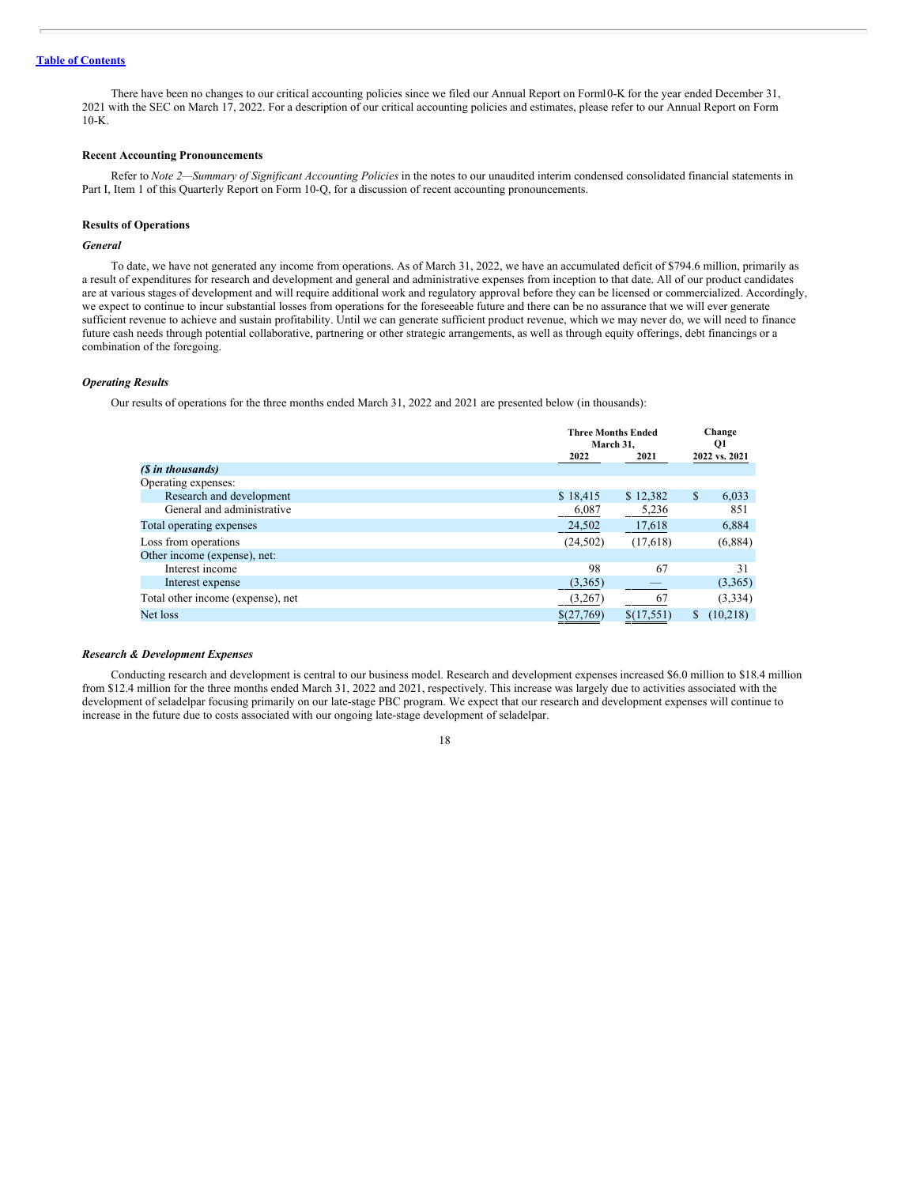There have been no changes to our critical accounting policies since we filed our Annual Report on Form10-K for the year ended December 31, 2021 with the SEC on March 17, 2022. For a description of our critical accounting policies and estimates, please refer to our Annual Report on Form  $10-K$ 

## **Recent Accounting Pronouncements**

Refer to *Note 2—Summary of Significant Accounting Policies* in the notes to our unaudited interim condensed consolidated financial statements in Part I, Item 1 of this Quarterly Report on Form 10-Q, for a discussion of recent accounting pronouncements.

## **Results of Operations**

# *General*

To date, we have not generated any income from operations. As of March 31, 2022, we have an accumulated deficit of \$794.6 million, primarily as a result of expenditures for research and development and general and administrative expenses from inception to that date. All of our product candidates are at various stages of development and will require additional work and regulatory approval before they can be licensed or commercialized. Accordingly, we expect to continue to incur substantial losses from operations for the foreseeable future and there can be no assurance that we will ever generate sufficient revenue to achieve and sustain profitability. Until we can generate sufficient product revenue, which we may never do, we will need to finance future cash needs through potential collaborative, partnering or other strategic arrangements, as well as through equity offerings, debt financings or a combination of the foregoing.

#### *Operating Results*

Our results of operations for the three months ended March 31, 2022 and 2021 are presented below (in thousands):

|                                   |            | <b>Three Months Ended</b><br>March 31. |    | Change<br>Q1  |  |
|-----------------------------------|------------|----------------------------------------|----|---------------|--|
|                                   | 2022       | 2021                                   |    | 2022 vs. 2021 |  |
| (\$ in thousands)                 |            |                                        |    |               |  |
| Operating expenses:               |            |                                        |    |               |  |
| Research and development          | \$18,415   | \$12,382                               | \$ | 6,033         |  |
| General and administrative        | 6,087      | 5,236                                  |    | 851           |  |
| Total operating expenses          | 24,502     | 17,618                                 |    | 6,884         |  |
| Loss from operations              | (24, 502)  | (17,618)                               |    | (6,884)       |  |
| Other income (expense), net:      |            |                                        |    |               |  |
| Interest income                   | 98         | 67                                     |    | 31            |  |
| Interest expense                  | (3,365)    |                                        |    | (3,365)       |  |
| Total other income (expense), net | (3,267)    | 67                                     |    | (3,334)       |  |
| Net loss                          | \$(27,769) | \$(17,551)                             | S  | (10,218)      |  |
|                                   |            |                                        |    |               |  |

#### *Research & Development Expenses*

Conducting research and development is central to our business model. Research and development expenses increased \$6.0 million to \$18.4 million from \$12.4 million for the three months ended March 31, 2022 and 2021, respectively. This increase was largely due to activities associated with the development of seladelpar focusing primarily on our late-stage PBC program. We expect that our research and development expenses will continue to increase in the future due to costs associated with our ongoing late-stage development of seladelpar.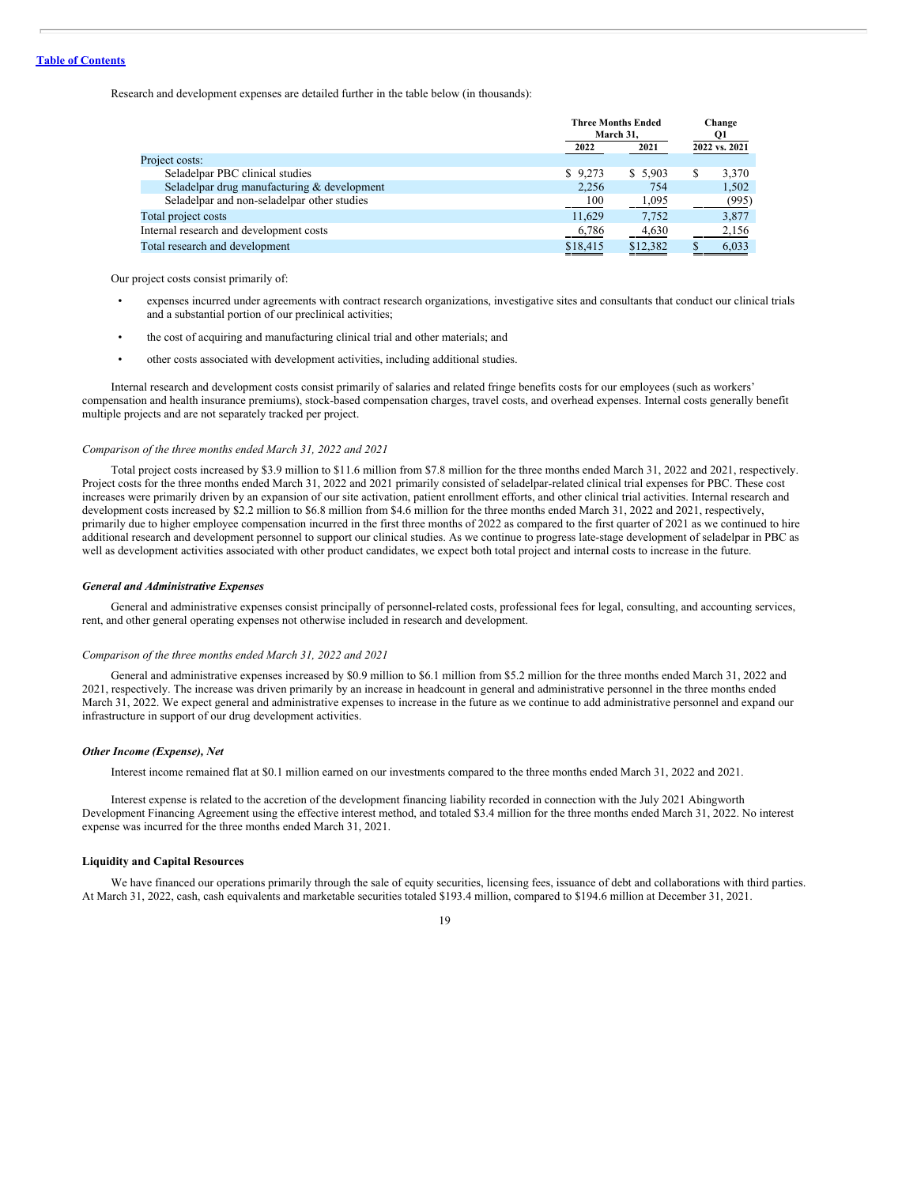Research and development expenses are detailed further in the table below (in thousands):

|                                             | <b>Three Months Ended</b><br>March 31. |          | Change<br>Q1  |  |
|---------------------------------------------|----------------------------------------|----------|---------------|--|
|                                             | 2022                                   | 2021     | 2022 vs. 2021 |  |
| Project costs:                              |                                        |          |               |  |
| Seladelpar PBC clinical studies             | \$9,273                                | \$5,903  | 3,370<br>S    |  |
| Seladelpar drug manufacturing & development | 2,256                                  | 754      | 1,502         |  |
| Seladelpar and non-seladelpar other studies | 100                                    | 1,095    | (995)         |  |
| Total project costs                         | 11.629                                 | 7,752    | 3,877         |  |
| Internal research and development costs     | 6,786                                  | 4,630    | 2,156         |  |
| Total research and development              | \$18,415                               | \$12,382 | 6,033         |  |

Our project costs consist primarily of:

- expenses incurred under agreements with contract research organizations, investigative sites and consultants that conduct our clinical trials and a substantial portion of our preclinical activities;
- the cost of acquiring and manufacturing clinical trial and other materials; and
- other costs associated with development activities, including additional studies.

Internal research and development costs consist primarily of salaries and related fringe benefits costs for our employees (such as workers' compensation and health insurance premiums), stock-based compensation charges, travel costs, and overhead expenses. Internal costs generally benefit multiple projects and are not separately tracked per project.

#### *Comparison of the three months ended March 31, 2022 and 2021*

Total project costs increased by \$3.9 million to \$11.6 million from \$7.8 million for the three months ended March 31, 2022 and 2021, respectively. Project costs for the three months ended March 31, 2022 and 2021 primarily consisted of seladelpar-related clinical trial expenses for PBC. These cost increases were primarily driven by an expansion of our site activation, patient enrollment efforts, and other clinical trial activities. Internal research and development costs increased by \$2.2 million to \$6.8 million from \$4.6 million for the three months ended March 31, 2022 and 2021, respectively, primarily due to higher employee compensation incurred in the first three months of 2022 as compared to the first quarter of 2021 as we continued to hire additional research and development personnel to support our clinical studies. As we continue to progress late-stage development of seladelpar in PBC as well as development activities associated with other product candidates, we expect both total project and internal costs to increase in the future.

#### *General and Administrative Expenses*

General and administrative expenses consist principally of personnel-related costs, professional fees for legal, consulting, and accounting services, rent, and other general operating expenses not otherwise included in research and development.

#### *Comparison of the three months ended March 31, 2022 and 2021*

General and administrative expenses increased by \$0.9 million to \$6.1 million from \$5.2 million for the three months ended March 31, 2022 and 2021, respectively. The increase was driven primarily by an increase in headcount in general and administrative personnel in the three months ended March 31, 2022. We expect general and administrative expenses to increase in the future as we continue to add administrative personnel and expand our infrastructure in support of our drug development activities.

#### *Other Income (Expense), Net*

Interest income remained flat at \$0.1 million earned on our investments compared to the three months ended March 31, 2022 and 2021.

Interest expense is related to the accretion of the development financing liability recorded in connection with the July 2021 Abingworth Development Financing Agreement using the effective interest method, and totaled \$3.4 million for the three months ended March 31, 2022. No interest expense was incurred for the three months ended March 31, 2021.

# **Liquidity and Capital Resources**

We have financed our operations primarily through the sale of equity securities, licensing fees, issuance of debt and collaborations with third parties. At March 31, 2022, cash, cash equivalents and marketable securities totaled \$193.4 million, compared to \$194.6 million at December 31, 2021.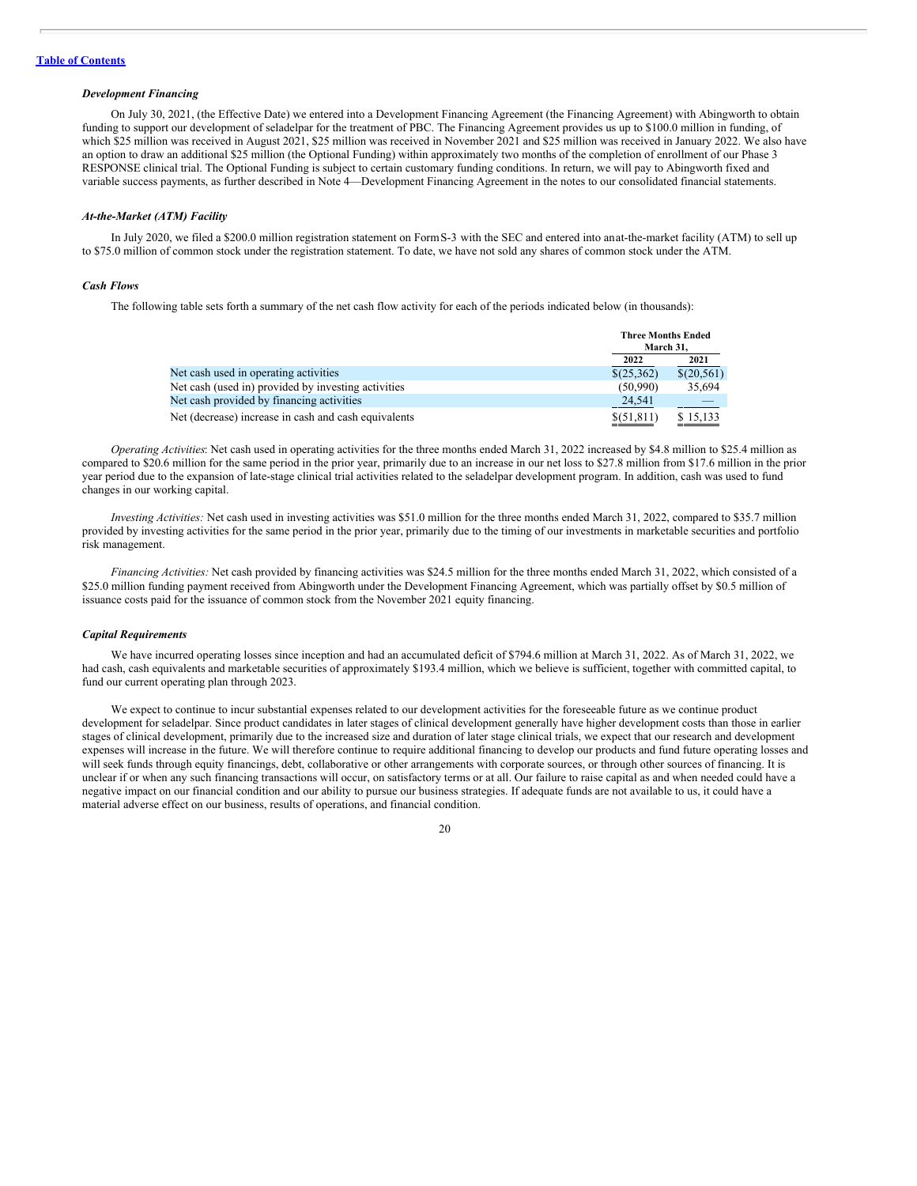#### *Development Financing*

On July 30, 2021, (the Effective Date) we entered into a Development Financing Agreement (the Financing Agreement) with Abingworth to obtain funding to support our development of seladelpar for the treatment of PBC. The Financing Agreement provides us up to \$100.0 million in funding, of which \$25 million was received in August 2021, \$25 million was received in November 2021 and \$25 million was received in January 2022. We also have an option to draw an additional \$25 million (the Optional Funding) within approximately two months of the completion of enrollment of our Phase 3 RESPONSE clinical trial. The Optional Funding is subject to certain customary funding conditions. In return, we will pay to Abingworth fixed and variable success payments, as further described in Note 4—Development Financing Agreement in the notes to our consolidated financial statements.

#### *At-the-Market (ATM) Facility*

In July 2020, we filed a \$200.0 million registration statement on FormS-3 with the SEC and entered into anat-the-market facility (ATM) to sell up to \$75.0 million of common stock under the registration statement. To date, we have not sold any shares of common stock under the ATM.

#### *Cash Flows*

The following table sets forth a summary of the net cash flow activity for each of the periods indicated below (in thousands):

|                                                      |             | <b>Three Months Ended</b><br>March 31. |  |
|------------------------------------------------------|-------------|----------------------------------------|--|
|                                                      | 2022        | 2021                                   |  |
| Net cash used in operating activities                | \$(25,362)  | \$(20,561)                             |  |
| Net cash (used in) provided by investing activities  | (50.990)    | 35.694                                 |  |
| Net cash provided by financing activities            | 24.541      |                                        |  |
| Net (decrease) increase in cash and cash equivalents | \$(51, 811) | \$15,133                               |  |

*Operating Activities*: Net cash used in operating activities for the three months ended March 31, 2022 increased by \$4.8 million to \$25.4 million as compared to \$20.6 million for the same period in the prior year, primarily due to an increase in our net loss to \$27.8 million from \$17.6 million in the prior year period due to the expansion of late-stage clinical trial activities related to the seladelpar development program. In addition, cash was used to fund changes in our working capital.

*Investing Activities:* Net cash used in investing activities was \$51.0 million for the three months ended March 31, 2022, compared to \$35.7 million provided by investing activities for the same period in the prior year, primarily due to the timing of our investments in marketable securities and portfolio risk management.

*Financing Activities:* Net cash provided by financing activities was \$24.5 million for the three months ended March 31, 2022, which consisted of a \$25.0 million funding payment received from Abingworth under the Development Financing Agreement, which was partially offset by \$0.5 million of issuance costs paid for the issuance of common stock from the November 2021 equity financing.

#### *Capital Requirements*

We have incurred operating losses since inception and had an accumulated deficit of \$794.6 million at March 31, 2022. As of March 31, 2022, we had cash, cash equivalents and marketable securities of approximately \$193.4 million, which we believe is sufficient, together with committed capital, to fund our current operating plan through 2023.

We expect to continue to incur substantial expenses related to our development activities for the foreseeable future as we continue product development for seladelpar. Since product candidates in later stages of clinical development generally have higher development costs than those in earlier stages of clinical development, primarily due to the increased size and duration of later stage clinical trials, we expect that our research and development expenses will increase in the future. We will therefore continue to require additional financing to develop our products and fund future operating losses and will seek funds through equity financings, debt, collaborative or other arrangements with corporate sources, or through other sources of financing. It is unclear if or when any such financing transactions will occur, on satisfactory terms or at all. Our failure to raise capital as and when needed could have a negative impact on our financial condition and our ability to pursue our business strategies. If adequate funds are not available to us, it could have a material adverse effect on our business, results of operations, and financial condition.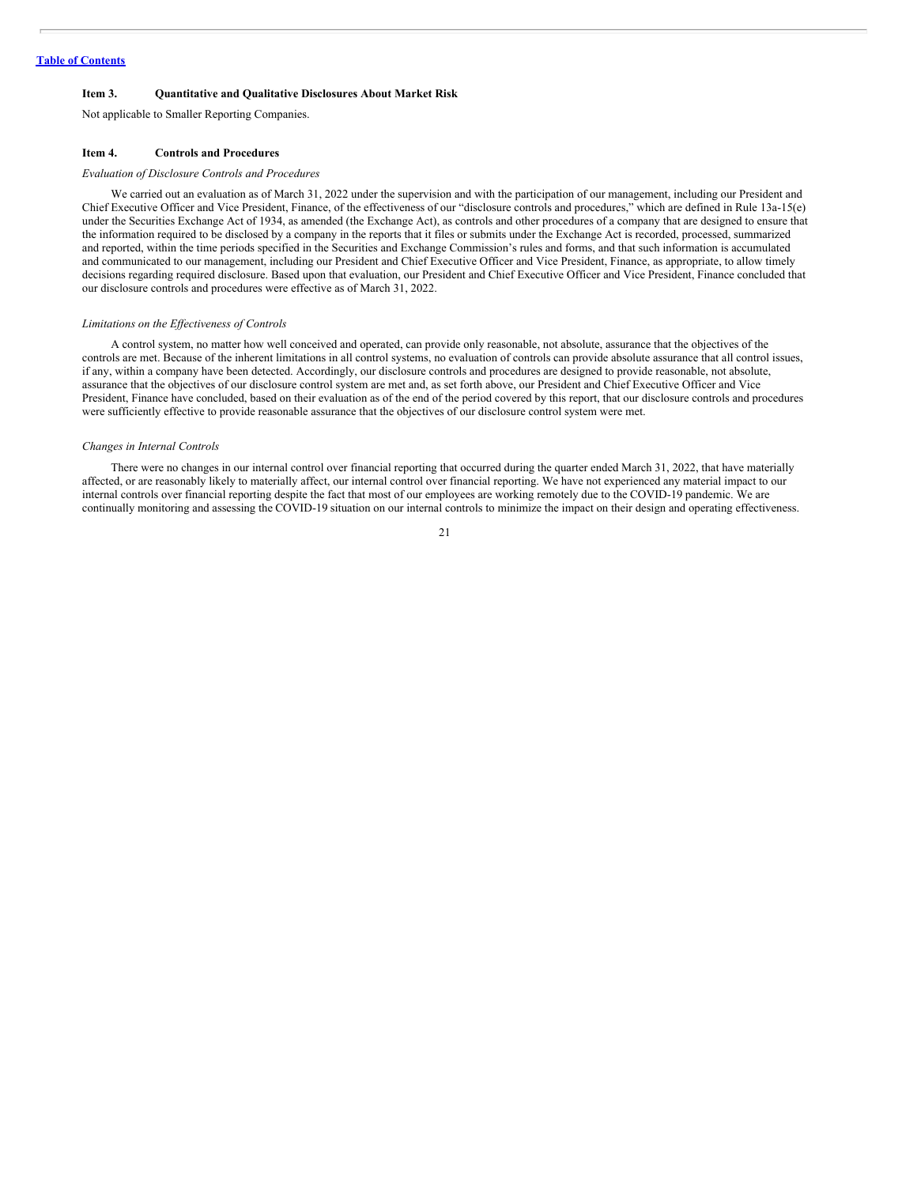#### <span id="page-21-0"></span>**Item 3. Quantitative and Qualitative Disclosures About Market Risk**

Not applicable to Smaller Reporting Companies.

#### <span id="page-21-1"></span>**Item 4. Controls and Procedures**

#### *Evaluation of Disclosure Controls and Procedures*

We carried out an evaluation as of March 31, 2022 under the supervision and with the participation of our management, including our President and Chief Executive Officer and Vice President, Finance, of the effectiveness of our "disclosure controls and procedures," which are defined in Rule 13a-15(e) under the Securities Exchange Act of 1934, as amended (the Exchange Act), as controls and other procedures of a company that are designed to ensure that the information required to be disclosed by a company in the reports that it files or submits under the Exchange Act is recorded, processed, summarized and reported, within the time periods specified in the Securities and Exchange Commission's rules and forms, and that such information is accumulated and communicated to our management, including our President and Chief Executive Officer and Vice President, Finance, as appropriate, to allow timely decisions regarding required disclosure. Based upon that evaluation, our President and Chief Executive Officer and Vice President, Finance concluded that our disclosure controls and procedures were effective as of March 31, 2022.

#### *Limitations on the Ef ectiveness of Controls*

A control system, no matter how well conceived and operated, can provide only reasonable, not absolute, assurance that the objectives of the controls are met. Because of the inherent limitations in all control systems, no evaluation of controls can provide absolute assurance that all control issues, if any, within a company have been detected. Accordingly, our disclosure controls and procedures are designed to provide reasonable, not absolute, assurance that the objectives of our disclosure control system are met and, as set forth above, our President and Chief Executive Officer and Vice President, Finance have concluded, based on their evaluation as of the end of the period covered by this report, that our disclosure controls and procedures were sufficiently effective to provide reasonable assurance that the objectives of our disclosure control system were met.

#### *Changes in Internal Controls*

There were no changes in our internal control over financial reporting that occurred during the quarter ended March 31, 2022, that have materially affected, or are reasonably likely to materially affect, our internal control over financial reporting. We have not experienced any material impact to our internal controls over financial reporting despite the fact that most of our employees are working remotely due to the COVID-19 pandemic. We are continually monitoring and assessing the COVID-19 situation on our internal controls to minimize the impact on their design and operating effectiveness.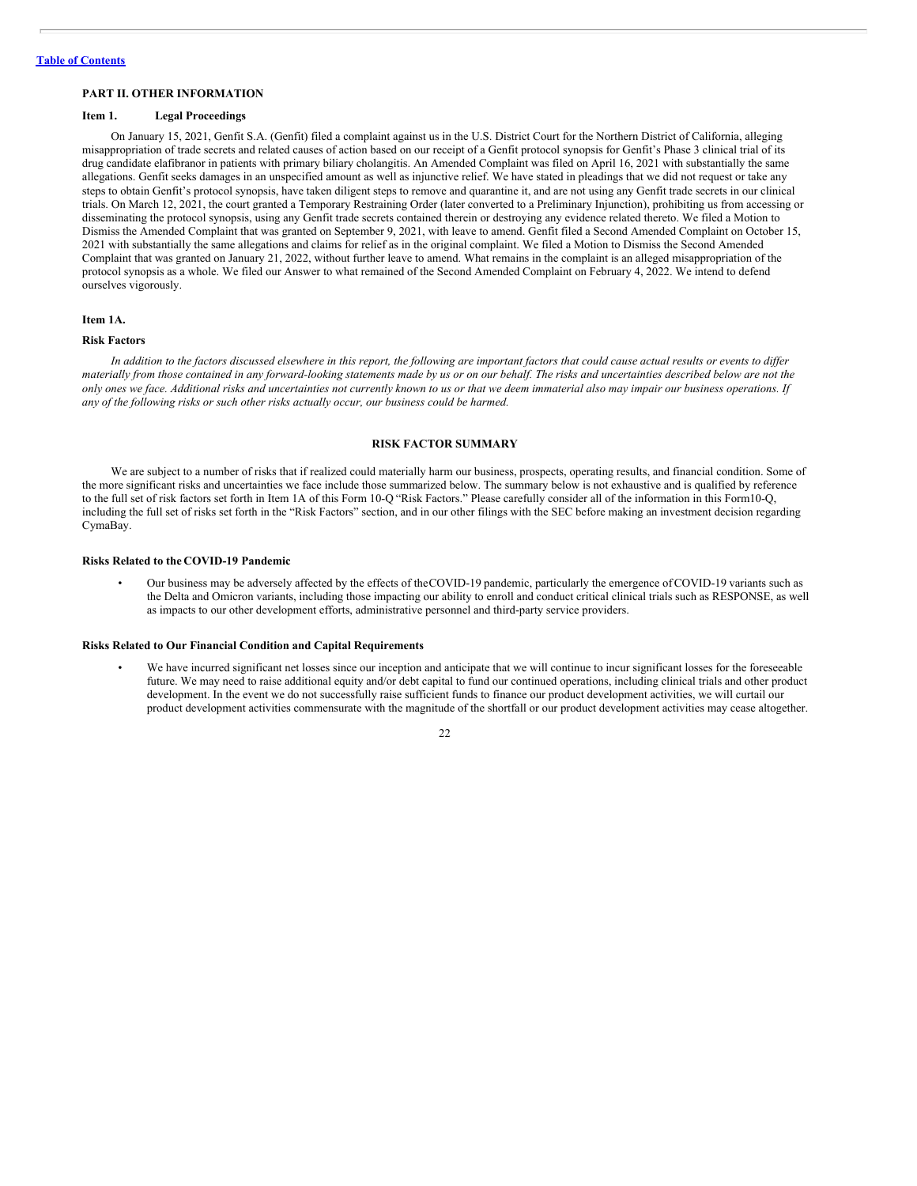# <span id="page-22-0"></span>**PART II. OTHER INFORMATION**

# <span id="page-22-1"></span>**Item 1. Legal Proceedings**

On January 15, 2021, Genfit S.A. (Genfit) filed a complaint against us in the U.S. District Court for the Northern District of California, alleging misappropriation of trade secrets and related causes of action based on our receipt of a Genfit protocol synopsis for Genfit's Phase 3 clinical trial of its drug candidate elafibranor in patients with primary biliary cholangitis. An Amended Complaint was filed on April 16, 2021 with substantially the same allegations. Genfit seeks damages in an unspecified amount as well as injunctive relief. We have stated in pleadings that we did not request or take any steps to obtain Genfit's protocol synopsis, have taken diligent steps to remove and quarantine it, and are not using any Genfit trade secrets in our clinical trials. On March 12, 2021, the court granted a Temporary Restraining Order (later converted to a Preliminary Injunction), prohibiting us from accessing or disseminating the protocol synopsis, using any Genfit trade secrets contained therein or destroying any evidence related thereto. We filed a Motion to Dismiss the Amended Complaint that was granted on September 9, 2021, with leave to amend. Genfit filed a Second Amended Complaint on October 15, 2021 with substantially the same allegations and claims for relief as in the original complaint. We filed a Motion to Dismiss the Second Amended Complaint that was granted on January 21, 2022, without further leave to amend. What remains in the complaint is an alleged misappropriation of the protocol synopsis as a whole. We filed our Answer to what remained of the Second Amended Complaint on February 4, 2022. We intend to defend ourselves vigorously.

# <span id="page-22-2"></span>**Item 1A.**

#### **Risk Factors**

In addition to the factors discussed elsewhere in this report, the following are important factors that could cause actual results or events to differ materially from those contained in any forward-looking statements made by us or on our behalf. The risks and uncertainties described below are not the only ones we face. Additional risks and uncertainties not currently known to us or that we deem immaterial also may impair our business operations. If *any of the following risks or such other risks actually occur, our business could be harmed.*

# **RISK FACTOR SUMMARY**

We are subject to a number of risks that if realized could materially harm our business, prospects, operating results, and financial condition. Some of the more significant risks and uncertainties we face include those summarized below. The summary below is not exhaustive and is qualified by reference to the full set of risk factors set forth in Item 1A of this Form 10-Q "Risk Factors." Please carefully consider all of the information in this Form10-Q, including the full set of risks set forth in the "Risk Factors" section, and in our other filings with the SEC before making an investment decision regarding CymaBay.

#### **Risks Related to the COVID-19 Pandemic**

• Our business may be adversely affected by the effects of theCOVID-19 pandemic, particularly the emergence of COVID-19 variants such as the Delta and Omicron variants, including those impacting our ability to enroll and conduct critical clinical trials such as RESPONSE, as well as impacts to our other development efforts, administrative personnel and third-party service providers.

# **Risks Related to Our Financial Condition and Capital Requirements**

• We have incurred significant net losses since our inception and anticipate that we will continue to incur significant losses for the foreseeable future. We may need to raise additional equity and/or debt capital to fund our continued operations, including clinical trials and other product development. In the event we do not successfully raise sufficient funds to finance our product development activities, we will curtail our product development activities commensurate with the magnitude of the shortfall or our product development activities may cease altogether.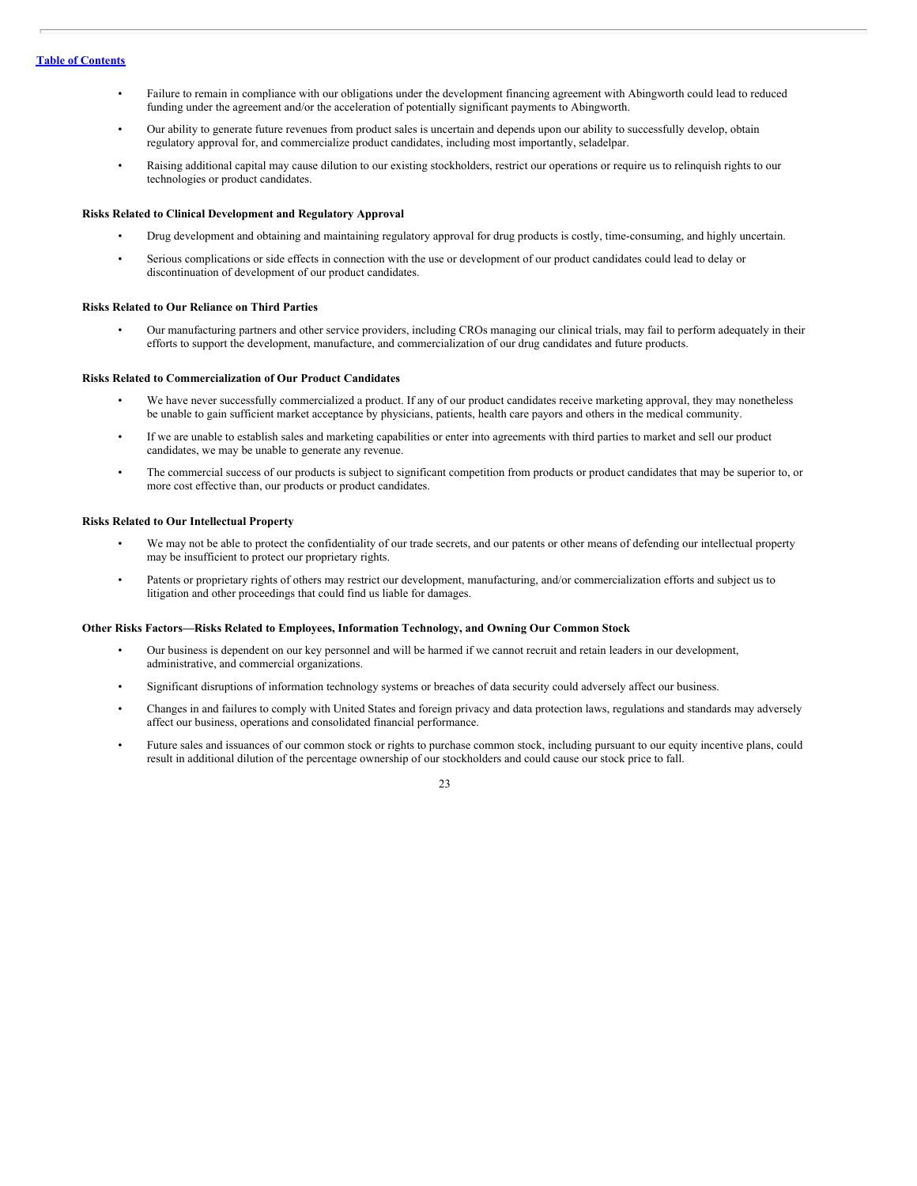- Failure to remain in compliance with our obligations under the development financing agreement with Abingworth could lead to reduced funding under the agreement and/or the acceleration of potentially significant payments to Abingworth.
- Our ability to generate future revenues from product sales is uncertain and depends upon our ability to successfully develop, obtain regulatory approval for, and commercialize product candidates, including most importantly, seladelpar.
- Raising additional capital may cause dilution to our existing stockholders, restrict our operations or require us to relinquish rights to our technologies or product candidates.

## **Risks Related to Clinical Development and Regulatory Approval**

- Drug development and obtaining and maintaining regulatory approval for drug products is costly, time-consuming, and highly uncertain.
- Serious complications or side effects in connection with the use or development of our product candidates could lead to delay or discontinuation of development of our product candidates.

#### **Risks Related to Our Reliance on Third Parties**

• Our manufacturing partners and other service providers, including CROs managing our clinical trials, may fail to perform adequately in their efforts to support the development, manufacture, and commercialization of our drug candidates and future products.

#### **Risks Related to Commercialization of Our Product Candidates**

- We have never successfully commercialized a product. If any of our product candidates receive marketing approval, they may nonetheless be unable to gain sufficient market acceptance by physicians, patients, health care payors and others in the medical community.
- If we are unable to establish sales and marketing capabilities or enter into agreements with third parties to market and sell our product candidates, we may be unable to generate any revenue.
- The commercial success of our products is subject to significant competition from products or product candidates that may be superior to, or more cost effective than, our products or product candidates.

# **Risks Related to Our Intellectual Property**

- We may not be able to protect the confidentiality of our trade secrets, and our patents or other means of defending our intellectual property may be insufficient to protect our proprietary rights.
- Patents or proprietary rights of others may restrict our development, manufacturing, and/or commercialization efforts and subject us to litigation and other proceedings that could find us liable for damages.

#### **Other Risks Factors—Risks Related to Employees, Information Technology, and Owning Our Common Stock**

- Our business is dependent on our key personnel and will be harmed if we cannot recruit and retain leaders in our development, administrative, and commercial organizations.
- Significant disruptions of information technology systems or breaches of data security could adversely affect our business.
- Changes in and failures to comply with United States and foreign privacy and data protection laws, regulations and standards may adversely affect our business, operations and consolidated financial performance.
- Future sales and issuances of our common stock or rights to purchase common stock, including pursuant to our equity incentive plans, could result in additional dilution of the percentage ownership of our stockholders and could cause our stock price to fall.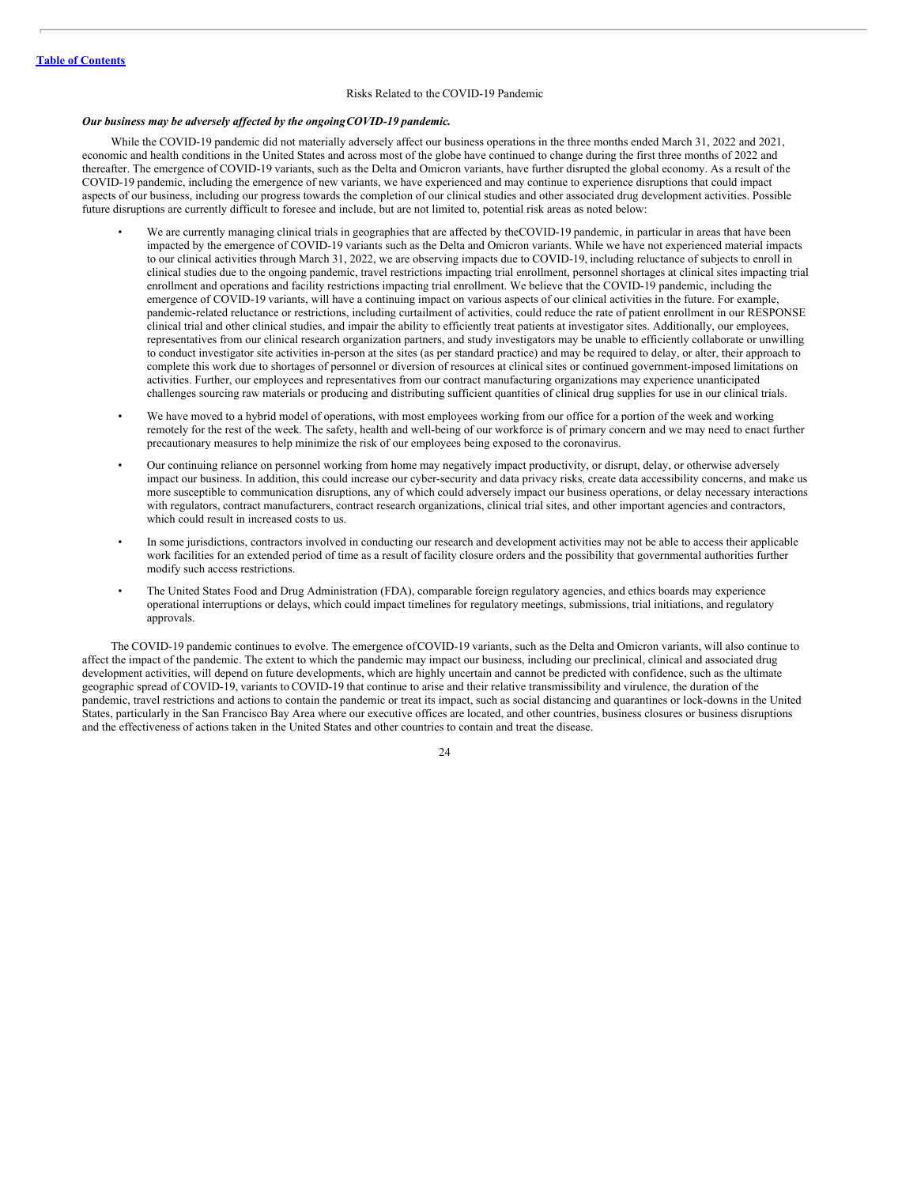#### Risks Related to the COVID-19 Pandemic

# *Our business may be adversely af ected by the ongoingCOVID-19 pandemic.*

While the COVID-19 pandemic did not materially adversely affect our business operations in the three months ended March 31, 2022 and 2021, economic and health conditions in the United States and across most of the globe have continued to change during the first three months of 2022 and thereafter. The emergence of COVID-19 variants, such as the Delta and Omicron variants, have further disrupted the global economy. As a result of the COVID-19 pandemic, including the emergence of new variants, we have experienced and may continue to experience disruptions that could impact aspects of our business, including our progress towards the completion of our clinical studies and other associated drug development activities. Possible future disruptions are currently difficult to foresee and include, but are not limited to, potential risk areas as noted below:

- We are currently managing clinical trials in geographies that are affected by theCOVID-19 pandemic, in particular in areas that have been impacted by the emergence of COVID-19 variants such as the Delta and Omicron variants. While we have not experienced material impacts to our clinical activities through March 31, 2022, we are observing impacts due to COVID-19, including reluctance of subjects to enroll in clinical studies due to the ongoing pandemic, travel restrictions impacting trial enrollment, personnel shortages at clinical sites impacting trial enrollment and operations and facility restrictions impacting trial enrollment. We believe that the COVID-19 pandemic, including the emergence of COVID-19 variants, will have a continuing impact on various aspects of our clinical activities in the future. For example, pandemic-related reluctance or restrictions, including curtailment of activities, could reduce the rate of patient enrollment in our RESPONSE clinical trial and other clinical studies, and impair the ability to efficiently treat patients at investigator sites. Additionally, our employees, representatives from our clinical research organization partners, and study investigators may be unable to efficiently collaborate or unwilling to conduct investigator site activities in-person at the sites (as per standard practice) and may be required to delay, or alter, their approach to complete this work due to shortages of personnel or diversion of resources at clinical sites or continued government-imposed limitations on activities. Further, our employees and representatives from our contract manufacturing organizations may experience unanticipated challenges sourcing raw materials or producing and distributing sufficient quantities of clinical drug supplies for use in our clinical trials.
- We have moved to a hybrid model of operations, with most employees working from our office for a portion of the week and working remotely for the rest of the week. The safety, health and well-being of our workforce is of primary concern and we may need to enact further precautionary measures to help minimize the risk of our employees being exposed to the coronavirus.
- Our continuing reliance on personnel working from home may negatively impact productivity, or disrupt, delay, or otherwise adversely impact our business. In addition, this could increase our cyber-security and data privacy risks, create data accessibility concerns, and make us more susceptible to communication disruptions, any of which could adversely impact our business operations, or delay necessary interactions with regulators, contract manufacturers, contract research organizations, clinical trial sites, and other important agencies and contractors, which could result in increased costs to us.
- In some jurisdictions, contractors involved in conducting our research and development activities may not be able to access their applicable work facilities for an extended period of time as a result of facility closure orders and the possibility that governmental authorities further modify such access restrictions.
- The United States Food and Drug Administration (FDA), comparable foreign regulatory agencies, and ethics boards may experience operational interruptions or delays, which could impact timelines for regulatory meetings, submissions, trial initiations, and regulatory approvals.

The COVID-19 pandemic continues to evolve. The emergence ofCOVID-19 variants, such as the Delta and Omicron variants, will also continue to affect the impact of the pandemic. The extent to which the pandemic may impact our business, including our preclinical, clinical and associated drug development activities, will depend on future developments, which are highly uncertain and cannot be predicted with confidence, such as the ultimate geographic spread of COVID-19, variants to COVID-19 that continue to arise and their relative transmissibility and virulence, the duration of the pandemic, travel restrictions and actions to contain the pandemic or treat its impact, such as social distancing and quarantines or lock-downs in the United States, particularly in the San Francisco Bay Area where our executive offices are located, and other countries, business closures or business disruptions and the effectiveness of actions taken in the United States and other countries to contain and treat the disease.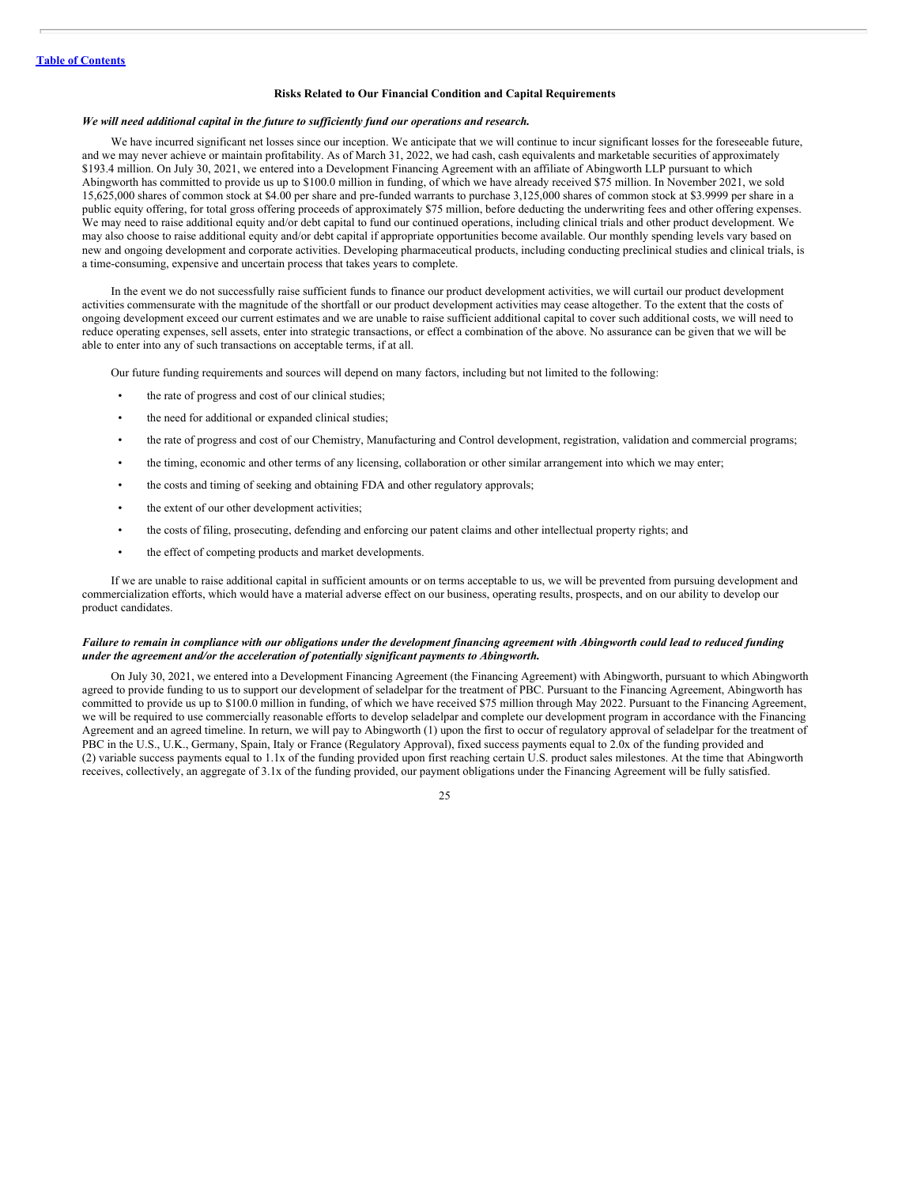#### **Risks Related to Our Financial Condition and Capital Requirements**

## *We will need additional capital in the future to suf iciently fund our operations and research.*

We have incurred significant net losses since our inception. We anticipate that we will continue to incur significant losses for the foreseeable future, and we may never achieve or maintain profitability. As of March 31, 2022, we had cash, cash equivalents and marketable securities of approximately \$193.4 million. On July 30, 2021, we entered into a Development Financing Agreement with an affiliate of Abingworth LLP pursuant to which Abingworth has committed to provide us up to \$100.0 million in funding, of which we have already received \$75 million. In November 2021, we sold 15,625,000 shares of common stock at \$4.00 per share and pre-funded warrants to purchase 3,125,000 shares of common stock at \$3.9999 per share in a public equity offering, for total gross offering proceeds of approximately \$75 million, before deducting the underwriting fees and other offering expenses. We may need to raise additional equity and/or debt capital to fund our continued operations, including clinical trials and other product development. We may also choose to raise additional equity and/or debt capital if appropriate opportunities become available. Our monthly spending levels vary based on new and ongoing development and corporate activities. Developing pharmaceutical products, including conducting preclinical studies and clinical trials, is a time-consuming, expensive and uncertain process that takes years to complete.

In the event we do not successfully raise sufficient funds to finance our product development activities, we will curtail our product development activities commensurate with the magnitude of the shortfall or our product development activities may cease altogether. To the extent that the costs of ongoing development exceed our current estimates and we are unable to raise sufficient additional capital to cover such additional costs, we will need to reduce operating expenses, sell assets, enter into strategic transactions, or effect a combination of the above. No assurance can be given that we will be able to enter into any of such transactions on acceptable terms, if at all.

Our future funding requirements and sources will depend on many factors, including but not limited to the following:

- the rate of progress and cost of our clinical studies;
- the need for additional or expanded clinical studies;
- the rate of progress and cost of our Chemistry, Manufacturing and Control development, registration, validation and commercial programs;
- the timing, economic and other terms of any licensing, collaboration or other similar arrangement into which we may enter;
- the costs and timing of seeking and obtaining FDA and other regulatory approvals;
- the extent of our other development activities;
- the costs of filing, prosecuting, defending and enforcing our patent claims and other intellectual property rights; and
- the effect of competing products and market developments.

If we are unable to raise additional capital in sufficient amounts or on terms acceptable to us, we will be prevented from pursuing development and commercialization efforts, which would have a material adverse effect on our business, operating results, prospects, and on our ability to develop our product candidates.

#### Failure to remain in compliance with our obligations under the development financing agreement with Abingworth could lead to reduced funding *under the agreement and/or the acceleration of potentially significant payments to Abingworth.*

On July 30, 2021, we entered into a Development Financing Agreement (the Financing Agreement) with Abingworth, pursuant to which Abingworth agreed to provide funding to us to support our development of seladelpar for the treatment of PBC. Pursuant to the Financing Agreement, Abingworth has committed to provide us up to \$100.0 million in funding, of which we have received \$75 million through May 2022. Pursuant to the Financing Agreement, we will be required to use commercially reasonable efforts to develop seladelpar and complete our development program in accordance with the Financing Agreement and an agreed timeline. In return, we will pay to Abingworth (1) upon the first to occur of regulatory approval of seladelpar for the treatment of PBC in the U.S., U.K., Germany, Spain, Italy or France (Regulatory Approval), fixed success payments equal to 2.0x of the funding provided and (2) variable success payments equal to 1.1x of the funding provided upon first reaching certain U.S. product sales milestones. At the time that Abingworth receives, collectively, an aggregate of 3.1x of the funding provided, our payment obligations under the Financing Agreement will be fully satisfied.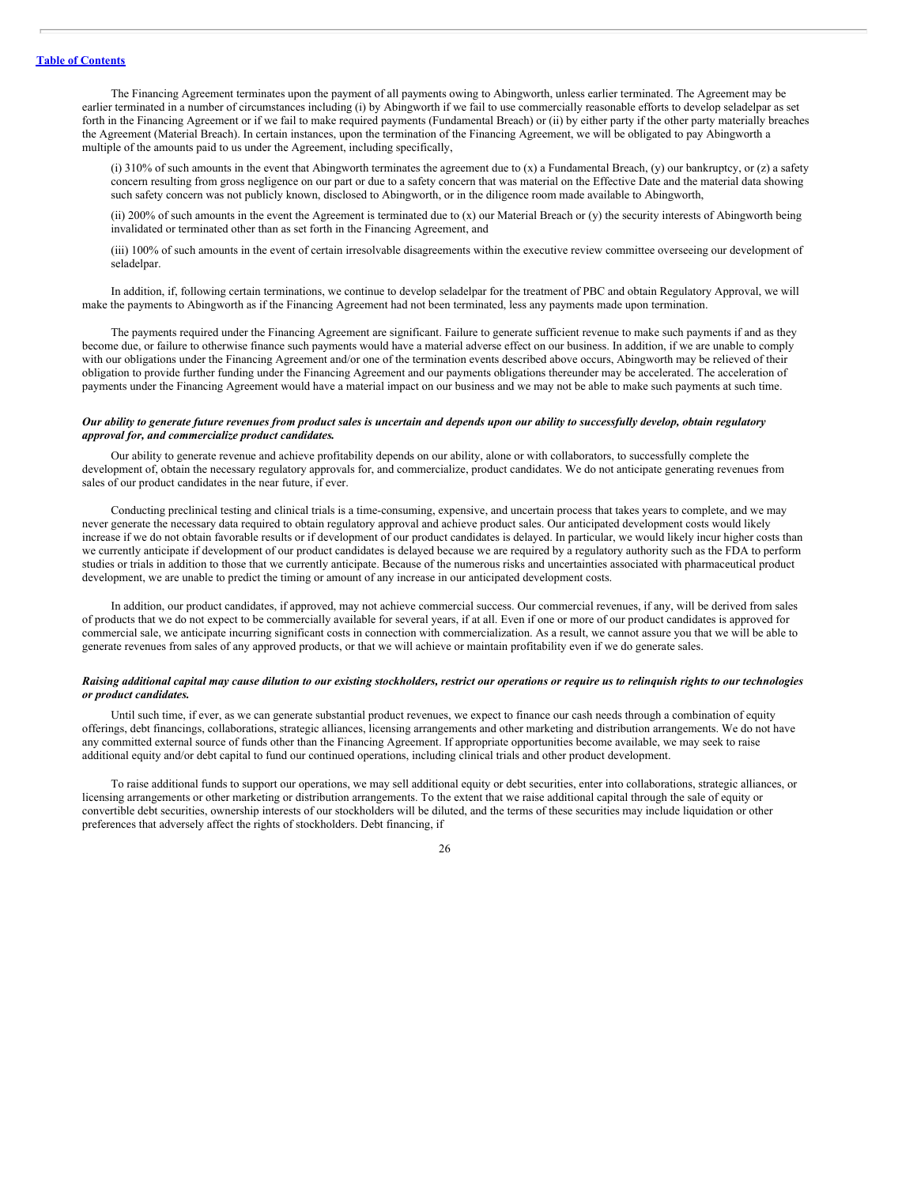The Financing Agreement terminates upon the payment of all payments owing to Abingworth, unless earlier terminated. The Agreement may be earlier terminated in a number of circumstances including (i) by Abingworth if we fail to use commercially reasonable efforts to develop seladelpar as set forth in the Financing Agreement or if we fail to make required payments (Fundamental Breach) or (ii) by either party if the other party materially breaches the Agreement (Material Breach). In certain instances, upon the termination of the Financing Agreement, we will be obligated to pay Abingworth a multiple of the amounts paid to us under the Agreement, including specifically,

(i) 310% of such amounts in the event that Abingworth terminates the agreement due to (x) a Fundamental Breach, (y) our bankruptcy, or (z) a safety concern resulting from gross negligence on our part or due to a safety concern that was material on the Effective Date and the material data showing such safety concern was not publicly known, disclosed to Abingworth, or in the diligence room made available to Abingworth,

(ii) 200% of such amounts in the event the Agreement is terminated due to (x) our Material Breach or (y) the security interests of Abingworth being invalidated or terminated other than as set forth in the Financing Agreement, and

(iii) 100% of such amounts in the event of certain irresolvable disagreements within the executive review committee overseeing our development of seladelpar.

In addition, if, following certain terminations, we continue to develop seladelpar for the treatment of PBC and obtain Regulatory Approval, we will make the payments to Abingworth as if the Financing Agreement had not been terminated, less any payments made upon termination.

The payments required under the Financing Agreement are significant. Failure to generate sufficient revenue to make such payments if and as they become due, or failure to otherwise finance such payments would have a material adverse effect on our business. In addition, if we are unable to comply with our obligations under the Financing Agreement and/or one of the termination events described above occurs, Abingworth may be relieved of their obligation to provide further funding under the Financing Agreement and our payments obligations thereunder may be accelerated. The acceleration of payments under the Financing Agreement would have a material impact on our business and we may not be able to make such payments at such time.

#### Our ability to generate future revenues from product sales is uncertain and depends upon our ability to successfully develop, obtain regulatory *approval for, and commercialize product candidates.*

Our ability to generate revenue and achieve profitability depends on our ability, alone or with collaborators, to successfully complete the development of, obtain the necessary regulatory approvals for, and commercialize, product candidates. We do not anticipate generating revenues from sales of our product candidates in the near future, if ever.

Conducting preclinical testing and clinical trials is a time-consuming, expensive, and uncertain process that takes years to complete, and we may never generate the necessary data required to obtain regulatory approval and achieve product sales. Our anticipated development costs would likely increase if we do not obtain favorable results or if development of our product candidates is delayed. In particular, we would likely incur higher costs than we currently anticipate if development of our product candidates is delayed because we are required by a regulatory authority such as the FDA to perform studies or trials in addition to those that we currently anticipate. Because of the numerous risks and uncertainties associated with pharmaceutical product development, we are unable to predict the timing or amount of any increase in our anticipated development costs.

In addition, our product candidates, if approved, may not achieve commercial success. Our commercial revenues, if any, will be derived from sales of products that we do not expect to be commercially available for several years, if at all. Even if one or more of our product candidates is approved for commercial sale, we anticipate incurring significant costs in connection with commercialization. As a result, we cannot assure you that we will be able to generate revenues from sales of any approved products, or that we will achieve or maintain profitability even if we do generate sales.

# Raising additional capital may cause dilution to our existing stockholders, restrict our operations or require us to relinquish rights to our technologies *or product candidates.*

Until such time, if ever, as we can generate substantial product revenues, we expect to finance our cash needs through a combination of equity offerings, debt financings, collaborations, strategic alliances, licensing arrangements and other marketing and distribution arrangements. We do not have any committed external source of funds other than the Financing Agreement. If appropriate opportunities become available, we may seek to raise additional equity and/or debt capital to fund our continued operations, including clinical trials and other product development.

To raise additional funds to support our operations, we may sell additional equity or debt securities, enter into collaborations, strategic alliances, or licensing arrangements or other marketing or distribution arrangements. To the extent that we raise additional capital through the sale of equity or convertible debt securities, ownership interests of our stockholders will be diluted, and the terms of these securities may include liquidation or other preferences that adversely affect the rights of stockholders. Debt financing, if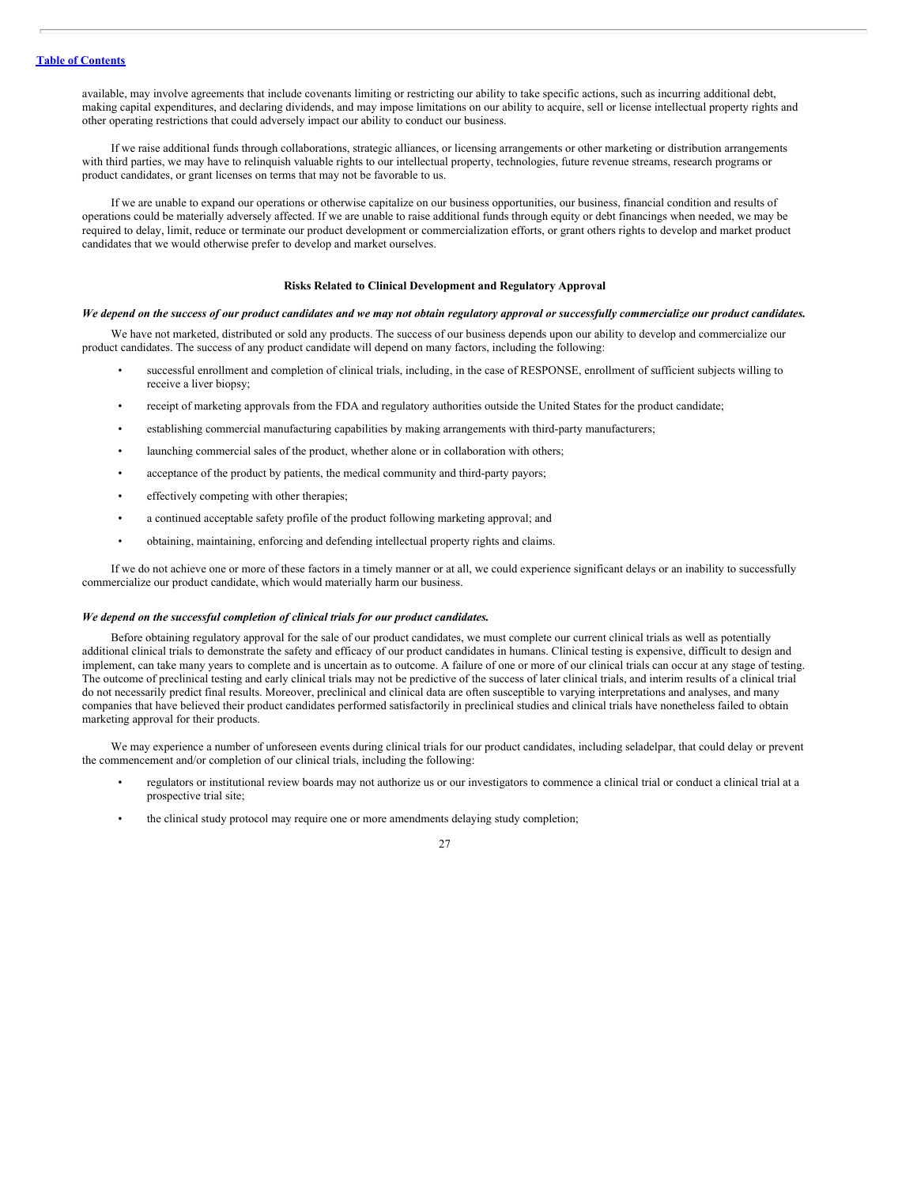available, may involve agreements that include covenants limiting or restricting our ability to take specific actions, such as incurring additional debt, making capital expenditures, and declaring dividends, and may impose limitations on our ability to acquire, sell or license intellectual property rights and other operating restrictions that could adversely impact our ability to conduct our business.

If we raise additional funds through collaborations, strategic alliances, or licensing arrangements or other marketing or distribution arrangements with third parties, we may have to relinquish valuable rights to our intellectual property, technologies, future revenue streams, research programs or product candidates, or grant licenses on terms that may not be favorable to us.

If we are unable to expand our operations or otherwise capitalize on our business opportunities, our business, financial condition and results of operations could be materially adversely affected. If we are unable to raise additional funds through equity or debt financings when needed, we may be required to delay, limit, reduce or terminate our product development or commercialization efforts, or grant others rights to develop and market product candidates that we would otherwise prefer to develop and market ourselves.

## **Risks Related to Clinical Development and Regulatory Approval**

## We depend on the success of our product candidates and we may not obtain regulatory approval or successfully commercialize our product candidates.

We have not marketed, distributed or sold any products. The success of our business depends upon our ability to develop and commercialize our product candidates. The success of any product candidate will depend on many factors, including the following:

- successful enrollment and completion of clinical trials, including, in the case of RESPONSE, enrollment of sufficient subjects willing to receive a liver biopsy;
- receipt of marketing approvals from the FDA and regulatory authorities outside the United States for the product candidate;
- establishing commercial manufacturing capabilities by making arrangements with third-party manufacturers;
- launching commercial sales of the product, whether alone or in collaboration with others;
- acceptance of the product by patients, the medical community and third-party payors;
- effectively competing with other therapies;
- a continued acceptable safety profile of the product following marketing approval; and
- obtaining, maintaining, enforcing and defending intellectual property rights and claims.

If we do not achieve one or more of these factors in a timely manner or at all, we could experience significant delays or an inability to successfully commercialize our product candidate, which would materially harm our business.

#### *We depend on the successful completion of clinical trials for our product candidates.*

Before obtaining regulatory approval for the sale of our product candidates, we must complete our current clinical trials as well as potentially additional clinical trials to demonstrate the safety and efficacy of our product candidates in humans. Clinical testing is expensive, difficult to design and implement, can take many years to complete and is uncertain as to outcome. A failure of one or more of our clinical trials can occur at any stage of testing. The outcome of preclinical testing and early clinical trials may not be predictive of the success of later clinical trials, and interim results of a clinical trial do not necessarily predict final results. Moreover, preclinical and clinical data are often susceptible to varying interpretations and analyses, and many companies that have believed their product candidates performed satisfactorily in preclinical studies and clinical trials have nonetheless failed to obtain marketing approval for their products.

We may experience a number of unforeseen events during clinical trials for our product candidates, including seladelpar, that could delay or prevent the commencement and/or completion of our clinical trials, including the following:

- regulators or institutional review boards may not authorize us or our investigators to commence a clinical trial or conduct a clinical trial at a prospective trial site;
- the clinical study protocol may require one or more amendments delaying study completion;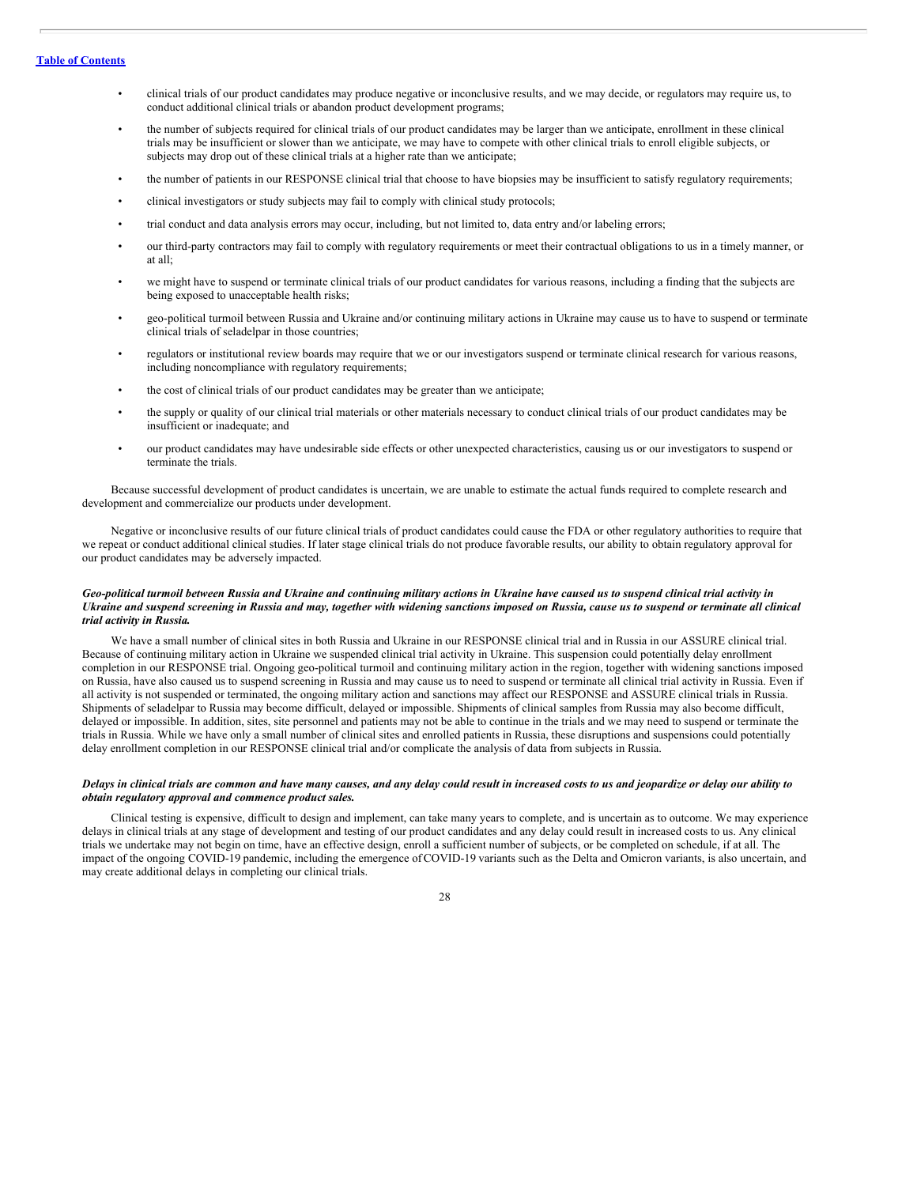# **Table of [Contents](#page-1-0)**

- clinical trials of our product candidates may produce negative or inconclusive results, and we may decide, or regulators may require us, to conduct additional clinical trials or abandon product development programs;
- the number of subjects required for clinical trials of our product candidates may be larger than we anticipate, enrollment in these clinical trials may be insufficient or slower than we anticipate, we may have to compete with other clinical trials to enroll eligible subjects, or subjects may drop out of these clinical trials at a higher rate than we anticipate;
- the number of patients in our RESPONSE clinical trial that choose to have biopsies may be insufficient to satisfy regulatory requirements;
- clinical investigators or study subjects may fail to comply with clinical study protocols;
- trial conduct and data analysis errors may occur, including, but not limited to, data entry and/or labeling errors;
- our third-party contractors may fail to comply with regulatory requirements or meet their contractual obligations to us in a timely manner, or at all;
- we might have to suspend or terminate clinical trials of our product candidates for various reasons, including a finding that the subjects are being exposed to unacceptable health risks;
- geo-political turmoil between Russia and Ukraine and/or continuing military actions in Ukraine may cause us to have to suspend or terminate clinical trials of seladelpar in those countries;
- regulators or institutional review boards may require that we or our investigators suspend or terminate clinical research for various reasons, including noncompliance with regulatory requirements;
- the cost of clinical trials of our product candidates may be greater than we anticipate;
- the supply or quality of our clinical trial materials or other materials necessary to conduct clinical trials of our product candidates may be insufficient or inadequate; and
- our product candidates may have undesirable side effects or other unexpected characteristics, causing us or our investigators to suspend or terminate the trials.

Because successful development of product candidates is uncertain, we are unable to estimate the actual funds required to complete research and development and commercialize our products under development.

Negative or inconclusive results of our future clinical trials of product candidates could cause the FDA or other regulatory authorities to require that we repeat or conduct additional clinical studies. If later stage clinical trials do not produce favorable results, our ability to obtain regulatory approval for our product candidates may be adversely impacted.

# Geo-political turmoil between Russia and Ukraine and continuing military actions in Ukraine have caused us to suspend clinical trial activity in Ukraine and suspend screening in Russia and may, together with widening sanctions imposed on Russia, cause us to suspend or terminate all clinical *trial activity in Russia.*

We have a small number of clinical sites in both Russia and Ukraine in our RESPONSE clinical trial and in Russia in our ASSURE clinical trial. Because of continuing military action in Ukraine we suspended clinical trial activity in Ukraine. This suspension could potentially delay enrollment completion in our RESPONSE trial. Ongoing geo-political turmoil and continuing military action in the region, together with widening sanctions imposed on Russia, have also caused us to suspend screening in Russia and may cause us to need to suspend or terminate all clinical trial activity in Russia. Even if all activity is not suspended or terminated, the ongoing military action and sanctions may affect our RESPONSE and ASSURE clinical trials in Russia. Shipments of seladelpar to Russia may become difficult, delayed or impossible. Shipments of clinical samples from Russia may also become difficult, delayed or impossible. In addition, sites, site personnel and patients may not be able to continue in the trials and we may need to suspend or terminate the trials in Russia. While we have only a small number of clinical sites and enrolled patients in Russia, these disruptions and suspensions could potentially delay enrollment completion in our RESPONSE clinical trial and/or complicate the analysis of data from subjects in Russia.

# Delays in clinical trials are common and have many causes, and any delay could result in increased costs to us and jeopardize or delay our ability to *obtain regulatory approval and commence product sales.*

Clinical testing is expensive, difficult to design and implement, can take many years to complete, and is uncertain as to outcome. We may experience delays in clinical trials at any stage of development and testing of our product candidates and any delay could result in increased costs to us. Any clinical trials we undertake may not begin on time, have an effective design, enroll a sufficient number of subjects, or be completed on schedule, if at all. The impact of the ongoing COVID-19 pandemic, including the emergence ofCOVID-19 variants such as the Delta and Omicron variants, is also uncertain, and may create additional delays in completing our clinical trials.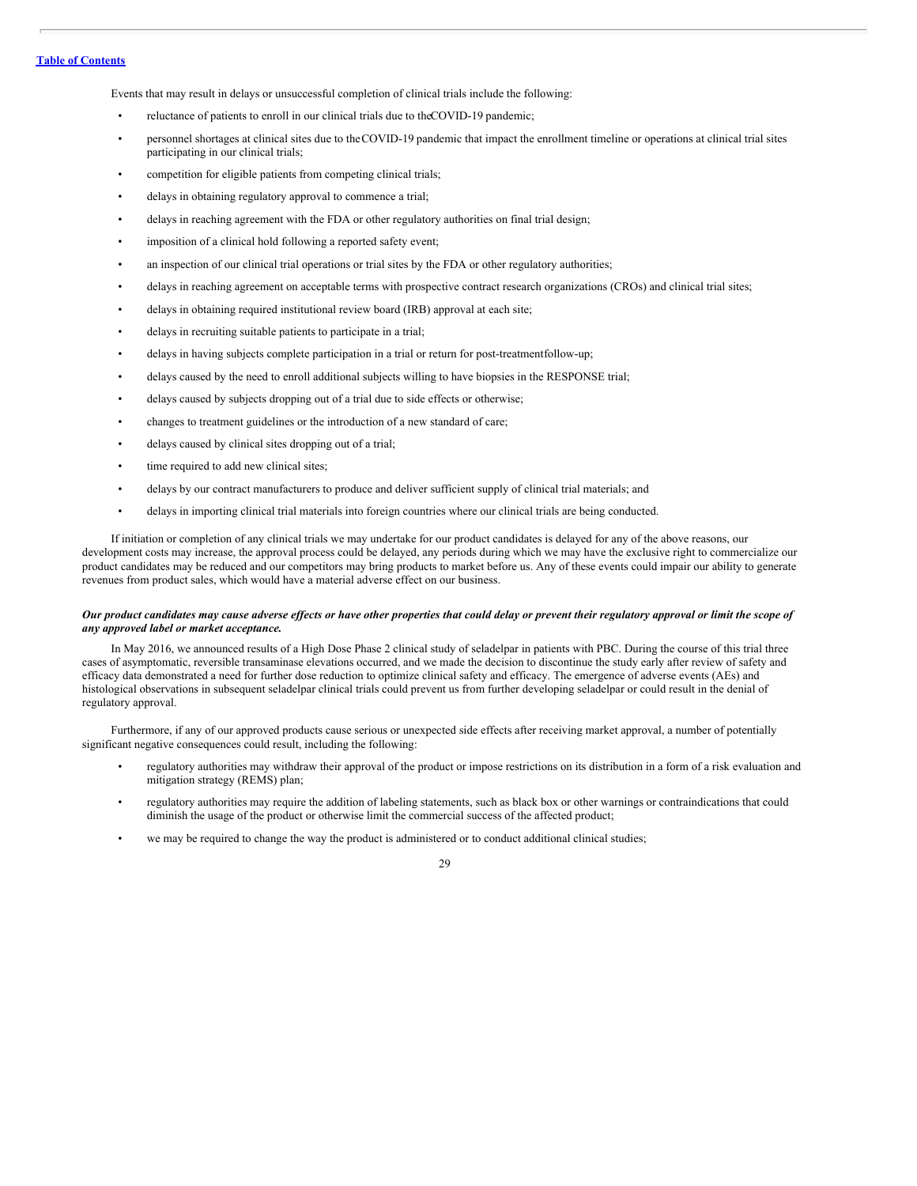# **Table of [Contents](#page-1-0)**

Events that may result in delays or unsuccessful completion of clinical trials include the following:

- reluctance of patients to enroll in our clinical trials due to theCOVID-19 pandemic;
- personnel shortages at clinical sites due to theCOVID-19 pandemic that impact the enrollment timeline or operations at clinical trial sites participating in our clinical trials;
- competition for eligible patients from competing clinical trials;
- delays in obtaining regulatory approval to commence a trial;
- delays in reaching agreement with the FDA or other regulatory authorities on final trial design;
- imposition of a clinical hold following a reported safety event;
- an inspection of our clinical trial operations or trial sites by the FDA or other regulatory authorities;
- delays in reaching agreement on acceptable terms with prospective contract research organizations (CROs) and clinical trial sites;
- delays in obtaining required institutional review board (IRB) approval at each site;
- delays in recruiting suitable patients to participate in a trial;
- delays in having subjects complete participation in a trial or return for post-treatmentfollow-up;
- delays caused by the need to enroll additional subjects willing to have biopsies in the RESPONSE trial;
- delays caused by subjects dropping out of a trial due to side effects or otherwise;
- changes to treatment guidelines or the introduction of a new standard of care;
- delays caused by clinical sites dropping out of a trial;
- time required to add new clinical sites;
- delays by our contract manufacturers to produce and deliver sufficient supply of clinical trial materials; and
- delays in importing clinical trial materials into foreign countries where our clinical trials are being conducted.

If initiation or completion of any clinical trials we may undertake for our product candidates is delayed for any of the above reasons, our development costs may increase, the approval process could be delayed, any periods during which we may have the exclusive right to commercialize our product candidates may be reduced and our competitors may bring products to market before us. Any of these events could impair our ability to generate revenues from product sales, which would have a material adverse effect on our business.

# Our product candidates may cause adverse effects or have other properties that could delay or prevent their regulatory approval or limit the scope of *any approved label or market acceptance.*

In May 2016, we announced results of a High Dose Phase 2 clinical study of seladelpar in patients with PBC. During the course of this trial three cases of asymptomatic, reversible transaminase elevations occurred, and we made the decision to discontinue the study early after review of safety and efficacy data demonstrated a need for further dose reduction to optimize clinical safety and efficacy. The emergence of adverse events (AEs) and histological observations in subsequent seladelpar clinical trials could prevent us from further developing seladelpar or could result in the denial of regulatory approval.

Furthermore, if any of our approved products cause serious or unexpected side effects after receiving market approval, a number of potentially significant negative consequences could result, including the following:

- regulatory authorities may withdraw their approval of the product or impose restrictions on its distribution in a form of a risk evaluation and mitigation strategy (REMS) plan;
- regulatory authorities may require the addition of labeling statements, such as black box or other warnings or contraindications that could diminish the usage of the product or otherwise limit the commercial success of the affected product;
- we may be required to change the way the product is administered or to conduct additional clinical studies;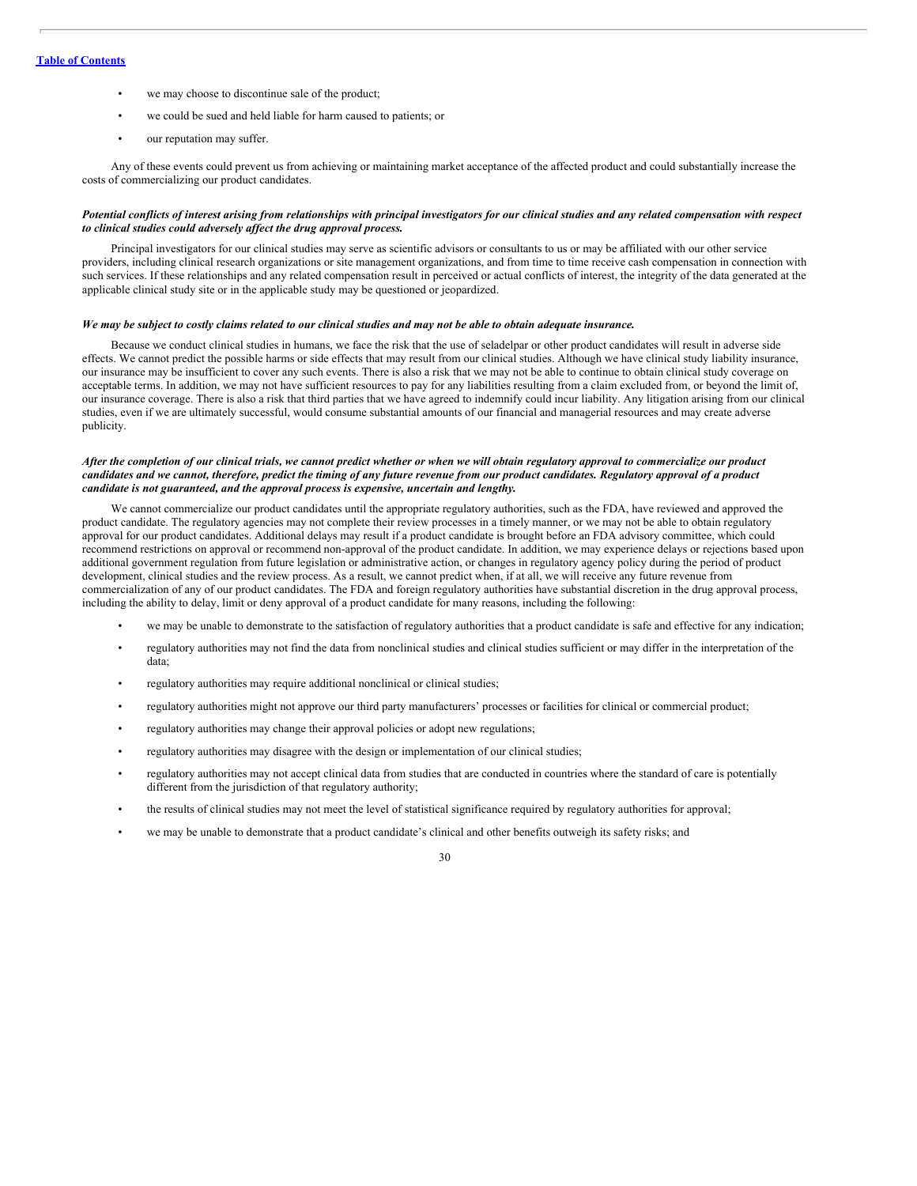- we may choose to discontinue sale of the product;
- we could be sued and held liable for harm caused to patients; or
- our reputation may suffer.

Any of these events could prevent us from achieving or maintaining market acceptance of the affected product and could substantially increase the costs of commercializing our product candidates.

# Potential conflicts of interest arising from relationships with principal investigators for our clinical studies and any related compensation with respect *to clinical studies could adversely af ect the drug approval process.*

Principal investigators for our clinical studies may serve as scientific advisors or consultants to us or may be affiliated with our other service providers, including clinical research organizations or site management organizations, and from time to time receive cash compensation in connection with such services. If these relationships and any related compensation result in perceived or actual conflicts of interest, the integrity of the data generated at the applicable clinical study site or in the applicable study may be questioned or jeopardized.

#### We may be subject to costly claims related to our clinical studies and may not be able to obtain adequate insurance.

Because we conduct clinical studies in humans, we face the risk that the use of seladelpar or other product candidates will result in adverse side effects. We cannot predict the possible harms or side effects that may result from our clinical studies. Although we have clinical study liability insurance, our insurance may be insufficient to cover any such events. There is also a risk that we may not be able to continue to obtain clinical study coverage on acceptable terms. In addition, we may not have sufficient resources to pay for any liabilities resulting from a claim excluded from, or beyond the limit of, our insurance coverage. There is also a risk that third parties that we have agreed to indemnify could incur liability. Any litigation arising from our clinical studies, even if we are ultimately successful, would consume substantial amounts of our financial and managerial resources and may create adverse publicity.

# After the completion of our clinical trials, we cannot predict whether or when we will obtain regulatory approval to commercialize our product candidates and we cannot, therefore, predict the timing of any future revenue from our product candidates. Regulatory approval of a product *candidate is not guaranteed, and the approval process is expensive, uncertain and lengthy.*

We cannot commercialize our product candidates until the appropriate regulatory authorities, such as the FDA, have reviewed and approved the product candidate. The regulatory agencies may not complete their review processes in a timely manner, or we may not be able to obtain regulatory approval for our product candidates. Additional delays may result if a product candidate is brought before an FDA advisory committee, which could recommend restrictions on approval or recommend non-approval of the product candidate. In addition, we may experience delays or rejections based upon additional government regulation from future legislation or administrative action, or changes in regulatory agency policy during the period of product development, clinical studies and the review process. As a result, we cannot predict when, if at all, we will receive any future revenue from commercialization of any of our product candidates. The FDA and foreign regulatory authorities have substantial discretion in the drug approval process, including the ability to delay, limit or deny approval of a product candidate for many reasons, including the following:

- we may be unable to demonstrate to the satisfaction of regulatory authorities that a product candidate is safe and effective for any indication;
- regulatory authorities may not find the data from nonclinical studies and clinical studies sufficient or may differ in the interpretation of the data;
- regulatory authorities may require additional nonclinical or clinical studies;
- regulatory authorities might not approve our third party manufacturers' processes or facilities for clinical or commercial product;
- regulatory authorities may change their approval policies or adopt new regulations;
- regulatory authorities may disagree with the design or implementation of our clinical studies;
- regulatory authorities may not accept clinical data from studies that are conducted in countries where the standard of care is potentially different from the jurisdiction of that regulatory authority;
- the results of clinical studies may not meet the level of statistical significance required by regulatory authorities for approval;
- we may be unable to demonstrate that a product candidate's clinical and other benefits outweigh its safety risks; and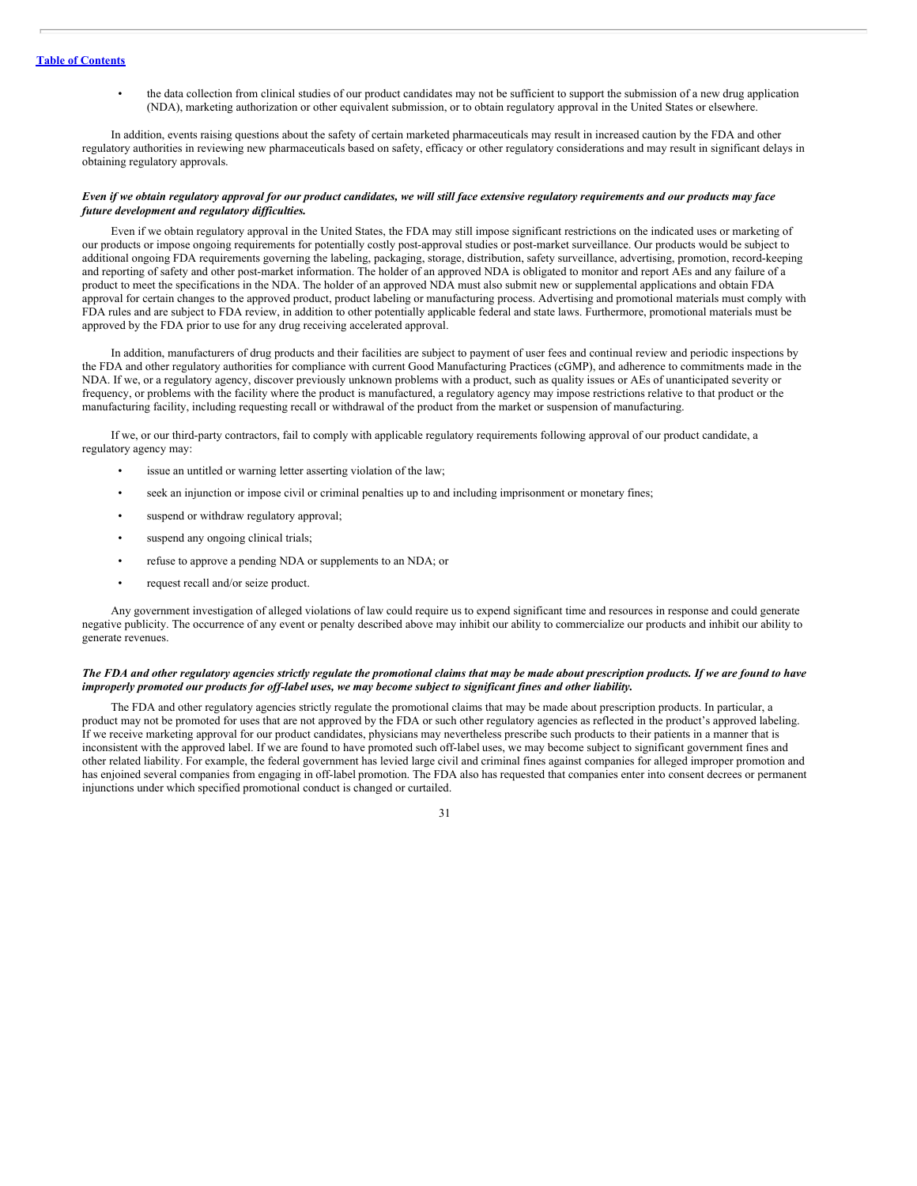• the data collection from clinical studies of our product candidates may not be sufficient to support the submission of a new drug application (NDA), marketing authorization or other equivalent submission, or to obtain regulatory approval in the United States or elsewhere.

In addition, events raising questions about the safety of certain marketed pharmaceuticals may result in increased caution by the FDA and other regulatory authorities in reviewing new pharmaceuticals based on safety, efficacy or other regulatory considerations and may result in significant delays in obtaining regulatory approvals.

## Even if we obtain regulatory approval for our product candidates, we will still face extensive regulatory requirements and our products may face *future development and regulatory dif iculties.*

Even if we obtain regulatory approval in the United States, the FDA may still impose significant restrictions on the indicated uses or marketing of our products or impose ongoing requirements for potentially costly post-approval studies or post-market surveillance. Our products would be subject to additional ongoing FDA requirements governing the labeling, packaging, storage, distribution, safety surveillance, advertising, promotion, record-keeping and reporting of safety and other post-market information. The holder of an approved NDA is obligated to monitor and report AEs and any failure of a product to meet the specifications in the NDA. The holder of an approved NDA must also submit new or supplemental applications and obtain FDA approval for certain changes to the approved product, product labeling or manufacturing process. Advertising and promotional materials must comply with FDA rules and are subject to FDA review, in addition to other potentially applicable federal and state laws. Furthermore, promotional materials must be approved by the FDA prior to use for any drug receiving accelerated approval.

In addition, manufacturers of drug products and their facilities are subject to payment of user fees and continual review and periodic inspections by the FDA and other regulatory authorities for compliance with current Good Manufacturing Practices (cGMP), and adherence to commitments made in the NDA. If we, or a regulatory agency, discover previously unknown problems with a product, such as quality issues or AEs of unanticipated severity or frequency, or problems with the facility where the product is manufactured, a regulatory agency may impose restrictions relative to that product or the manufacturing facility, including requesting recall or withdrawal of the product from the market or suspension of manufacturing.

If we, or our third-party contractors, fail to comply with applicable regulatory requirements following approval of our product candidate, a regulatory agency may:

- issue an untitled or warning letter asserting violation of the law;
- seek an injunction or impose civil or criminal penalties up to and including imprisonment or monetary fines;
- suspend or withdraw regulatory approval;
- suspend any ongoing clinical trials;
- refuse to approve a pending NDA or supplements to an NDA; or
- request recall and/or seize product.

Any government investigation of alleged violations of law could require us to expend significant time and resources in response and could generate negative publicity. The occurrence of any event or penalty described above may inhibit our ability to commercialize our products and inhibit our ability to generate revenues.

# The FDA and other regulatory agencies strictly regulate the promotional claims that may be made about prescription products. If we are found to have improperly promoted our products for off-label uses, we may become subject to significant fines and other liability.

The FDA and other regulatory agencies strictly regulate the promotional claims that may be made about prescription products. In particular, a product may not be promoted for uses that are not approved by the FDA or such other regulatory agencies as reflected in the product's approved labeling. If we receive marketing approval for our product candidates, physicians may nevertheless prescribe such products to their patients in a manner that is inconsistent with the approved label. If we are found to have promoted such off-label uses, we may become subject to significant government fines and other related liability. For example, the federal government has levied large civil and criminal fines against companies for alleged improper promotion and has enjoined several companies from engaging in off-label promotion. The FDA also has requested that companies enter into consent decrees or permanent injunctions under which specified promotional conduct is changed or curtailed.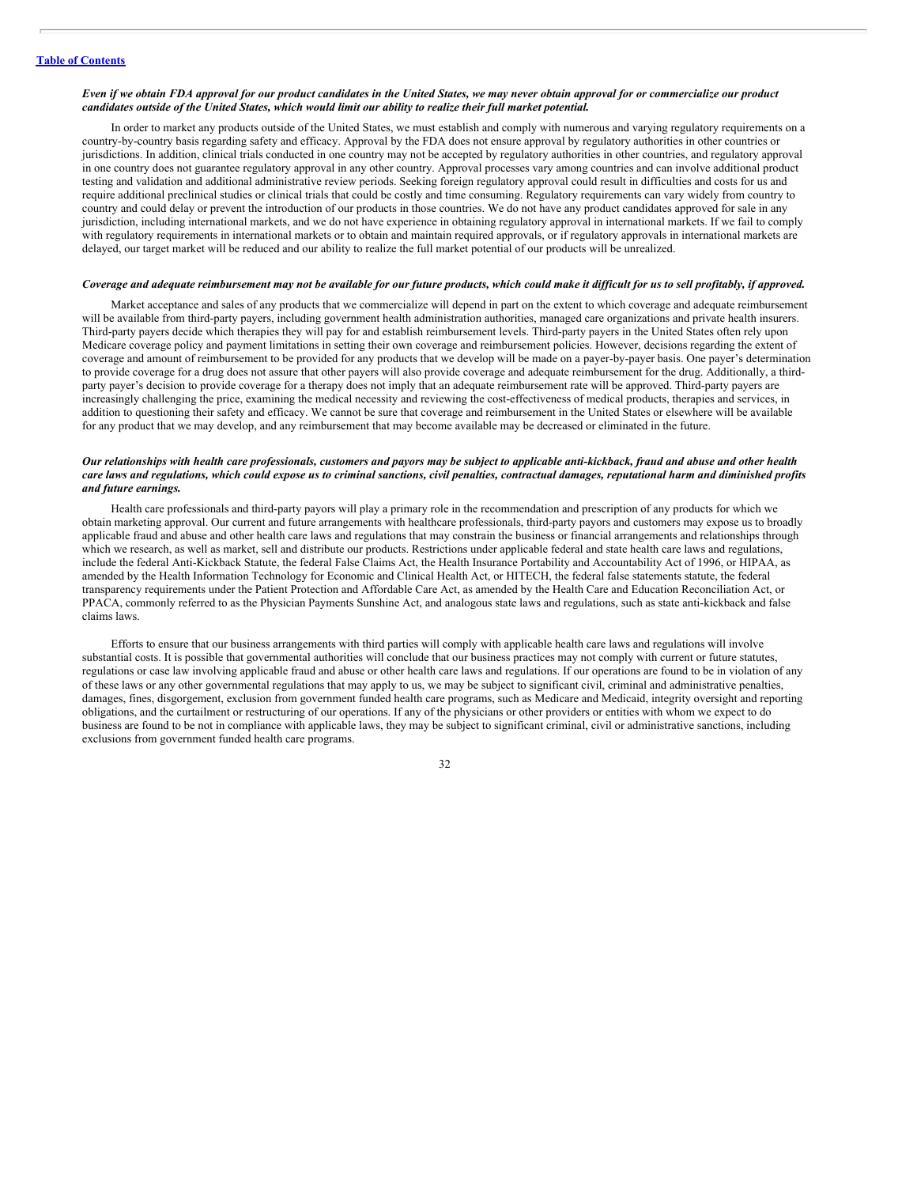#### Even if we obtain FDA approval for our product candidates in the United States, we may never obtain approval for or commercialize our product candidates outside of the United States, which would limit our ability to realize their full market potential.

In order to market any products outside of the United States, we must establish and comply with numerous and varying regulatory requirements on a country-by-country basis regarding safety and efficacy. Approval by the FDA does not ensure approval by regulatory authorities in other countries or jurisdictions. In addition, clinical trials conducted in one country may not be accepted by regulatory authorities in other countries, and regulatory approval in one country does not guarantee regulatory approval in any other country. Approval processes vary among countries and can involve additional product testing and validation and additional administrative review periods. Seeking foreign regulatory approval could result in difficulties and costs for us and require additional preclinical studies or clinical trials that could be costly and time consuming. Regulatory requirements can vary widely from country to country and could delay or prevent the introduction of our products in those countries. We do not have any product candidates approved for sale in any jurisdiction, including international markets, and we do not have experience in obtaining regulatory approval in international markets. If we fail to comply with regulatory requirements in international markets or to obtain and maintain required approvals, or if regulatory approvals in international markets are delayed, our target market will be reduced and our ability to realize the full market potential of our products will be unrealized.

#### Coverage and adequate reimbursement may not be available for our future products, which could make it difficult for us to sell profitably, if approved.

Market acceptance and sales of any products that we commercialize will depend in part on the extent to which coverage and adequate reimbursement will be available from third-party payers, including government health administration authorities, managed care organizations and private health insurers. Third-party payers decide which therapies they will pay for and establish reimbursement levels. Third-party payers in the United States often rely upon Medicare coverage policy and payment limitations in setting their own coverage and reimbursement policies. However, decisions regarding the extent of coverage and amount of reimbursement to be provided for any products that we develop will be made on a payer-by-payer basis. One payer's determination to provide coverage for a drug does not assure that other payers will also provide coverage and adequate reimbursement for the drug. Additionally, a thirdparty payer's decision to provide coverage for a therapy does not imply that an adequate reimbursement rate will be approved. Third-party payers are increasingly challenging the price, examining the medical necessity and reviewing the cost-effectiveness of medical products, therapies and services, in addition to questioning their safety and efficacy. We cannot be sure that coverage and reimbursement in the United States or elsewhere will be available for any product that we may develop, and any reimbursement that may become available may be decreased or eliminated in the future.

### Our relationships with health care professionals, customers and payors may be subject to applicable anti-kickback, fraud and abuse and other health care laws and regulations, which could expose us to criminal sanctions, civil penalties, contractual damages, reputational harm and diminished profits *and future earnings.*

Health care professionals and third-party payors will play a primary role in the recommendation and prescription of any products for which we obtain marketing approval. Our current and future arrangements with healthcare professionals, third-party payors and customers may expose us to broadly applicable fraud and abuse and other health care laws and regulations that may constrain the business or financial arrangements and relationships through which we research, as well as market, sell and distribute our products. Restrictions under applicable federal and state health care laws and regulations, include the federal Anti-Kickback Statute, the federal False Claims Act, the Health Insurance Portability and Accountability Act of 1996, or HIPAA, as amended by the Health Information Technology for Economic and Clinical Health Act, or HITECH, the federal false statements statute, the federal transparency requirements under the Patient Protection and Affordable Care Act, as amended by the Health Care and Education Reconciliation Act, or PPACA, commonly referred to as the Physician Payments Sunshine Act, and analogous state laws and regulations, such as state anti-kickback and false claims laws.

Efforts to ensure that our business arrangements with third parties will comply with applicable health care laws and regulations will involve substantial costs. It is possible that governmental authorities will conclude that our business practices may not comply with current or future statutes, regulations or case law involving applicable fraud and abuse or other health care laws and regulations. If our operations are found to be in violation of any of these laws or any other governmental regulations that may apply to us, we may be subject to significant civil, criminal and administrative penalties, damages, fines, disgorgement, exclusion from government funded health care programs, such as Medicare and Medicaid, integrity oversight and reporting obligations, and the curtailment or restructuring of our operations. If any of the physicians or other providers or entities with whom we expect to do business are found to be not in compliance with applicable laws, they may be subject to significant criminal, civil or administrative sanctions, including exclusions from government funded health care programs.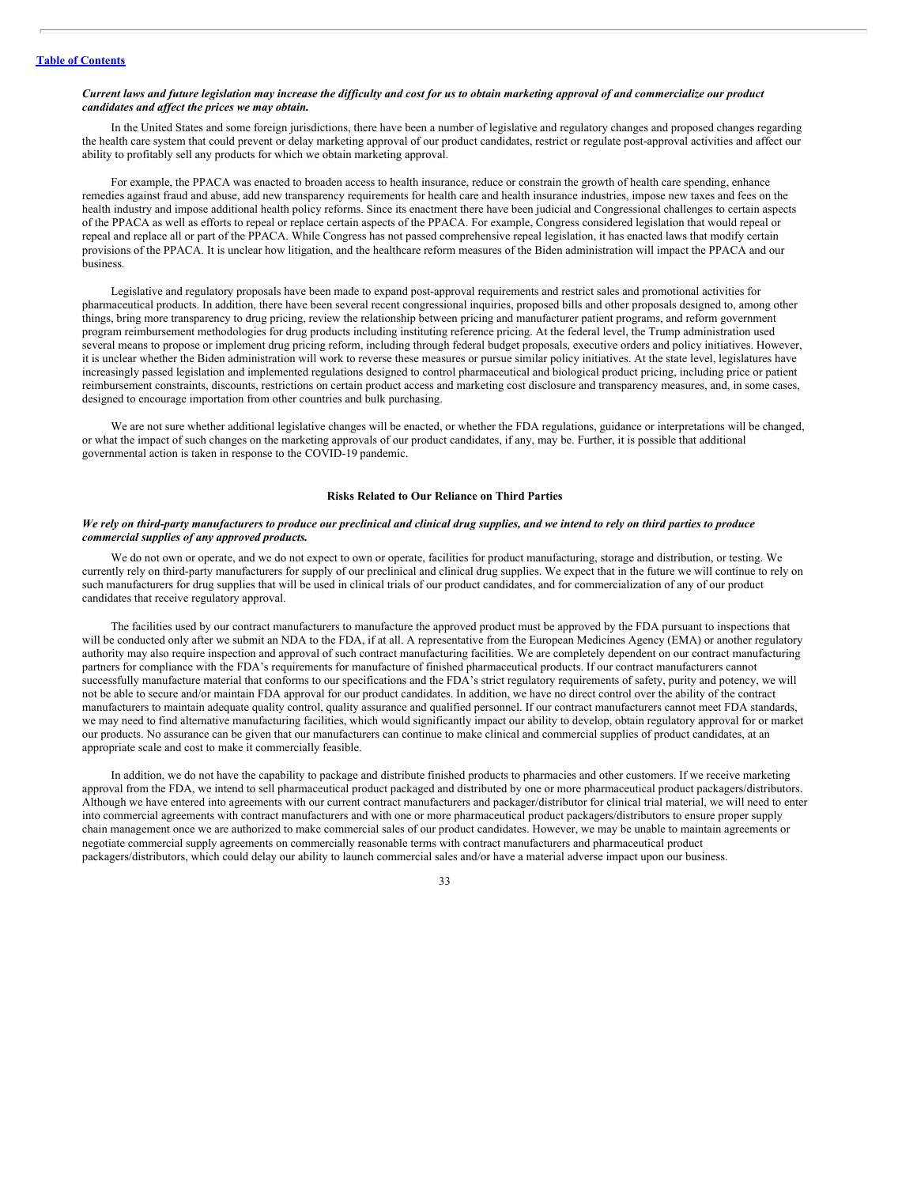## Current laws and future legislation may increase the difficulty and cost for us to obtain marketing approval of and commercialize our product *candidates and af ect the prices we may obtain.*

In the United States and some foreign jurisdictions, there have been a number of legislative and regulatory changes and proposed changes regarding the health care system that could prevent or delay marketing approval of our product candidates, restrict or regulate post-approval activities and affect our ability to profitably sell any products for which we obtain marketing approval.

For example, the PPACA was enacted to broaden access to health insurance, reduce or constrain the growth of health care spending, enhance remedies against fraud and abuse, add new transparency requirements for health care and health insurance industries, impose new taxes and fees on the health industry and impose additional health policy reforms. Since its enactment there have been judicial and Congressional challenges to certain aspects of the PPACA as well as efforts to repeal or replace certain aspects of the PPACA. For example, Congress considered legislation that would repeal or repeal and replace all or part of the PPACA. While Congress has not passed comprehensive repeal legislation, it has enacted laws that modify certain provisions of the PPACA. It is unclear how litigation, and the healthcare reform measures of the Biden administration will impact the PPACA and our business.

Legislative and regulatory proposals have been made to expand post-approval requirements and restrict sales and promotional activities for pharmaceutical products. In addition, there have been several recent congressional inquiries, proposed bills and other proposals designed to, among other things, bring more transparency to drug pricing, review the relationship between pricing and manufacturer patient programs, and reform government program reimbursement methodologies for drug products including instituting reference pricing. At the federal level, the Trump administration used several means to propose or implement drug pricing reform, including through federal budget proposals, executive orders and policy initiatives. However, it is unclear whether the Biden administration will work to reverse these measures or pursue similar policy initiatives. At the state level, legislatures have increasingly passed legislation and implemented regulations designed to control pharmaceutical and biological product pricing, including price or patient reimbursement constraints, discounts, restrictions on certain product access and marketing cost disclosure and transparency measures, and, in some cases, designed to encourage importation from other countries and bulk purchasing.

We are not sure whether additional legislative changes will be enacted, or whether the FDA regulations, guidance or interpretations will be changed, or what the impact of such changes on the marketing approvals of our product candidates, if any, may be. Further, it is possible that additional governmental action is taken in response to the COVID-19 pandemic.

## **Risks Related to Our Reliance on Third Parties**

#### We rely on third-party manufacturers to produce our preclinical and clinical drug supplies, and we intend to rely on third parties to produce *commercial supplies of any approved products.*

We do not own or operate, and we do not expect to own or operate, facilities for product manufacturing, storage and distribution, or testing. We currently rely on third-party manufacturers for supply of our preclinical and clinical drug supplies. We expect that in the future we will continue to rely on such manufacturers for drug supplies that will be used in clinical trials of our product candidates, and for commercialization of any of our product candidates that receive regulatory approval.

The facilities used by our contract manufacturers to manufacture the approved product must be approved by the FDA pursuant to inspections that will be conducted only after we submit an NDA to the FDA, if at all. A representative from the European Medicines Agency (EMA) or another regulatory authority may also require inspection and approval of such contract manufacturing facilities. We are completely dependent on our contract manufacturing partners for compliance with the FDA's requirements for manufacture of finished pharmaceutical products. If our contract manufacturers cannot successfully manufacture material that conforms to our specifications and the FDA's strict regulatory requirements of safety, purity and potency, we will not be able to secure and/or maintain FDA approval for our product candidates. In addition, we have no direct control over the ability of the contract manufacturers to maintain adequate quality control, quality assurance and qualified personnel. If our contract manufacturers cannot meet FDA standards, we may need to find alternative manufacturing facilities, which would significantly impact our ability to develop, obtain regulatory approval for or market our products. No assurance can be given that our manufacturers can continue to make clinical and commercial supplies of product candidates, at an appropriate scale and cost to make it commercially feasible.

In addition, we do not have the capability to package and distribute finished products to pharmacies and other customers. If we receive marketing approval from the FDA, we intend to sell pharmaceutical product packaged and distributed by one or more pharmaceutical product packagers/distributors. Although we have entered into agreements with our current contract manufacturers and packager/distributor for clinical trial material, we will need to enter into commercial agreements with contract manufacturers and with one or more pharmaceutical product packagers/distributors to ensure proper supply chain management once we are authorized to make commercial sales of our product candidates. However, we may be unable to maintain agreements or negotiate commercial supply agreements on commercially reasonable terms with contract manufacturers and pharmaceutical product packagers/distributors, which could delay our ability to launch commercial sales and/or have a material adverse impact upon our business.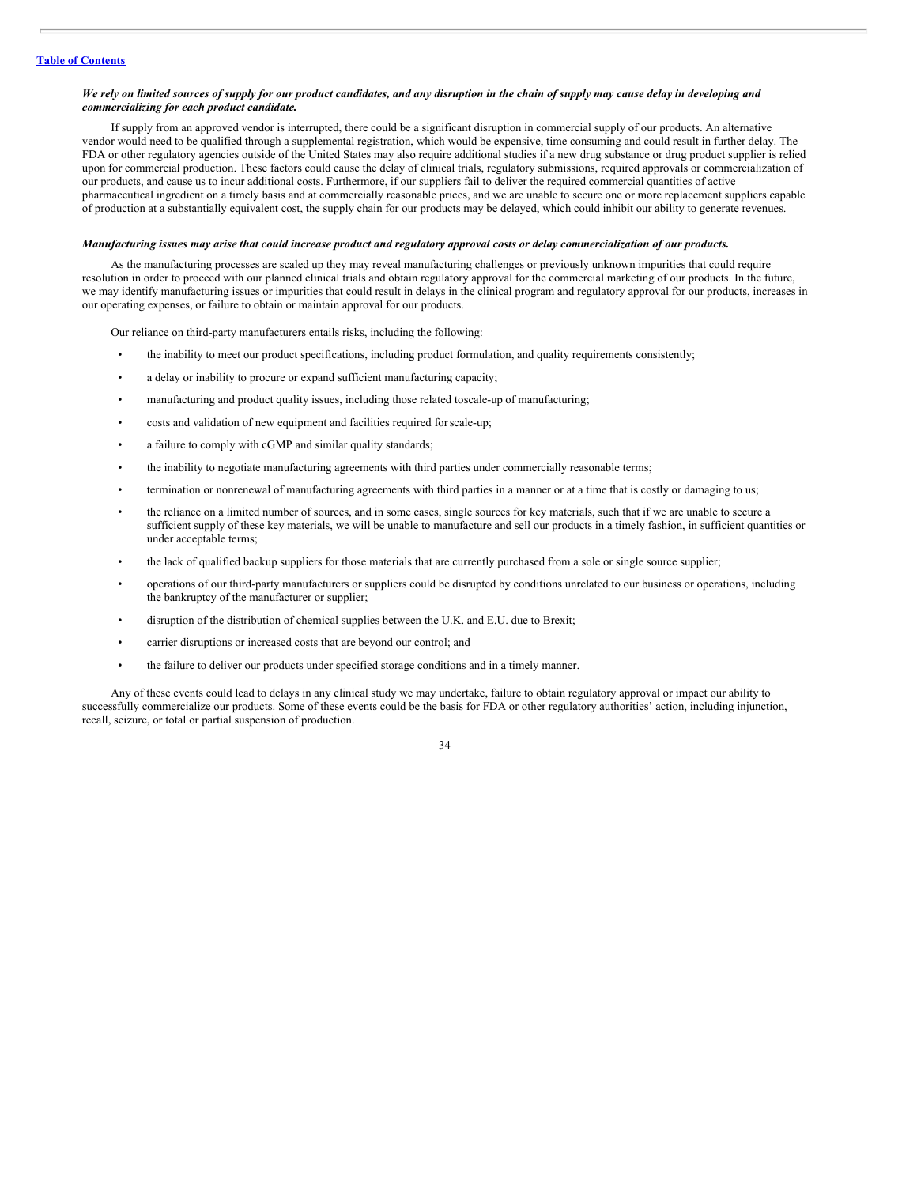#### We rely on limited sources of supply for our product candidates, and any disruption in the chain of supply may cause delay in developing and *commercializing for each product candidate.*

If supply from an approved vendor is interrupted, there could be a significant disruption in commercial supply of our products. An alternative vendor would need to be qualified through a supplemental registration, which would be expensive, time consuming and could result in further delay. The FDA or other regulatory agencies outside of the United States may also require additional studies if a new drug substance or drug product supplier is relied upon for commercial production. These factors could cause the delay of clinical trials, regulatory submissions, required approvals or commercialization of our products, and cause us to incur additional costs. Furthermore, if our suppliers fail to deliver the required commercial quantities of active pharmaceutical ingredient on a timely basis and at commercially reasonable prices, and we are unable to secure one or more replacement suppliers capable of production at a substantially equivalent cost, the supply chain for our products may be delayed, which could inhibit our ability to generate revenues.

#### Manufacturing issues may arise that could increase product and regulatory approval costs or delay commercialization of our products.

As the manufacturing processes are scaled up they may reveal manufacturing challenges or previously unknown impurities that could require resolution in order to proceed with our planned clinical trials and obtain regulatory approval for the commercial marketing of our products. In the future, we may identify manufacturing issues or impurities that could result in delays in the clinical program and regulatory approval for our products, increases in our operating expenses, or failure to obtain or maintain approval for our products.

Our reliance on third-party manufacturers entails risks, including the following:

- the inability to meet our product specifications, including product formulation, and quality requirements consistently;
- a delay or inability to procure or expand sufficient manufacturing capacity;
- manufacturing and product quality issues, including those related toscale-up of manufacturing;
- costs and validation of new equipment and facilities required forscale-up;
- a failure to comply with cGMP and similar quality standards;
- the inability to negotiate manufacturing agreements with third parties under commercially reasonable terms;
- termination or nonrenewal of manufacturing agreements with third parties in a manner or at a time that is costly or damaging to us;
- the reliance on a limited number of sources, and in some cases, single sources for key materials, such that if we are unable to secure a sufficient supply of these key materials, we will be unable to manufacture and sell our products in a timely fashion, in sufficient quantities or under acceptable terms;
- the lack of qualified backup suppliers for those materials that are currently purchased from a sole or single source supplier;
- operations of our third-party manufacturers or suppliers could be disrupted by conditions unrelated to our business or operations, including the bankruptcy of the manufacturer or supplier;
- disruption of the distribution of chemical supplies between the U.K. and E.U. due to Brexit;
- carrier disruptions or increased costs that are beyond our control; and
- the failure to deliver our products under specified storage conditions and in a timely manner.

Any of these events could lead to delays in any clinical study we may undertake, failure to obtain regulatory approval or impact our ability to successfully commercialize our products. Some of these events could be the basis for FDA or other regulatory authorities' action, including injunction, recall, seizure, or total or partial suspension of production.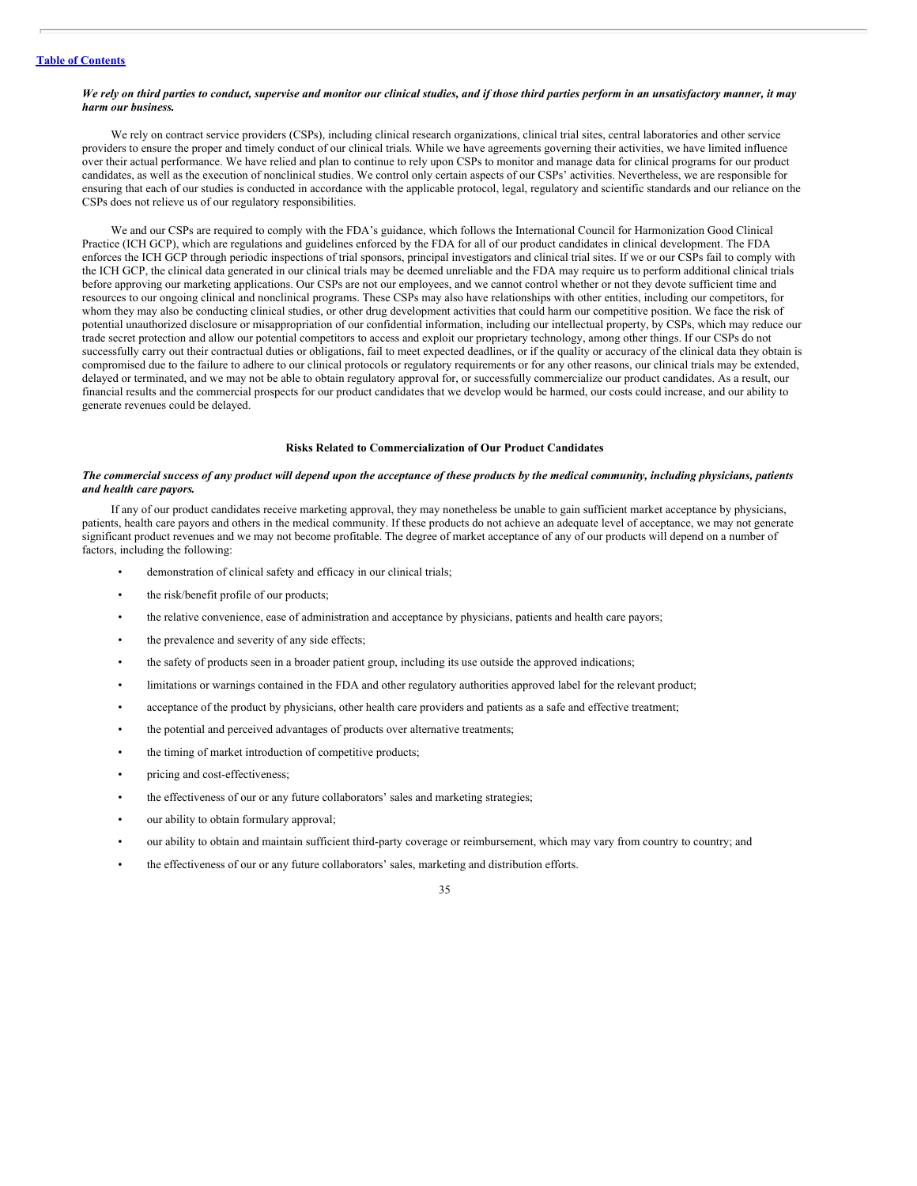#### We rely on third parties to conduct, supervise and monitor our clinical studies, and if those third parties perform in an unsatisfactory manner, it may *harm our business.*

We rely on contract service providers (CSPs), including clinical research organizations, clinical trial sites, central laboratories and other service providers to ensure the proper and timely conduct of our clinical trials. While we have agreements governing their activities, we have limited influence over their actual performance. We have relied and plan to continue to rely upon CSPs to monitor and manage data for clinical programs for our product candidates, as well as the execution of nonclinical studies. We control only certain aspects of our CSPs' activities. Nevertheless, we are responsible for ensuring that each of our studies is conducted in accordance with the applicable protocol, legal, regulatory and scientific standards and our reliance on the CSPs does not relieve us of our regulatory responsibilities.

We and our CSPs are required to comply with the FDA's guidance, which follows the International Council for Harmonization Good Clinical Practice (ICH GCP), which are regulations and guidelines enforced by the FDA for all of our product candidates in clinical development. The FDA enforces the ICH GCP through periodic inspections of trial sponsors, principal investigators and clinical trial sites. If we or our CSPs fail to comply with the ICH GCP, the clinical data generated in our clinical trials may be deemed unreliable and the FDA may require us to perform additional clinical trials before approving our marketing applications. Our CSPs are not our employees, and we cannot control whether or not they devote sufficient time and resources to our ongoing clinical and nonclinical programs. These CSPs may also have relationships with other entities, including our competitors, for whom they may also be conducting clinical studies, or other drug development activities that could harm our competitive position. We face the risk of potential unauthorized disclosure or misappropriation of our confidential information, including our intellectual property, by CSPs, which may reduce our trade secret protection and allow our potential competitors to access and exploit our proprietary technology, among other things. If our CSPs do not successfully carry out their contractual duties or obligations, fail to meet expected deadlines, or if the quality or accuracy of the clinical data they obtain is compromised due to the failure to adhere to our clinical protocols or regulatory requirements or for any other reasons, our clinical trials may be extended, delayed or terminated, and we may not be able to obtain regulatory approval for, or successfully commercialize our product candidates. As a result, our financial results and the commercial prospects for our product candidates that we develop would be harmed, our costs could increase, and our ability to generate revenues could be delayed.

## **Risks Related to Commercialization of Our Product Candidates**

# The commercial success of any product will depend upon the acceptance of these products by the medical community, including physicians, patients *and health care payors.*

If any of our product candidates receive marketing approval, they may nonetheless be unable to gain sufficient market acceptance by physicians, patients, health care payors and others in the medical community. If these products do not achieve an adequate level of acceptance, we may not generate significant product revenues and we may not become profitable. The degree of market acceptance of any of our products will depend on a number of factors, including the following:

- demonstration of clinical safety and efficacy in our clinical trials;
- the risk/benefit profile of our products;
- the relative convenience, ease of administration and acceptance by physicians, patients and health care payors;
- the prevalence and severity of any side effects;
- the safety of products seen in a broader patient group, including its use outside the approved indications;
- limitations or warnings contained in the FDA and other regulatory authorities approved label for the relevant product;
- acceptance of the product by physicians, other health care providers and patients as a safe and effective treatment;
- the potential and perceived advantages of products over alternative treatments;
- the timing of market introduction of competitive products;
- pricing and cost-effectiveness;
- the effectiveness of our or any future collaborators' sales and marketing strategies;
- our ability to obtain formulary approval;
- our ability to obtain and maintain sufficient third-party coverage or reimbursement, which may vary from country to country; and
- the effectiveness of our or any future collaborators' sales, marketing and distribution efforts.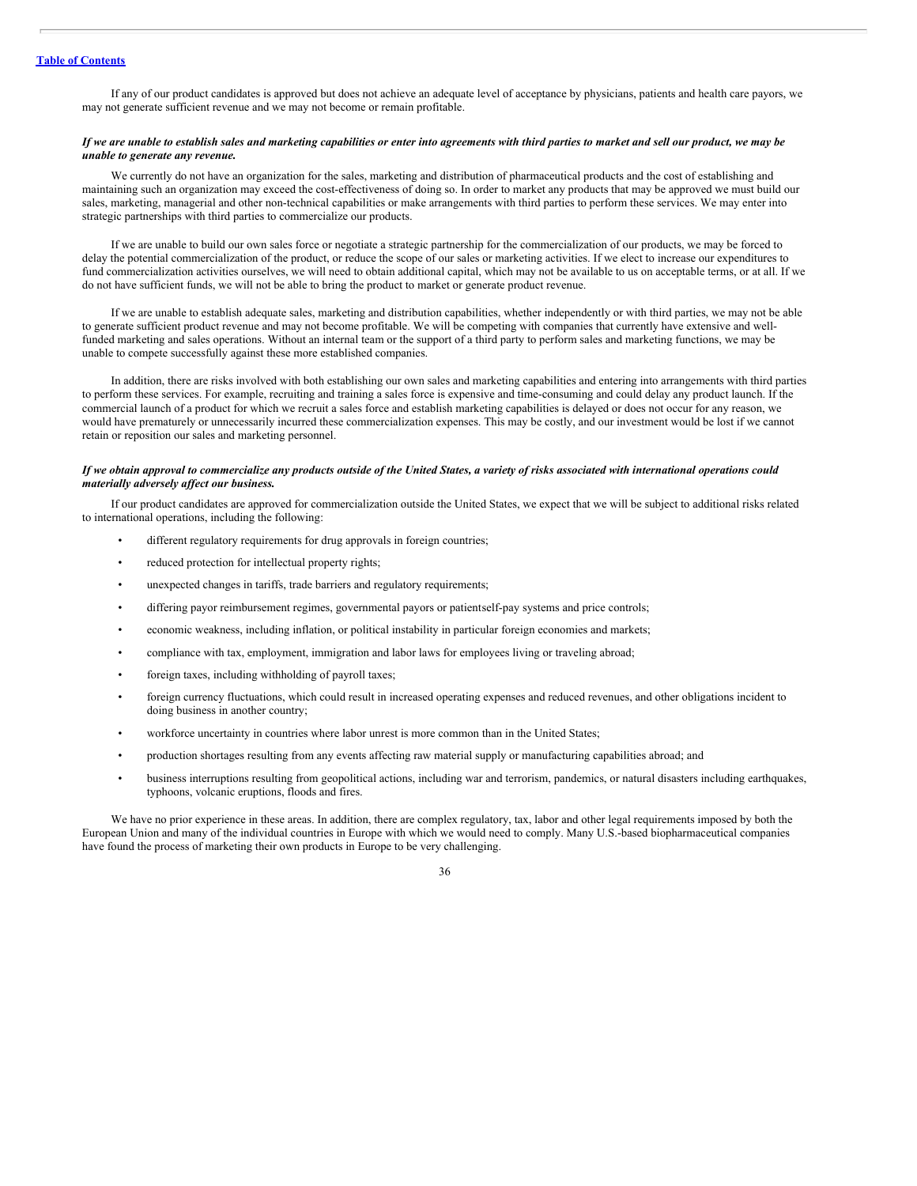If any of our product candidates is approved but does not achieve an adequate level of acceptance by physicians, patients and health care payors, we may not generate sufficient revenue and we may not become or remain profitable.

# If we are unable to establish sales and marketing capabilities or enter into agreements with third parties to market and sell our product, we may be *unable to generate any revenue.*

We currently do not have an organization for the sales, marketing and distribution of pharmaceutical products and the cost of establishing and maintaining such an organization may exceed the cost-effectiveness of doing so. In order to market any products that may be approved we must build our sales, marketing, managerial and other non-technical capabilities or make arrangements with third parties to perform these services. We may enter into strategic partnerships with third parties to commercialize our products.

If we are unable to build our own sales force or negotiate a strategic partnership for the commercialization of our products, we may be forced to delay the potential commercialization of the product, or reduce the scope of our sales or marketing activities. If we elect to increase our expenditures to fund commercialization activities ourselves, we will need to obtain additional capital, which may not be available to us on acceptable terms, or at all. If we do not have sufficient funds, we will not be able to bring the product to market or generate product revenue.

If we are unable to establish adequate sales, marketing and distribution capabilities, whether independently or with third parties, we may not be able to generate sufficient product revenue and may not become profitable. We will be competing with companies that currently have extensive and wellfunded marketing and sales operations. Without an internal team or the support of a third party to perform sales and marketing functions, we may be unable to compete successfully against these more established companies.

In addition, there are risks involved with both establishing our own sales and marketing capabilities and entering into arrangements with third parties to perform these services. For example, recruiting and training a sales force is expensive and time-consuming and could delay any product launch. If the commercial launch of a product for which we recruit a sales force and establish marketing capabilities is delayed or does not occur for any reason, we would have prematurely or unnecessarily incurred these commercialization expenses. This may be costly, and our investment would be lost if we cannot retain or reposition our sales and marketing personnel.

# If we obtain approval to commercialize any products outside of the United States, a variety of risks associated with international operations could *materially adversely af ect our business.*

If our product candidates are approved for commercialization outside the United States, we expect that we will be subject to additional risks related to international operations, including the following:

- different regulatory requirements for drug approvals in foreign countries;
- reduced protection for intellectual property rights;
- unexpected changes in tariffs, trade barriers and regulatory requirements;
- differing payor reimbursement regimes, governmental payors or patientself-pay systems and price controls;
- economic weakness, including inflation, or political instability in particular foreign economies and markets;
- compliance with tax, employment, immigration and labor laws for employees living or traveling abroad;
- foreign taxes, including withholding of payroll taxes;
- foreign currency fluctuations, which could result in increased operating expenses and reduced revenues, and other obligations incident to doing business in another country;
- workforce uncertainty in countries where labor unrest is more common than in the United States;
- production shortages resulting from any events affecting raw material supply or manufacturing capabilities abroad; and
- business interruptions resulting from geopolitical actions, including war and terrorism, pandemics, or natural disasters including earthquakes, typhoons, volcanic eruptions, floods and fires.

We have no prior experience in these areas. In addition, there are complex regulatory, tax, labor and other legal requirements imposed by both the European Union and many of the individual countries in Europe with which we would need to comply. Many U.S.-based biopharmaceutical companies have found the process of marketing their own products in Europe to be very challenging.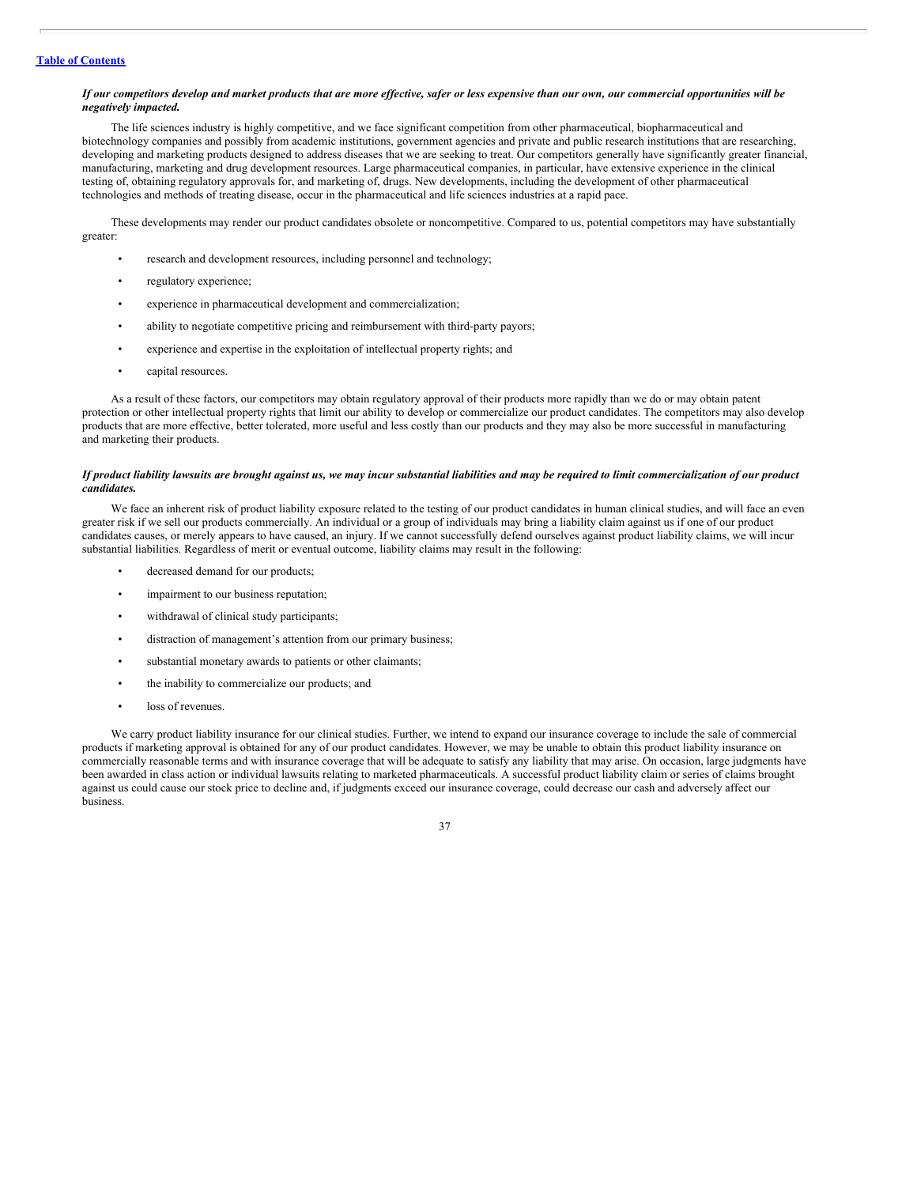#### If our competitors develop and market products that are more effective, safer or less expensive than our own, our commercial opportunities will be *negatively impacted.*

The life sciences industry is highly competitive, and we face significant competition from other pharmaceutical, biopharmaceutical and biotechnology companies and possibly from academic institutions, government agencies and private and public research institutions that are researching, developing and marketing products designed to address diseases that we are seeking to treat. Our competitors generally have significantly greater financial, manufacturing, marketing and drug development resources. Large pharmaceutical companies, in particular, have extensive experience in the clinical testing of, obtaining regulatory approvals for, and marketing of, drugs. New developments, including the development of other pharmaceutical technologies and methods of treating disease, occur in the pharmaceutical and life sciences industries at a rapid pace.

These developments may render our product candidates obsolete or noncompetitive. Compared to us, potential competitors may have substantially greater:

- research and development resources, including personnel and technology;
- regulatory experience;
- experience in pharmaceutical development and commercialization;
- ability to negotiate competitive pricing and reimbursement with third-party payors;
- experience and expertise in the exploitation of intellectual property rights; and
- capital resources.

As a result of these factors, our competitors may obtain regulatory approval of their products more rapidly than we do or may obtain patent protection or other intellectual property rights that limit our ability to develop or commercialize our product candidates. The competitors may also develop products that are more effective, better tolerated, more useful and less costly than our products and they may also be more successful in manufacturing and marketing their products.

#### If product liability lawsuits are brought against us, we may incur substantial liabilities and may be required to limit commercialization of our product *candidates.*

We face an inherent risk of product liability exposure related to the testing of our product candidates in human clinical studies, and will face an even greater risk if we sell our products commercially. An individual or a group of individuals may bring a liability claim against us if one of our product candidates causes, or merely appears to have caused, an injury. If we cannot successfully defend ourselves against product liability claims, we will incur substantial liabilities. Regardless of merit or eventual outcome, liability claims may result in the following:

- decreased demand for our products;
- impairment to our business reputation;
- withdrawal of clinical study participants;
- distraction of management's attention from our primary business;
- substantial monetary awards to patients or other claimants;
- the inability to commercialize our products; and
- loss of revenues.

We carry product liability insurance for our clinical studies. Further, we intend to expand our insurance coverage to include the sale of commercial products if marketing approval is obtained for any of our product candidates. However, we may be unable to obtain this product liability insurance on commercially reasonable terms and with insurance coverage that will be adequate to satisfy any liability that may arise. On occasion, large judgments have been awarded in class action or individual lawsuits relating to marketed pharmaceuticals. A successful product liability claim or series of claims brought against us could cause our stock price to decline and, if judgments exceed our insurance coverage, could decrease our cash and adversely affect our business.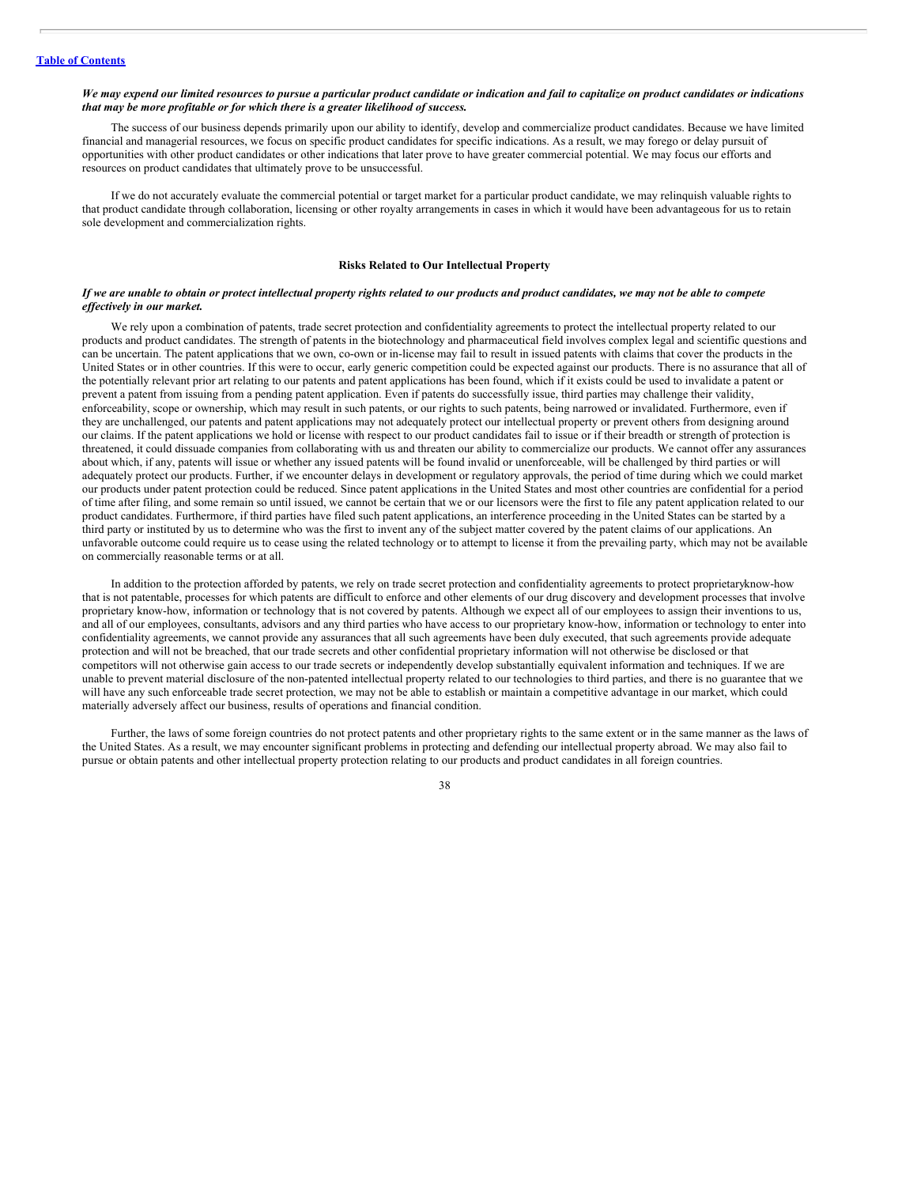#### We may expend our limited resources to pursue a particular product candidate or indication and fail to capitalize on product candidates or indications *that may be more profitable or for which there is a greater likelihood of success.*

The success of our business depends primarily upon our ability to identify, develop and commercialize product candidates. Because we have limited financial and managerial resources, we focus on specific product candidates for specific indications. As a result, we may forego or delay pursuit of opportunities with other product candidates or other indications that later prove to have greater commercial potential. We may focus our efforts and resources on product candidates that ultimately prove to be unsuccessful.

If we do not accurately evaluate the commercial potential or target market for a particular product candidate, we may relinquish valuable rights to that product candidate through collaboration, licensing or other royalty arrangements in cases in which it would have been advantageous for us to retain sole development and commercialization rights.

# **Risks Related to Our Intellectual Property**

#### If we are unable to obtain or protect intellectual property rights related to our products and product candidates, we may not be able to compete *ef ectively in our market.*

We rely upon a combination of patents, trade secret protection and confidentiality agreements to protect the intellectual property related to our products and product candidates. The strength of patents in the biotechnology and pharmaceutical field involves complex legal and scientific questions and can be uncertain. The patent applications that we own, co-own or in-license may fail to result in issued patents with claims that cover the products in the United States or in other countries. If this were to occur, early generic competition could be expected against our products. There is no assurance that all of the potentially relevant prior art relating to our patents and patent applications has been found, which if it exists could be used to invalidate a patent or prevent a patent from issuing from a pending patent application. Even if patents do successfully issue, third parties may challenge their validity, enforceability, scope or ownership, which may result in such patents, or our rights to such patents, being narrowed or invalidated. Furthermore, even if they are unchallenged, our patents and patent applications may not adequately protect our intellectual property or prevent others from designing around our claims. If the patent applications we hold or license with respect to our product candidates fail to issue or if their breadth or strength of protection is threatened, it could dissuade companies from collaborating with us and threaten our ability to commercialize our products. We cannot offer any assurances about which, if any, patents will issue or whether any issued patents will be found invalid or unenforceable, will be challenged by third parties or will adequately protect our products. Further, if we encounter delays in development or regulatory approvals, the period of time during which we could market our products under patent protection could be reduced. Since patent applications in the United States and most other countries are confidential for a period of time after filing, and some remain so until issued, we cannot be certain that we or our licensors were the first to file any patent application related to our product candidates. Furthermore, if third parties have filed such patent applications, an interference proceeding in the United States can be started by a third party or instituted by us to determine who was the first to invent any of the subject matter covered by the patent claims of our applications. An unfavorable outcome could require us to cease using the related technology or to attempt to license it from the prevailing party, which may not be available on commercially reasonable terms or at all.

In addition to the protection afforded by patents, we rely on trade secret protection and confidentiality agreements to protect proprietaryknow-how that is not patentable, processes for which patents are difficult to enforce and other elements of our drug discovery and development processes that involve proprietary know-how, information or technology that is not covered by patents. Although we expect all of our employees to assign their inventions to us, and all of our employees, consultants, advisors and any third parties who have access to our proprietary know-how, information or technology to enter into confidentiality agreements, we cannot provide any assurances that all such agreements have been duly executed, that such agreements provide adequate protection and will not be breached, that our trade secrets and other confidential proprietary information will not otherwise be disclosed or that competitors will not otherwise gain access to our trade secrets or independently develop substantially equivalent information and techniques. If we are unable to prevent material disclosure of the non-patented intellectual property related to our technologies to third parties, and there is no guarantee that we will have any such enforceable trade secret protection, we may not be able to establish or maintain a competitive advantage in our market, which could materially adversely affect our business, results of operations and financial condition.

Further, the laws of some foreign countries do not protect patents and other proprietary rights to the same extent or in the same manner as the laws of the United States. As a result, we may encounter significant problems in protecting and defending our intellectual property abroad. We may also fail to pursue or obtain patents and other intellectual property protection relating to our products and product candidates in all foreign countries.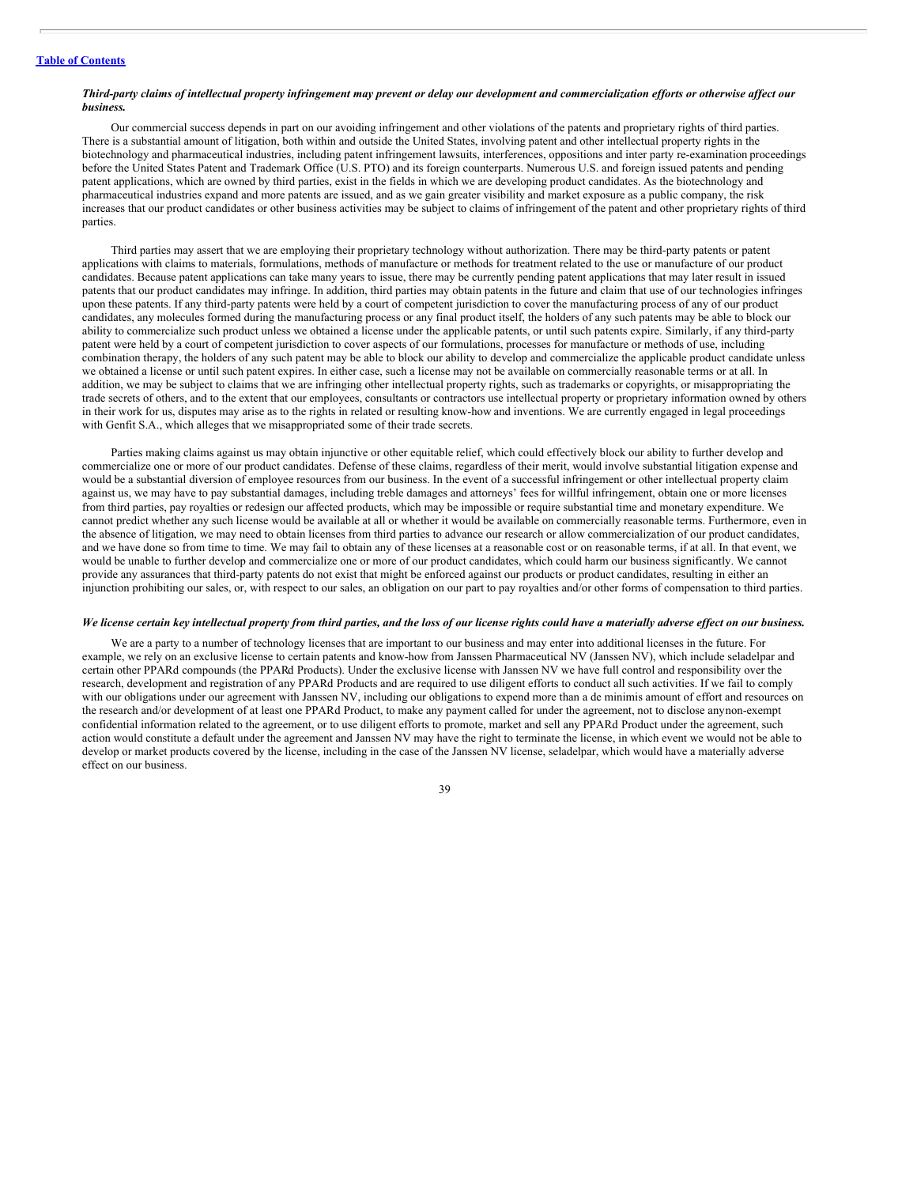#### Third-party claims of intellectual property infringement may prevent or delay our development and commercialization efforts or otherwise affect our *business.*

Our commercial success depends in part on our avoiding infringement and other violations of the patents and proprietary rights of third parties. There is a substantial amount of litigation, both within and outside the United States, involving patent and other intellectual property rights in the biotechnology and pharmaceutical industries, including patent infringement lawsuits, interferences, oppositions and inter party re-examination proceedings before the United States Patent and Trademark Office (U.S. PTO) and its foreign counterparts. Numerous U.S. and foreign issued patents and pending patent applications, which are owned by third parties, exist in the fields in which we are developing product candidates. As the biotechnology and pharmaceutical industries expand and more patents are issued, and as we gain greater visibility and market exposure as a public company, the risk increases that our product candidates or other business activities may be subject to claims of infringement of the patent and other proprietary rights of third parties.

Third parties may assert that we are employing their proprietary technology without authorization. There may be third-party patents or patent applications with claims to materials, formulations, methods of manufacture or methods for treatment related to the use or manufacture of our product candidates. Because patent applications can take many years to issue, there may be currently pending patent applications that may later result in issued patents that our product candidates may infringe. In addition, third parties may obtain patents in the future and claim that use of our technologies infringes upon these patents. If any third-party patents were held by a court of competent jurisdiction to cover the manufacturing process of any of our product candidates, any molecules formed during the manufacturing process or any final product itself, the holders of any such patents may be able to block our ability to commercialize such product unless we obtained a license under the applicable patents, or until such patents expire. Similarly, if any third-party patent were held by a court of competent jurisdiction to cover aspects of our formulations, processes for manufacture or methods of use, including combination therapy, the holders of any such patent may be able to block our ability to develop and commercialize the applicable product candidate unless we obtained a license or until such patent expires. In either case, such a license may not be available on commercially reasonable terms or at all. In addition, we may be subject to claims that we are infringing other intellectual property rights, such as trademarks or copyrights, or misappropriating the trade secrets of others, and to the extent that our employees, consultants or contractors use intellectual property or proprietary information owned by others in their work for us, disputes may arise as to the rights in related or resulting know-how and inventions. We are currently engaged in legal proceedings with Genfit S.A., which alleges that we misappropriated some of their trade secrets.

Parties making claims against us may obtain injunctive or other equitable relief, which could effectively block our ability to further develop and commercialize one or more of our product candidates. Defense of these claims, regardless of their merit, would involve substantial litigation expense and would be a substantial diversion of employee resources from our business. In the event of a successful infringement or other intellectual property claim against us, we may have to pay substantial damages, including treble damages and attorneys' fees for willful infringement, obtain one or more licenses from third parties, pay royalties or redesign our affected products, which may be impossible or require substantial time and monetary expenditure. We cannot predict whether any such license would be available at all or whether it would be available on commercially reasonable terms. Furthermore, even in the absence of litigation, we may need to obtain licenses from third parties to advance our research or allow commercialization of our product candidates, and we have done so from time to time. We may fail to obtain any of these licenses at a reasonable cost or on reasonable terms, if at all. In that event, we would be unable to further develop and commercialize one or more of our product candidates, which could harm our business significantly. We cannot provide any assurances that third-party patents do not exist that might be enforced against our products or product candidates, resulting in either an injunction prohibiting our sales, or, with respect to our sales, an obligation on our part to pay royalties and/or other forms of compensation to third parties.

#### We license certain key intellectual property from third parties, and the loss of our license rights could have a materially adverse effect on our business.

We are a party to a number of technology licenses that are important to our business and may enter into additional licenses in the future. For example, we rely on an exclusive license to certain patents and know-how from Janssen Pharmaceutical NV (Janssen NV), which include seladelpar and certain other PPARd compounds (the PPARd Products). Under the exclusive license with Janssen NV we have full control and responsibility over the research, development and registration of any PPARd Products and are required to use diligent efforts to conduct all such activities. If we fail to comply with our obligations under our agreement with Janssen NV, including our obligations to expend more than a de minimis amount of effort and resources on the research and/or development of at least one PPARd Product, to make any payment called for under the agreement, not to disclose anynon-exempt confidential information related to the agreement, or to use diligent efforts to promote, market and sell any PPARd Product under the agreement, such action would constitute a default under the agreement and Janssen NV may have the right to terminate the license, in which event we would not be able to develop or market products covered by the license, including in the case of the Janssen NV license, seladelpar, which would have a materially adverse effect on our business.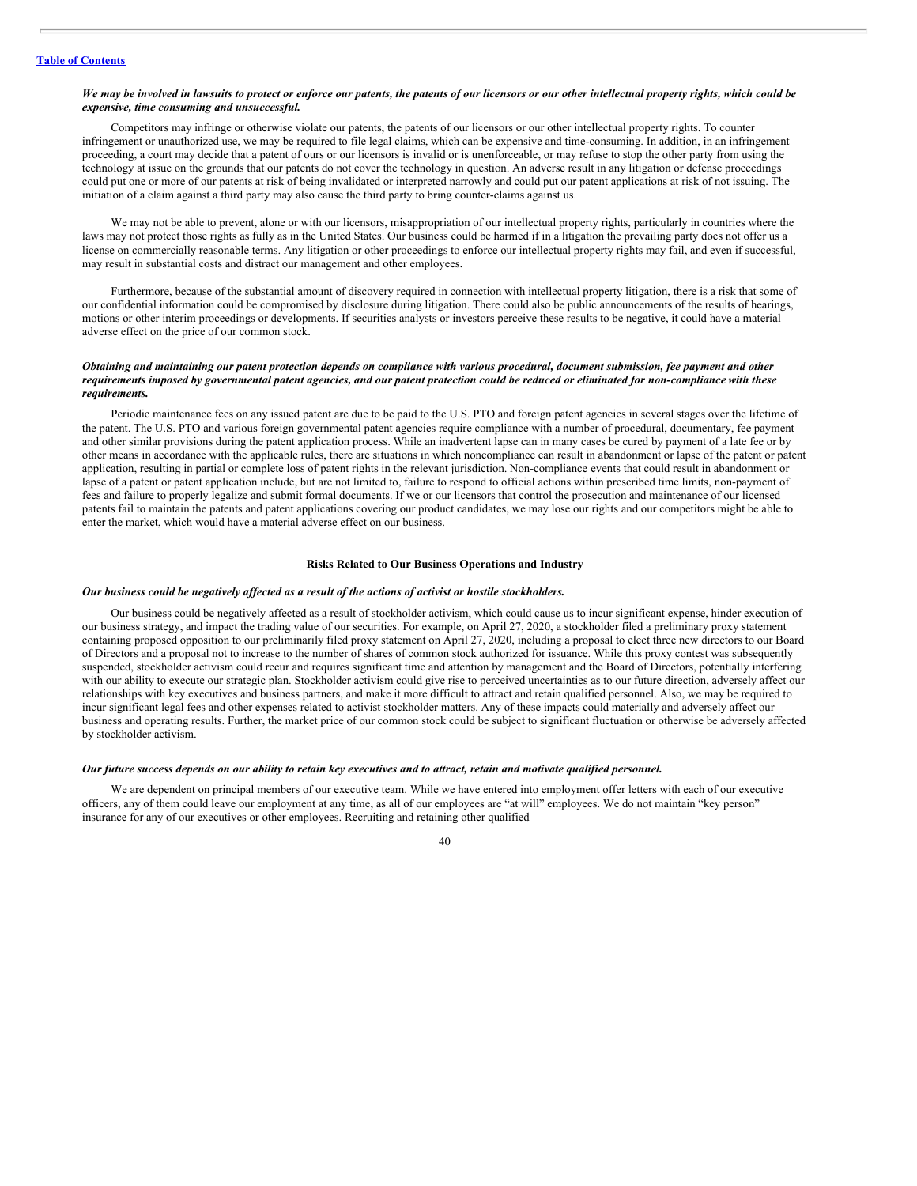#### We may be involved in lawsuits to protect or enforce our patents, the patents of our licensors or our other intellectual property rights, which could be *expensive, time consuming and unsuccessful.*

Competitors may infringe or otherwise violate our patents, the patents of our licensors or our other intellectual property rights. To counter infringement or unauthorized use, we may be required to file legal claims, which can be expensive and time-consuming. In addition, in an infringement proceeding, a court may decide that a patent of ours or our licensors is invalid or is unenforceable, or may refuse to stop the other party from using the technology at issue on the grounds that our patents do not cover the technology in question. An adverse result in any litigation or defense proceedings could put one or more of our patents at risk of being invalidated or interpreted narrowly and could put our patent applications at risk of not issuing. The initiation of a claim against a third party may also cause the third party to bring counter-claims against us.

We may not be able to prevent, alone or with our licensors, misappropriation of our intellectual property rights, particularly in countries where the laws may not protect those rights as fully as in the United States. Our business could be harmed if in a litigation the prevailing party does not offer us a license on commercially reasonable terms. Any litigation or other proceedings to enforce our intellectual property rights may fail, and even if successful, may result in substantial costs and distract our management and other employees.

Furthermore, because of the substantial amount of discovery required in connection with intellectual property litigation, there is a risk that some of our confidential information could be compromised by disclosure during litigation. There could also be public announcements of the results of hearings, motions or other interim proceedings or developments. If securities analysts or investors perceive these results to be negative, it could have a material adverse effect on the price of our common stock.

#### Obtaining and maintaining our patent protection depends on compliance with various procedural, document submission, fee payment and other requirements imposed by governmental patent agencies, and our patent protection could be reduced or eliminated for non-compliance with these *requirements.*

Periodic maintenance fees on any issued patent are due to be paid to the U.S. PTO and foreign patent agencies in several stages over the lifetime of the patent. The U.S. PTO and various foreign governmental patent agencies require compliance with a number of procedural, documentary, fee payment and other similar provisions during the patent application process. While an inadvertent lapse can in many cases be cured by payment of a late fee or by other means in accordance with the applicable rules, there are situations in which noncompliance can result in abandonment or lapse of the patent or patent application, resulting in partial or complete loss of patent rights in the relevant jurisdiction. Non-compliance events that could result in abandonment or lapse of a patent or patent application include, but are not limited to, failure to respond to official actions within prescribed time limits, non-payment of fees and failure to properly legalize and submit formal documents. If we or our licensors that control the prosecution and maintenance of our licensed patents fail to maintain the patents and patent applications covering our product candidates, we may lose our rights and our competitors might be able to enter the market, which would have a material adverse effect on our business.

#### **Risks Related to Our Business Operations and Industry**

## Our business could be negatively affected as a result of the actions of activist or hostile stockholders.

Our business could be negatively affected as a result of stockholder activism, which could cause us to incur significant expense, hinder execution of our business strategy, and impact the trading value of our securities. For example, on April 27, 2020, a stockholder filed a preliminary proxy statement containing proposed opposition to our preliminarily filed proxy statement on April 27, 2020, including a proposal to elect three new directors to our Board of Directors and a proposal not to increase to the number of shares of common stock authorized for issuance. While this proxy contest was subsequently suspended, stockholder activism could recur and requires significant time and attention by management and the Board of Directors, potentially interfering with our ability to execute our strategic plan. Stockholder activism could give rise to perceived uncertainties as to our future direction, adversely affect our relationships with key executives and business partners, and make it more difficult to attract and retain qualified personnel. Also, we may be required to incur significant legal fees and other expenses related to activist stockholder matters. Any of these impacts could materially and adversely affect our business and operating results. Further, the market price of our common stock could be subject to significant fluctuation or otherwise be adversely affected by stockholder activism.

#### Our future success depends on our ability to retain key executives and to attract, retain and motivate qualified personnel.

We are dependent on principal members of our executive team. While we have entered into employment offer letters with each of our executive officers, any of them could leave our employment at any time, as all of our employees are "at will" employees. We do not maintain "key person" insurance for any of our executives or other employees. Recruiting and retaining other qualified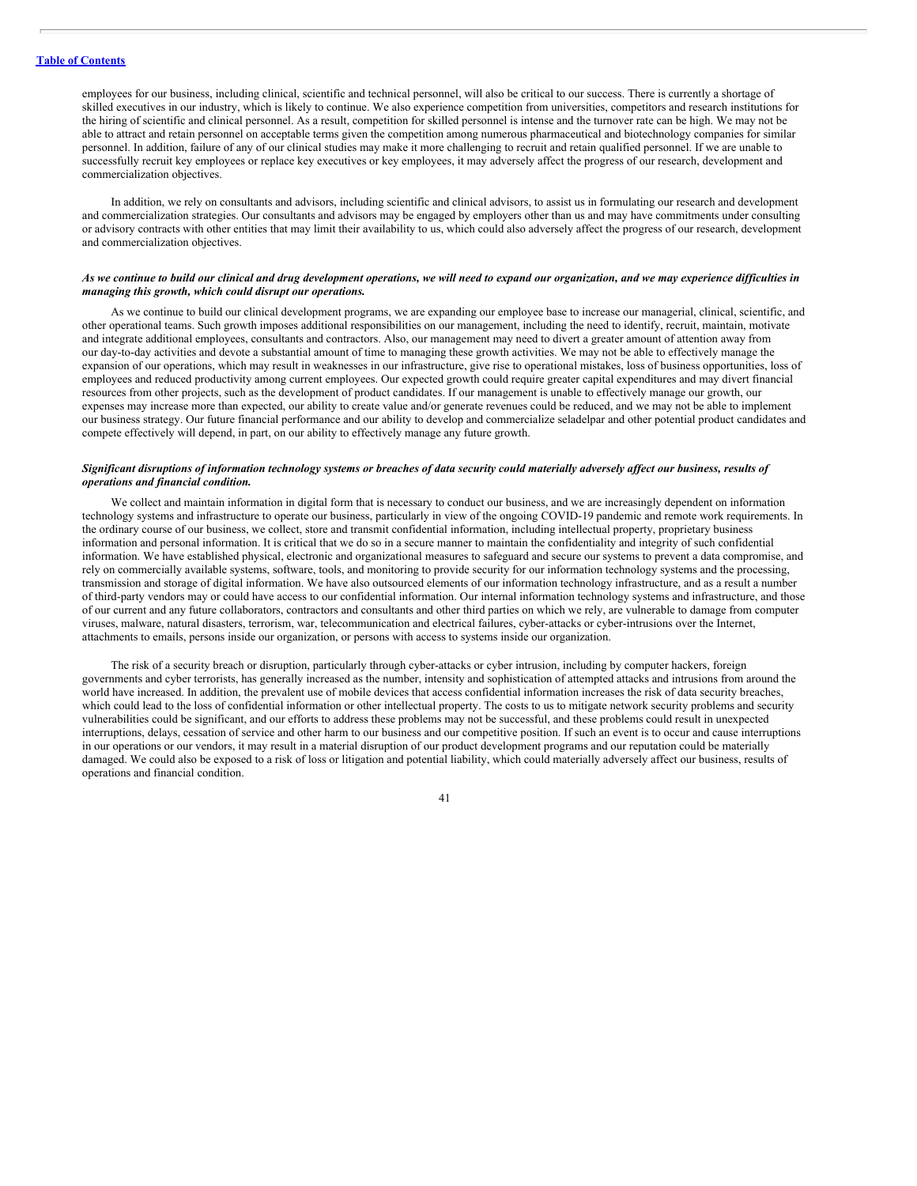employees for our business, including clinical, scientific and technical personnel, will also be critical to our success. There is currently a shortage of skilled executives in our industry, which is likely to continue. We also experience competition from universities, competitors and research institutions for the hiring of scientific and clinical personnel. As a result, competition for skilled personnel is intense and the turnover rate can be high. We may not be able to attract and retain personnel on acceptable terms given the competition among numerous pharmaceutical and biotechnology companies for similar personnel. In addition, failure of any of our clinical studies may make it more challenging to recruit and retain qualified personnel. If we are unable to successfully recruit key employees or replace key executives or key employees, it may adversely affect the progress of our research, development and commercialization objectives.

In addition, we rely on consultants and advisors, including scientific and clinical advisors, to assist us in formulating our research and development and commercialization strategies. Our consultants and advisors may be engaged by employers other than us and may have commitments under consulting or advisory contracts with other entities that may limit their availability to us, which could also adversely affect the progress of our research, development and commercialization objectives.

#### As we continue to build our clinical and drug development operations, we will need to expand our organization, and we may experience difficulties in *managing this growth, which could disrupt our operations.*

As we continue to build our clinical development programs, we are expanding our employee base to increase our managerial, clinical, scientific, and other operational teams. Such growth imposes additional responsibilities on our management, including the need to identify, recruit, maintain, motivate and integrate additional employees, consultants and contractors. Also, our management may need to divert a greater amount of attention away from our day-to-day activities and devote a substantial amount of time to managing these growth activities. We may not be able to effectively manage the expansion of our operations, which may result in weaknesses in our infrastructure, give rise to operational mistakes, loss of business opportunities, loss of employees and reduced productivity among current employees. Our expected growth could require greater capital expenditures and may divert financial resources from other projects, such as the development of product candidates. If our management is unable to effectively manage our growth, our expenses may increase more than expected, our ability to create value and/or generate revenues could be reduced, and we may not be able to implement our business strategy. Our future financial performance and our ability to develop and commercialize seladelpar and other potential product candidates and compete effectively will depend, in part, on our ability to effectively manage any future growth.

# Significant disruptions of information technology systems or breaches of data security could materially adversely affect our business, results of *operations and financial condition.*

We collect and maintain information in digital form that is necessary to conduct our business, and we are increasingly dependent on information technology systems and infrastructure to operate our business, particularly in view of the ongoing COVID-19 pandemic and remote work requirements. In the ordinary course of our business, we collect, store and transmit confidential information, including intellectual property, proprietary business information and personal information. It is critical that we do so in a secure manner to maintain the confidentiality and integrity of such confidential information. We have established physical, electronic and organizational measures to safeguard and secure our systems to prevent a data compromise, and rely on commercially available systems, software, tools, and monitoring to provide security for our information technology systems and the processing, transmission and storage of digital information. We have also outsourced elements of our information technology infrastructure, and as a result a number of third-party vendors may or could have access to our confidential information. Our internal information technology systems and infrastructure, and those of our current and any future collaborators, contractors and consultants and other third parties on which we rely, are vulnerable to damage from computer viruses, malware, natural disasters, terrorism, war, telecommunication and electrical failures, cyber-attacks or cyber-intrusions over the Internet, attachments to emails, persons inside our organization, or persons with access to systems inside our organization.

The risk of a security breach or disruption, particularly through cyber-attacks or cyber intrusion, including by computer hackers, foreign governments and cyber terrorists, has generally increased as the number, intensity and sophistication of attempted attacks and intrusions from around the world have increased. In addition, the prevalent use of mobile devices that access confidential information increases the risk of data security breaches, which could lead to the loss of confidential information or other intellectual property. The costs to us to mitigate network security problems and security vulnerabilities could be significant, and our efforts to address these problems may not be successful, and these problems could result in unexpected interruptions, delays, cessation of service and other harm to our business and our competitive position. If such an event is to occur and cause interruptions in our operations or our vendors, it may result in a material disruption of our product development programs and our reputation could be materially damaged. We could also be exposed to a risk of loss or litigation and potential liability, which could materially adversely affect our business, results of operations and financial condition.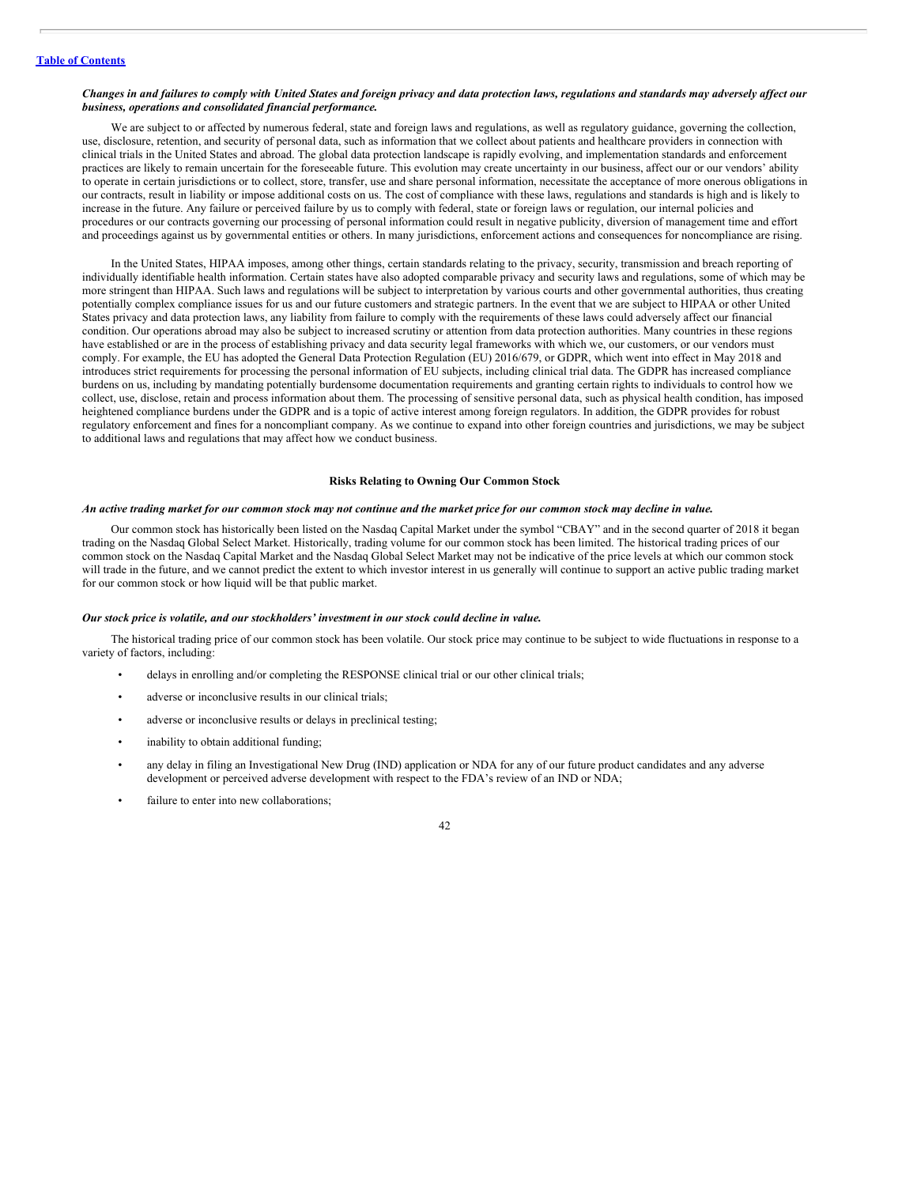#### Changes in and failures to comply with United States and foreign privacy and data protection laws, regulations and standards may adversely affect our *business, operations and consolidated financial performance.*

We are subject to or affected by numerous federal, state and foreign laws and regulations, as well as regulatory guidance, governing the collection, use, disclosure, retention, and security of personal data, such as information that we collect about patients and healthcare providers in connection with clinical trials in the United States and abroad. The global data protection landscape is rapidly evolving, and implementation standards and enforcement practices are likely to remain uncertain for the foreseeable future. This evolution may create uncertainty in our business, affect our or our vendors' ability to operate in certain jurisdictions or to collect, store, transfer, use and share personal information, necessitate the acceptance of more onerous obligations in our contracts, result in liability or impose additional costs on us. The cost of compliance with these laws, regulations and standards is high and is likely to increase in the future. Any failure or perceived failure by us to comply with federal, state or foreign laws or regulation, our internal policies and procedures or our contracts governing our processing of personal information could result in negative publicity, diversion of management time and effort and proceedings against us by governmental entities or others. In many jurisdictions, enforcement actions and consequences for noncompliance are rising.

In the United States, HIPAA imposes, among other things, certain standards relating to the privacy, security, transmission and breach reporting of individually identifiable health information. Certain states have also adopted comparable privacy and security laws and regulations, some of which may be more stringent than HIPAA. Such laws and regulations will be subject to interpretation by various courts and other governmental authorities, thus creating potentially complex compliance issues for us and our future customers and strategic partners. In the event that we are subject to HIPAA or other United States privacy and data protection laws, any liability from failure to comply with the requirements of these laws could adversely affect our financial condition. Our operations abroad may also be subject to increased scrutiny or attention from data protection authorities. Many countries in these regions have established or are in the process of establishing privacy and data security legal frameworks with which we, our customers, or our vendors must comply. For example, the EU has adopted the General Data Protection Regulation (EU) 2016/679, or GDPR, which went into effect in May 2018 and introduces strict requirements for processing the personal information of EU subjects, including clinical trial data. The GDPR has increased compliance burdens on us, including by mandating potentially burdensome documentation requirements and granting certain rights to individuals to control how we collect, use, disclose, retain and process information about them. The processing of sensitive personal data, such as physical health condition, has imposed heightened compliance burdens under the GDPR and is a topic of active interest among foreign regulators. In addition, the GDPR provides for robust regulatory enforcement and fines for a noncompliant company. As we continue to expand into other foreign countries and jurisdictions, we may be subject to additional laws and regulations that may affect how we conduct business.

#### **Risks Relating to Owning Our Common Stock**

#### An active trading market for our common stock may not continue and the market price for our common stock may decline in value.

Our common stock has historically been listed on the Nasdaq Capital Market under the symbol "CBAY" and in the second quarter of 2018 it began trading on the Nasdaq Global Select Market. Historically, trading volume for our common stock has been limited. The historical trading prices of our common stock on the Nasdaq Capital Market and the Nasdaq Global Select Market may not be indicative of the price levels at which our common stock will trade in the future, and we cannot predict the extent to which investor interest in us generally will continue to support an active public trading market for our common stock or how liquid will be that public market.

#### *Our stock price is volatile, and our stockholders' investment in our stock could decline in value.*

The historical trading price of our common stock has been volatile. Our stock price may continue to be subject to wide fluctuations in response to a variety of factors, including:

- delays in enrolling and/or completing the RESPONSE clinical trial or our other clinical trials;
- adverse or inconclusive results in our clinical trials;
- adverse or inconclusive results or delays in preclinical testing;
- inability to obtain additional funding;
- any delay in filing an Investigational New Drug (IND) application or NDA for any of our future product candidates and any adverse development or perceived adverse development with respect to the FDA's review of an IND or NDA;
- failure to enter into new collaborations;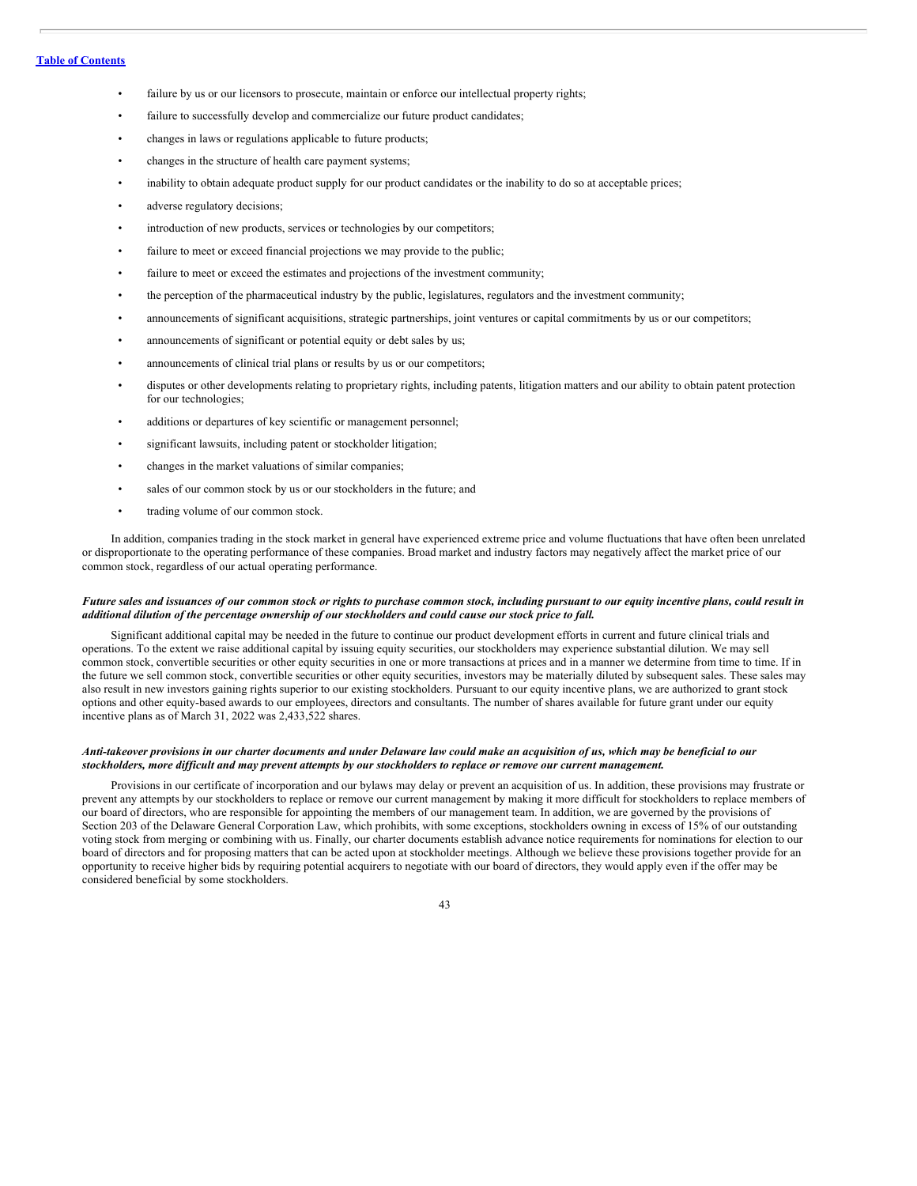# **Table of [Contents](#page-1-0)**

- failure by us or our licensors to prosecute, maintain or enforce our intellectual property rights;
- failure to successfully develop and commercialize our future product candidates;
- changes in laws or regulations applicable to future products;
- changes in the structure of health care payment systems;
- inability to obtain adequate product supply for our product candidates or the inability to do so at acceptable prices;
- adverse regulatory decisions;
- introduction of new products, services or technologies by our competitors;
- failure to meet or exceed financial projections we may provide to the public;
- failure to meet or exceed the estimates and projections of the investment community;
- the perception of the pharmaceutical industry by the public, legislatures, regulators and the investment community;
- announcements of significant acquisitions, strategic partnerships, joint ventures or capital commitments by us or our competitors;
- announcements of significant or potential equity or debt sales by us;
- announcements of clinical trial plans or results by us or our competitors;
- disputes or other developments relating to proprietary rights, including patents, litigation matters and our ability to obtain patent protection for our technologies;
- additions or departures of key scientific or management personnel;
- significant lawsuits, including patent or stockholder litigation;
- changes in the market valuations of similar companies;
- sales of our common stock by us or our stockholders in the future; and
- trading volume of our common stock.

In addition, companies trading in the stock market in general have experienced extreme price and volume fluctuations that have often been unrelated or disproportionate to the operating performance of these companies. Broad market and industry factors may negatively affect the market price of our common stock, regardless of our actual operating performance.

## Future sales and issuances of our common stock or rights to purchase common stock, including pursuant to our equity incentive plans, could result in additional dilution of the percentage ownership of our stockholders and could cause our stock price to fall.

Significant additional capital may be needed in the future to continue our product development efforts in current and future clinical trials and operations. To the extent we raise additional capital by issuing equity securities, our stockholders may experience substantial dilution. We may sell common stock, convertible securities or other equity securities in one or more transactions at prices and in a manner we determine from time to time. If in the future we sell common stock, convertible securities or other equity securities, investors may be materially diluted by subsequent sales. These sales may also result in new investors gaining rights superior to our existing stockholders. Pursuant to our equity incentive plans, we are authorized to grant stock options and other equity-based awards to our employees, directors and consultants. The number of shares available for future grant under our equity incentive plans as of March 31, 2022 was 2,433,522 shares.

# Anti-takeover provisions in our charter documents and under Delaware law could make an acquisition of us, which may be beneficial to our stockholders, more difficult and may prevent attempts by our stockholders to replace or remove our current management.

Provisions in our certificate of incorporation and our bylaws may delay or prevent an acquisition of us. In addition, these provisions may frustrate or prevent any attempts by our stockholders to replace or remove our current management by making it more difficult for stockholders to replace members of our board of directors, who are responsible for appointing the members of our management team. In addition, we are governed by the provisions of Section 203 of the Delaware General Corporation Law, which prohibits, with some exceptions, stockholders owning in excess of 15% of our outstanding voting stock from merging or combining with us. Finally, our charter documents establish advance notice requirements for nominations for election to our board of directors and for proposing matters that can be acted upon at stockholder meetings. Although we believe these provisions together provide for an opportunity to receive higher bids by requiring potential acquirers to negotiate with our board of directors, they would apply even if the offer may be considered beneficial by some stockholders.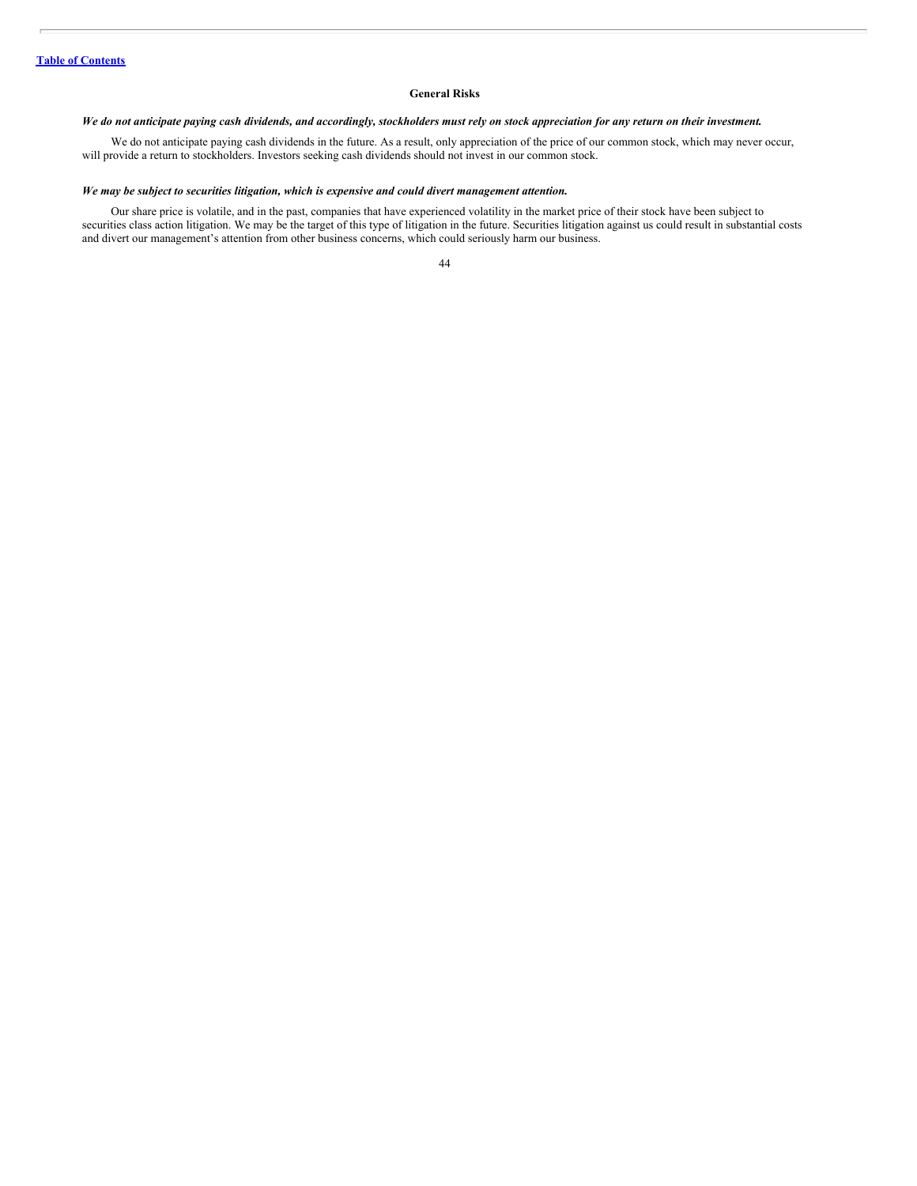### **General Risks**

## We do not anticipate paying cash dividends, and accordingly, stockholders must rely on stock appreciation for any return on their investment.

We do not anticipate paying cash dividends in the future. As a result, only appreciation of the price of our common stock, which may never occur, will provide a return to stockholders. Investors seeking cash dividends should not invest in our common stock.

# *We may be subject to securities litigation, which is expensive and could divert management attention.*

Our share price is volatile, and in the past, companies that have experienced volatility in the market price of their stock have been subject to securities class action litigation. We may be the target of this type of litigation in the future. Securities litigation against us could result in substantial costs and divert our management's attention from other business concerns, which could seriously harm our business.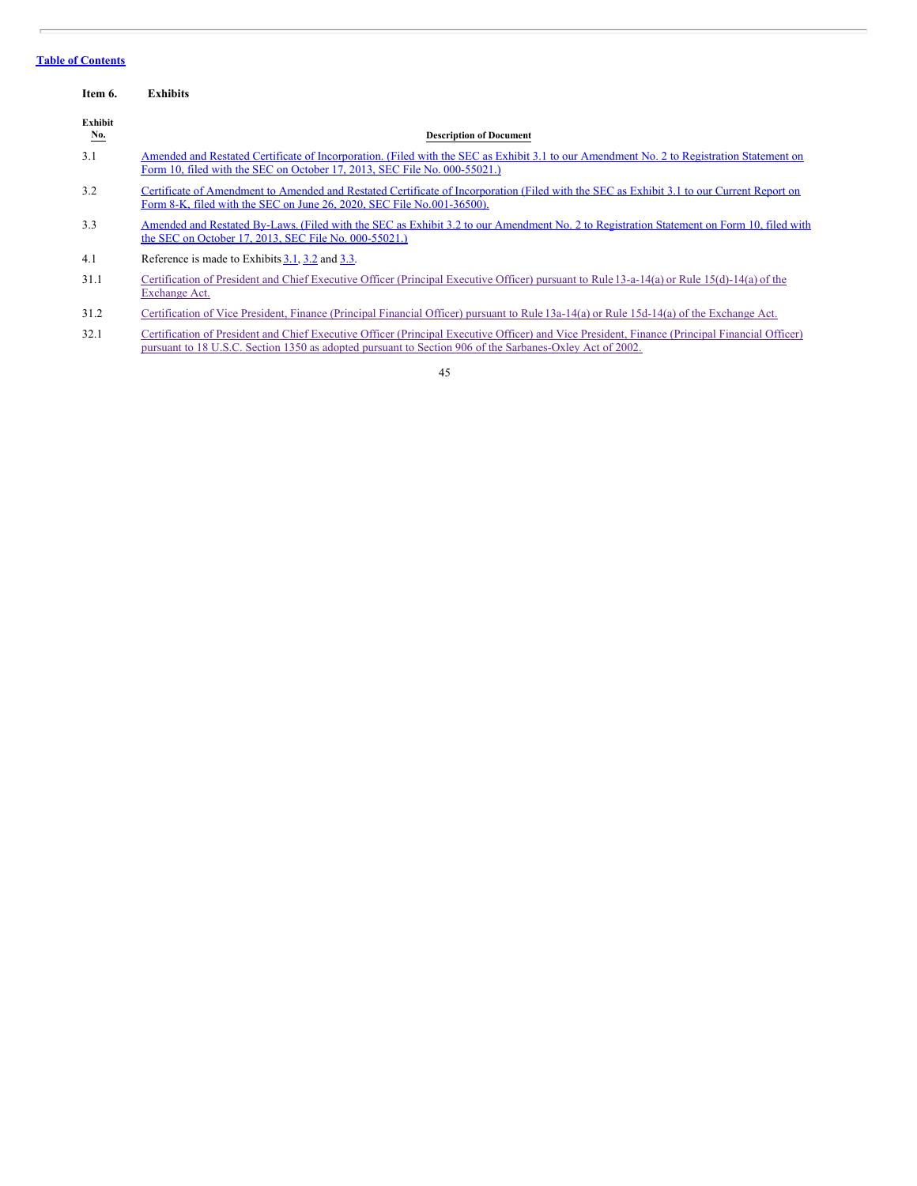# **Table of [Contents](#page-1-0)**

<span id="page-45-0"></span>

| Item 6.               | <b>Exhibits</b>                                                                                                                                                                                                        |
|-----------------------|------------------------------------------------------------------------------------------------------------------------------------------------------------------------------------------------------------------------|
| Exhibit<br><u>No.</u> | <b>Description of Document</b>                                                                                                                                                                                         |
| 3.1                   | Amended and Restated Certificate of Incorporation. (Filed with the SEC as Exhibit 3.1 to our Amendment No. 2 to Registration Statement on<br>Form 10, filed with the SEC on October 17, 2013, SEC File No. 000-55021.) |
| 3.2                   | Certificate of Amendment to Amended and Restated Certificate of Incorporation (Filed with the SEC as Exhibit 3.1 to our Current Report on<br>Form 8-K, filed with the SEC on June 26, 2020, SEC File No.001-36500).    |
| 3.3                   | Amended and Restated By-Laws. (Filed with the SEC as Exhibit 3.2 to our Amendment No. 2 to Registration Statement on Form 10, filed with<br>the SEC on October 17, 2013, SEC File No. 000-55021.)                      |
| 4.1                   | Reference is made to Exhibits $3.1$ , $3.2$ and $3.3$ .                                                                                                                                                                |
| 31.1                  | Certification of President and Chief Executive Officer (Principal Executive Officer) pursuant to Rule 13-a-14(a) or Rule 15(d)-14(a) of the<br>Exchange Act.                                                           |
| 31.2                  | Certification of Vice President, Finance (Principal Financial Officer) pursuant to Rule 13a-14(a) or Rule 15d-14(a) of the Exchange Act.                                                                               |
| 32.1                  | Certification of President and Chief Executive Officer (Principal Executive Officer) and Vice President, Finance (Principal Financial Officer)                                                                         |

45

pursuant to 18 U.S.C. Section 1350 as adopted pursuant to Section 906 of the [Sarbanes-Oxley](#page-49-0) Act of 2002.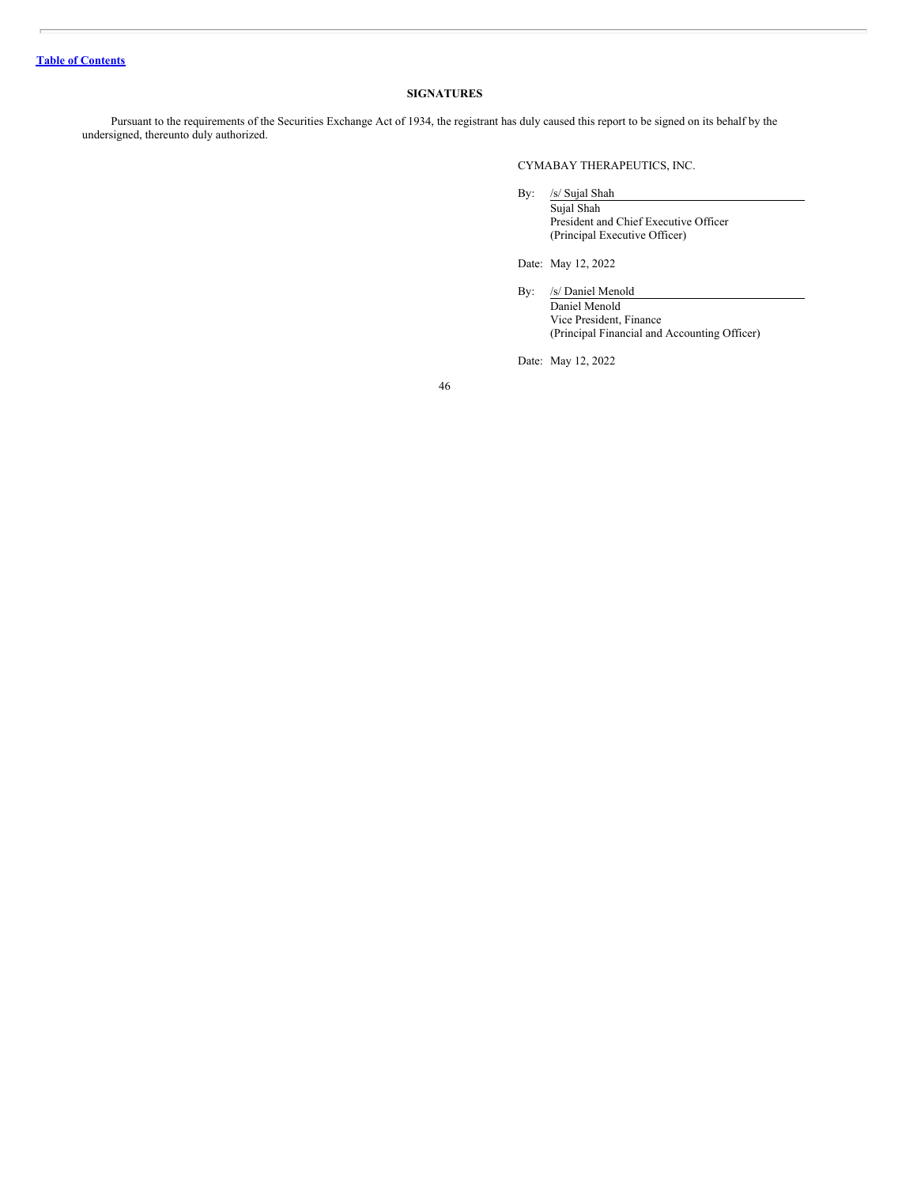# **SIGNATURES**

<span id="page-46-0"></span>Pursuant to the requirements of the Securities Exchange Act of 1934, the registrant has duly caused this report to be signed on its behalf by the undersigned, thereunto duly authorized.

CYMABAY THERAPEUTICS, INC.

By: /s/ Sujal Shah

Sujal Shah President and Chief Executive Officer (Principal Executive Officer)

Date: May 12, 2022

By: /s/ Daniel Menold Daniel Menold Vice President, Finance (Principal Financial and Accounting Officer)

Date: May 12, 2022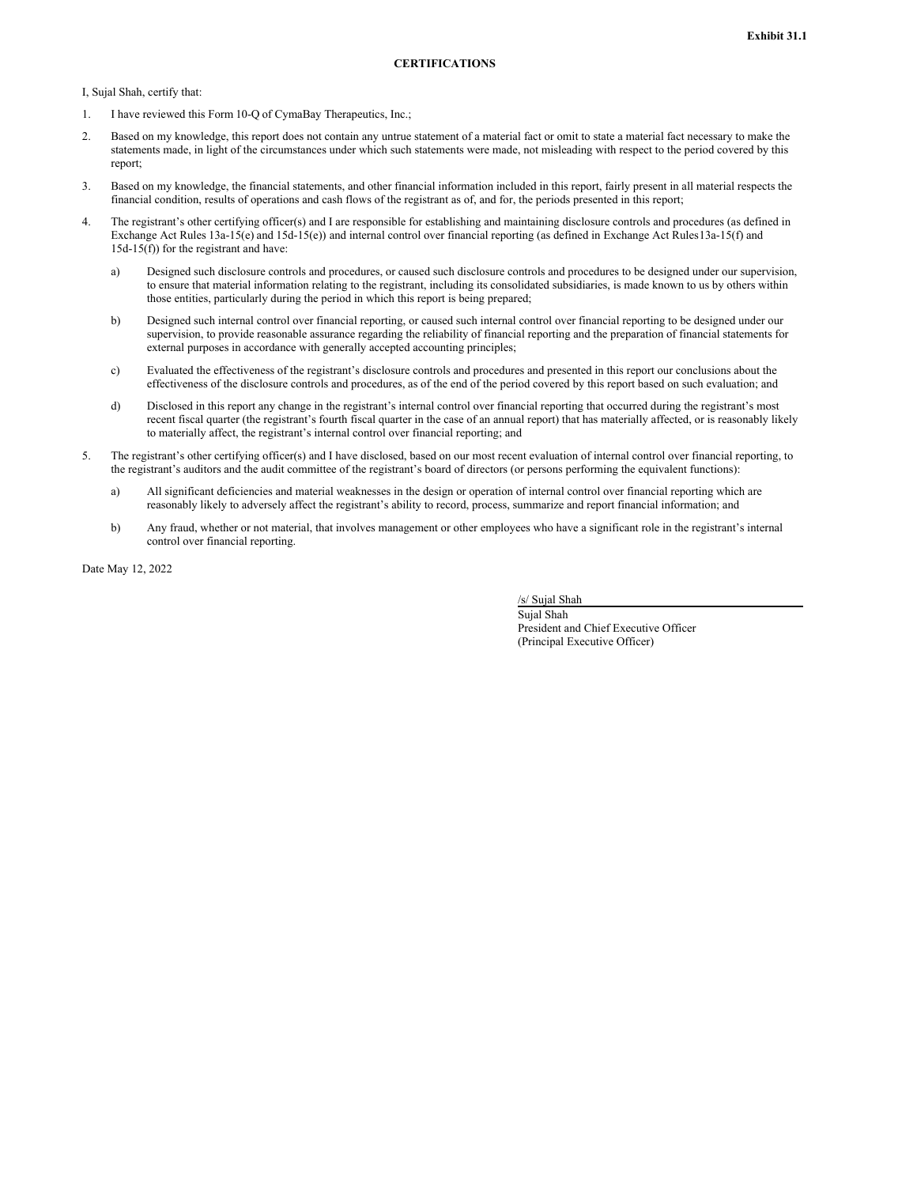<span id="page-47-0"></span>I, Sujal Shah, certify that:

- 1. I have reviewed this Form 10-Q of CymaBay Therapeutics, Inc.;
- 2. Based on my knowledge, this report does not contain any untrue statement of a material fact or omit to state a material fact necessary to make the statements made, in light of the circumstances under which such statements were made, not misleading with respect to the period covered by this report;
- 3. Based on my knowledge, the financial statements, and other financial information included in this report, fairly present in all material respects the financial condition, results of operations and cash flows of the registrant as of, and for, the periods presented in this report;
- 4. The registrant's other certifying officer(s) and I are responsible for establishing and maintaining disclosure controls and procedures (as defined in Exchange Act Rules 13a-15(e) and 15d-15(e)) and internal control over financial reporting (as defined in Exchange Act Rules13a-15(f) and 15d-15(f)) for the registrant and have:
	- a) Designed such disclosure controls and procedures, or caused such disclosure controls and procedures to be designed under our supervision, to ensure that material information relating to the registrant, including its consolidated subsidiaries, is made known to us by others within those entities, particularly during the period in which this report is being prepared;
	- b) Designed such internal control over financial reporting, or caused such internal control over financial reporting to be designed under our supervision, to provide reasonable assurance regarding the reliability of financial reporting and the preparation of financial statements for external purposes in accordance with generally accepted accounting principles;
	- c) Evaluated the effectiveness of the registrant's disclosure controls and procedures and presented in this report our conclusions about the effectiveness of the disclosure controls and procedures, as of the end of the period covered by this report based on such evaluation; and
	- d) Disclosed in this report any change in the registrant's internal control over financial reporting that occurred during the registrant's most recent fiscal quarter (the registrant's fourth fiscal quarter in the case of an annual report) that has materially affected, or is reasonably likely to materially affect, the registrant's internal control over financial reporting; and
- 5. The registrant's other certifying officer(s) and I have disclosed, based on our most recent evaluation of internal control over financial reporting, to the registrant's auditors and the audit committee of the registrant's board of directors (or persons performing the equivalent functions):
	- a) All significant deficiencies and material weaknesses in the design or operation of internal control over financial reporting which are reasonably likely to adversely affect the registrant's ability to record, process, summarize and report financial information; and
	- b) Any fraud, whether or not material, that involves management or other employees who have a significant role in the registrant's internal control over financial reporting.

Date May 12, 2022

/s/ Sujal Shah

Sujal Shah President and Chief Executive Officer (Principal Executive Officer)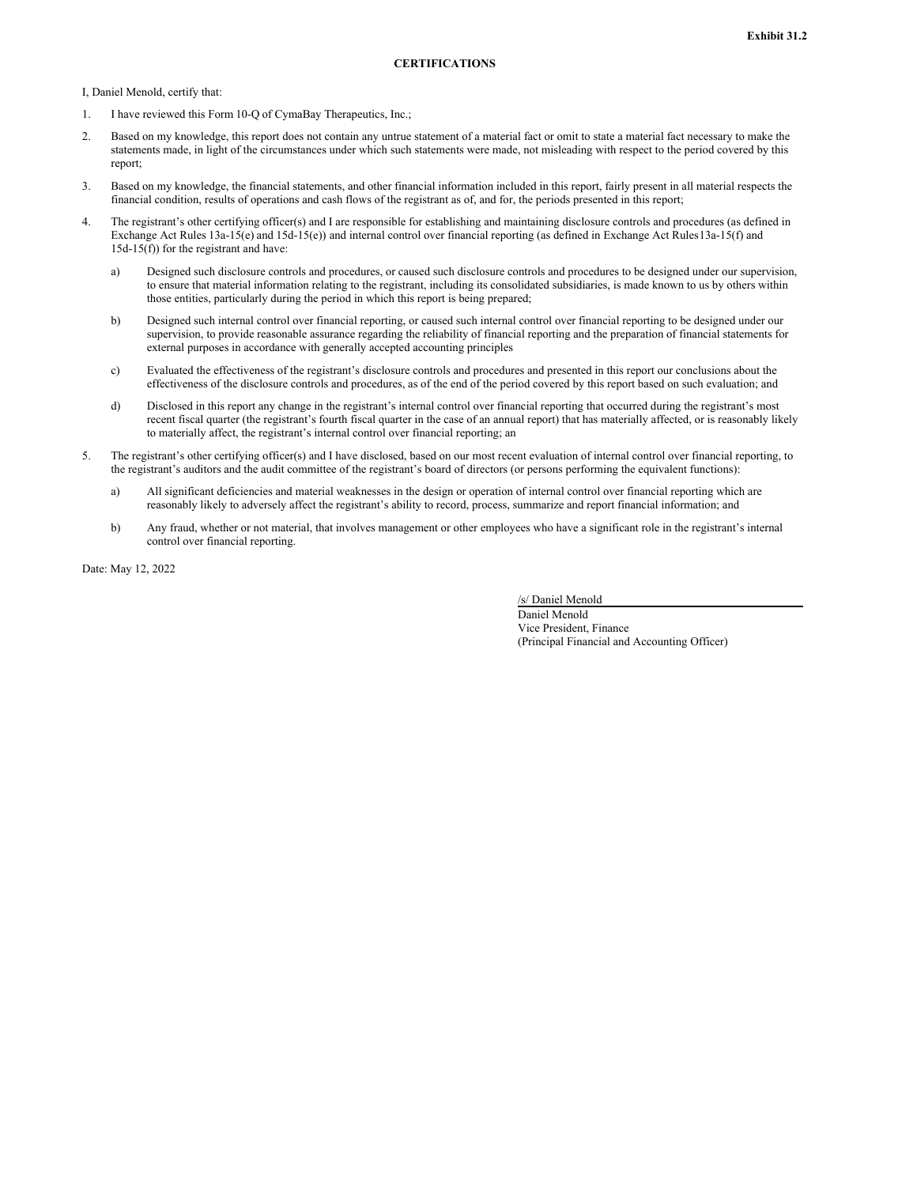<span id="page-48-0"></span>I, Daniel Menold, certify that:

- 1. I have reviewed this Form 10-Q of CymaBay Therapeutics, Inc.;
- 2. Based on my knowledge, this report does not contain any untrue statement of a material fact or omit to state a material fact necessary to make the statements made, in light of the circumstances under which such statements were made, not misleading with respect to the period covered by this report;
- 3. Based on my knowledge, the financial statements, and other financial information included in this report, fairly present in all material respects the financial condition, results of operations and cash flows of the registrant as of, and for, the periods presented in this report;
- 4. The registrant's other certifying officer(s) and I are responsible for establishing and maintaining disclosure controls and procedures (as defined in Exchange Act Rules 13a-15(e) and 15d-15(e)) and internal control over financial reporting (as defined in Exchange Act Rules13a-15(f) and 15d-15(f)) for the registrant and have:
	- a) Designed such disclosure controls and procedures, or caused such disclosure controls and procedures to be designed under our supervision, to ensure that material information relating to the registrant, including its consolidated subsidiaries, is made known to us by others within those entities, particularly during the period in which this report is being prepared;
	- b) Designed such internal control over financial reporting, or caused such internal control over financial reporting to be designed under our supervision, to provide reasonable assurance regarding the reliability of financial reporting and the preparation of financial statements for external purposes in accordance with generally accepted accounting principles
	- c) Evaluated the effectiveness of the registrant's disclosure controls and procedures and presented in this report our conclusions about the effectiveness of the disclosure controls and procedures, as of the end of the period covered by this report based on such evaluation; and
	- d) Disclosed in this report any change in the registrant's internal control over financial reporting that occurred during the registrant's most recent fiscal quarter (the registrant's fourth fiscal quarter in the case of an annual report) that has materially affected, or is reasonably likely to materially affect, the registrant's internal control over financial reporting; an
- 5. The registrant's other certifying officer(s) and I have disclosed, based on our most recent evaluation of internal control over financial reporting, to the registrant's auditors and the audit committee of the registrant's board of directors (or persons performing the equivalent functions):
	- a) All significant deficiencies and material weaknesses in the design or operation of internal control over financial reporting which are reasonably likely to adversely affect the registrant's ability to record, process, summarize and report financial information; and
	- b) Any fraud, whether or not material, that involves management or other employees who have a significant role in the registrant's internal control over financial reporting.

Date: May 12, 2022

/s/ Daniel Menold

Daniel Menold Vice President, Finance (Principal Financial and Accounting Officer)